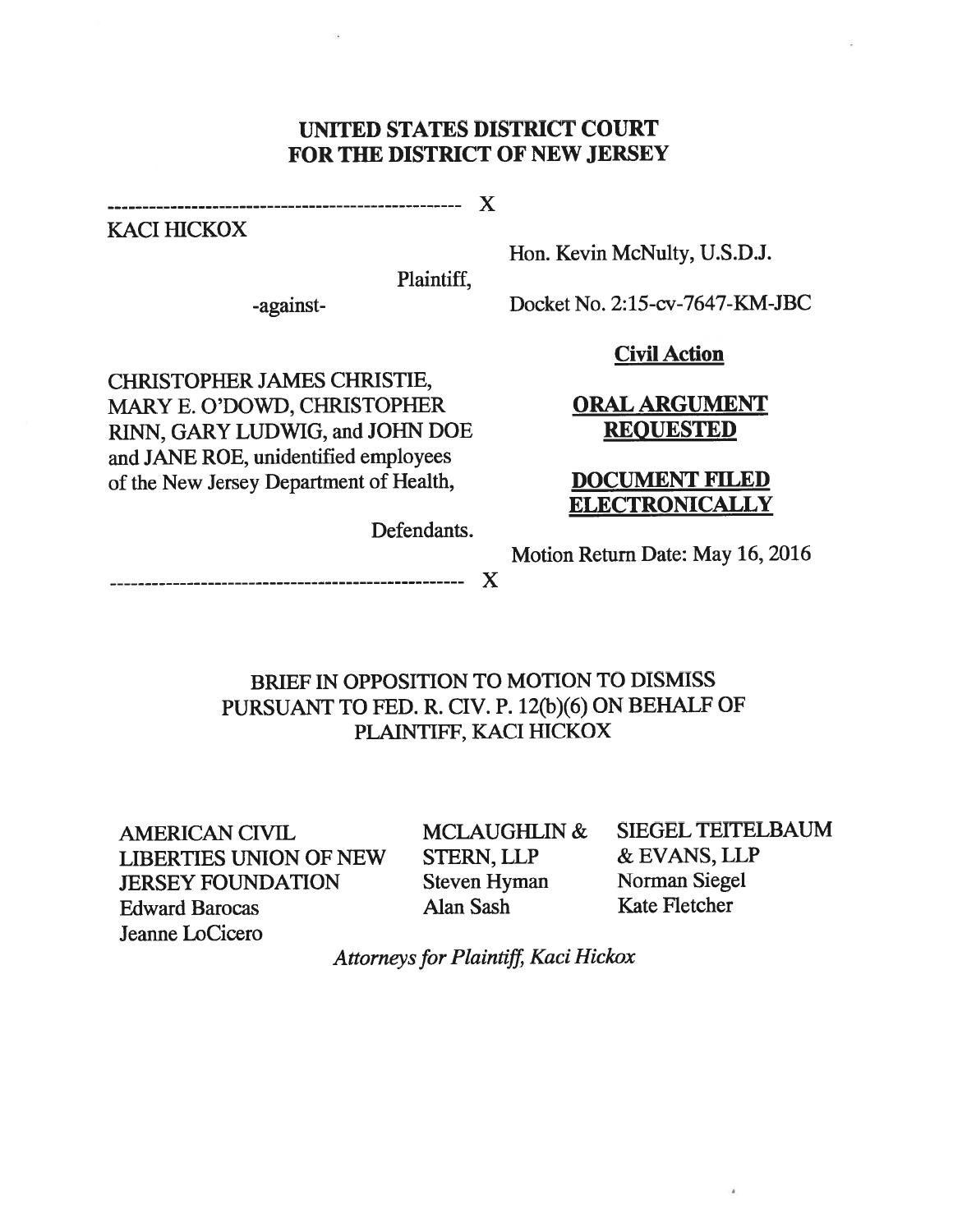#### UNITED STATES DISTRICT COURT FOR THE DISTRICT OF NEW JERSEY

x

KACI HICKOX

Plaintiff,

Hon. Kevin McNulty, U.S.D.J.

-against- Docket No. 2:15-cv-7647-KM-JBC

#### Civil Action

CHRISTOPHER JAMES CHRISTIE, MARY E. O'DOWD, CHRISTOPHER **ORAL ARGUMENT** RINN, GARY LUDWIG, and JOHN DOE REQUESTED and JANE ROE, unidentified employees of the New Jersey Department of Health, DOCUMENT FILED

# **ELECTRONICALLY**

Defendants.

Motion Return Date: May 16, 2016

x

## BRIEF IN OPPOSITION TO MOTION TO DISMISS PURSUANT TO FED. R. CIV. P. 12(b)(6) ON BEHALF OF PLAINTIFF, KACI HICKOX

AMERICAN CIVIL MCLAUGHLIN & SIEGEL TEITELBAUM LIBERTIES UNION OF NEW STERN, LLP & EVANS, LLP JERSEY FOUNDATION Steven Hyman Norman Siegel Edward Barocas Alan Sash Kate Fletcher Jeanne LoCicero

Attorneys for Plaintiff, Kaci Hickox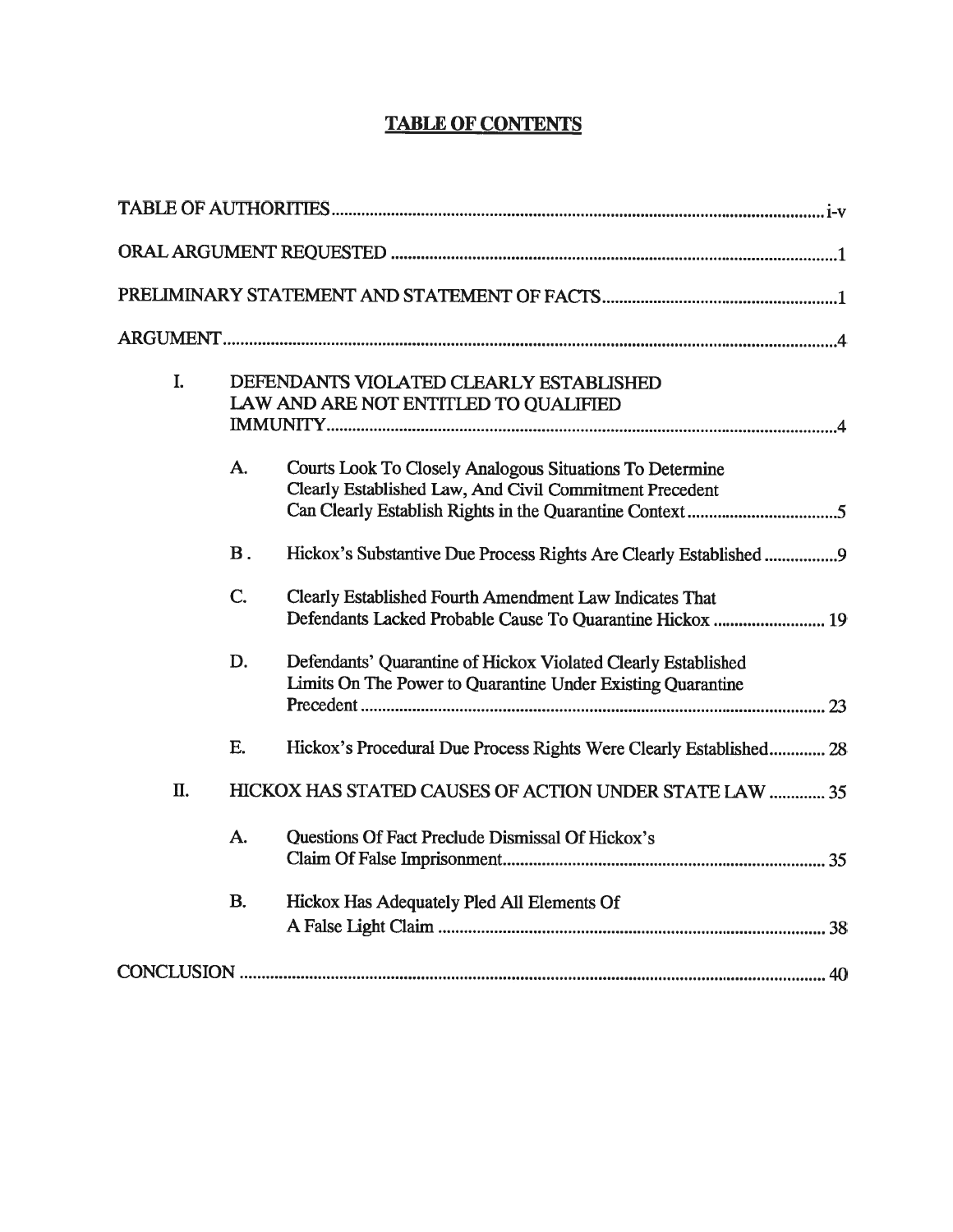## TABLE OF CONTENTS

| I.             | DEFENDANTS VIOLATED CLEARLY ESTABLISHED<br>LAW AND ARE NOT ENTITLED TO QUALIFIED                                             |
|----------------|------------------------------------------------------------------------------------------------------------------------------|
| A.             | Courts Look To Closely Analogous Situations To Determine<br>Clearly Established Law, And Civil Commitment Precedent          |
| $\mathbf{B}$ . | Hickox's Substantive Due Process Rights Are Clearly Established 9                                                            |
| C.             | Clearly Established Fourth Amendment Law Indicates That<br>Defendants Lacked Probable Cause To Quarantine Hickox  19         |
| D.             | Defendants' Quarantine of Hickox Violated Clearly Established<br>Limits On The Power to Quarantine Under Existing Quarantine |
| E.             | Hickox's Procedural Due Process Rights Were Clearly Established 28                                                           |
| Π.             | HICKOX HAS STATED CAUSES OF ACTION UNDER STATE LAW  35                                                                       |
| A.             | Questions Of Fact Preclude Dismissal Of Hickox's                                                                             |
| <b>B.</b>      | Hickox Has Adequately Pled All Elements Of                                                                                   |
|                |                                                                                                                              |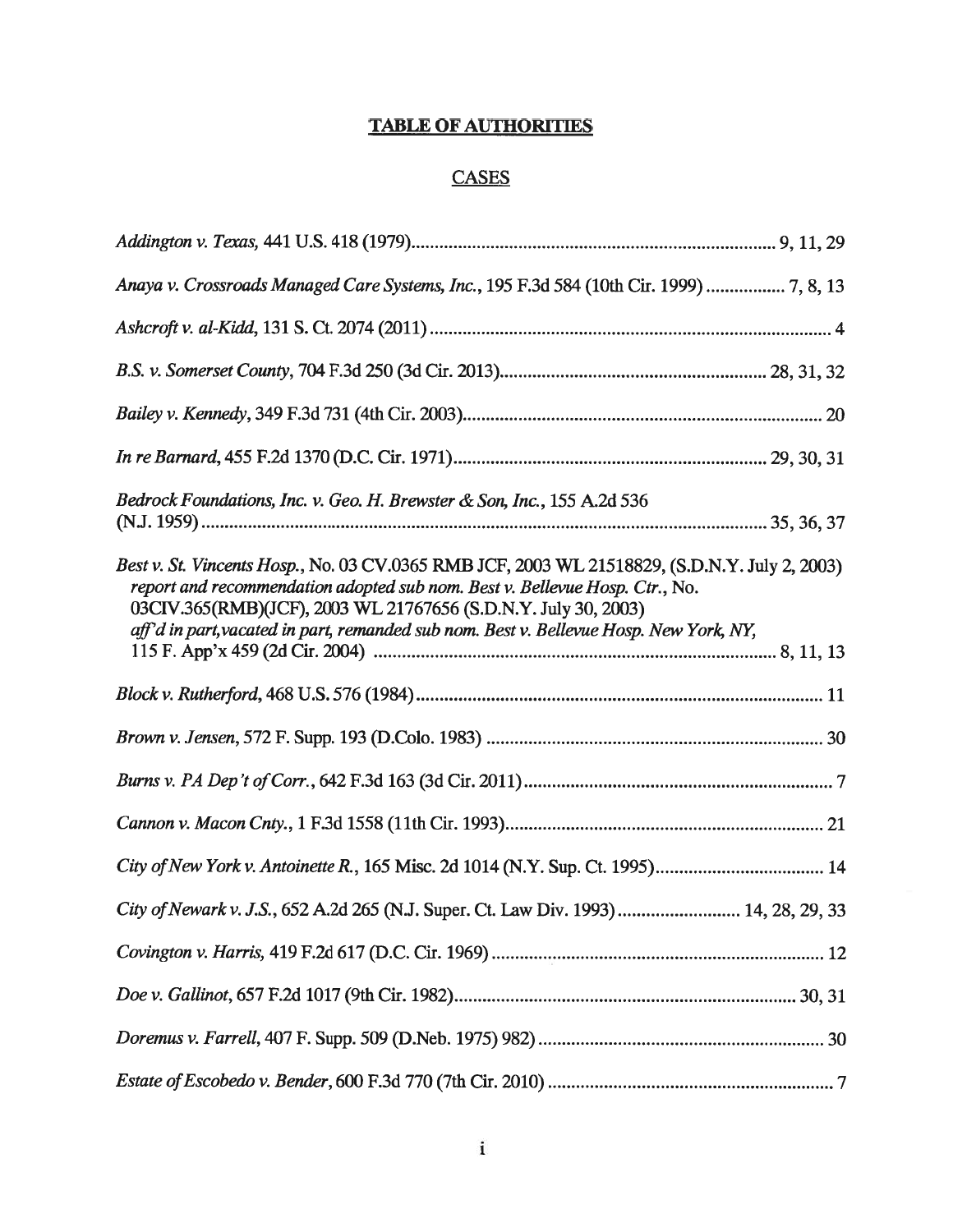## TABLE OF AUTHORITIES

## **CASES**

| Anaya v. Crossroads Managed Care Systems, Inc., 195 F.3d 584 (10th Cir. 1999)  7, 8, 13                                                                                                                                                                                                                                                  |  |
|------------------------------------------------------------------------------------------------------------------------------------------------------------------------------------------------------------------------------------------------------------------------------------------------------------------------------------------|--|
|                                                                                                                                                                                                                                                                                                                                          |  |
|                                                                                                                                                                                                                                                                                                                                          |  |
|                                                                                                                                                                                                                                                                                                                                          |  |
|                                                                                                                                                                                                                                                                                                                                          |  |
| Bedrock Foundations, Inc. v. Geo. H. Brewster & Son, Inc., 155 A.2d 536                                                                                                                                                                                                                                                                  |  |
| Best v. St. Vincents Hosp., No. 03 CV.0365 RMB JCF, 2003 WL 21518829, (S.D.N.Y. July 2, 2003)<br>report and recommendation adopted sub nom. Best v. Bellevue Hosp. Ctr., No.<br>03CIV.365(RMB)(JCF), 2003 WL 21767656 (S.D.N.Y. July 30, 2003)<br>aff'd in part, vacated in part, remanded sub nom. Best v. Bellevue Hosp. New York, NY, |  |
|                                                                                                                                                                                                                                                                                                                                          |  |
|                                                                                                                                                                                                                                                                                                                                          |  |
|                                                                                                                                                                                                                                                                                                                                          |  |
|                                                                                                                                                                                                                                                                                                                                          |  |
| City of New York v. Antoinette R., 165 Misc. 2d 1014 (N.Y. Sup. Ct. 1995) 14                                                                                                                                                                                                                                                             |  |
| City of Newark v. J.S., 652 A.2d 265 (N.J. Super. Ct. Law Div. 1993) 14, 28, 29, 33                                                                                                                                                                                                                                                      |  |
|                                                                                                                                                                                                                                                                                                                                          |  |
|                                                                                                                                                                                                                                                                                                                                          |  |
|                                                                                                                                                                                                                                                                                                                                          |  |
|                                                                                                                                                                                                                                                                                                                                          |  |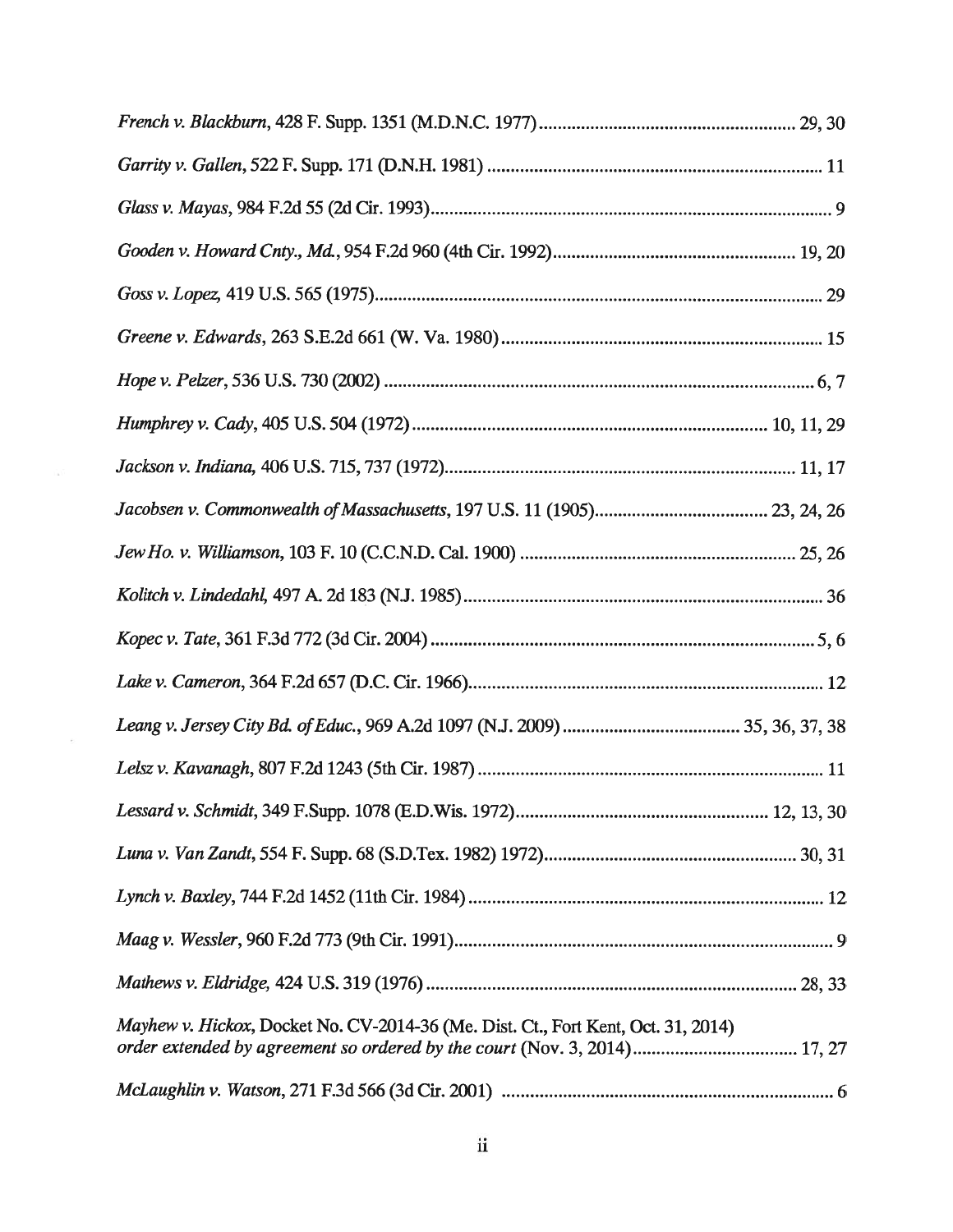| Mayhew v. Hickox, Docket No. CV-2014-36 (Me. Dist. Ct., Fort Kent, Oct. 31, 2014) |
|-----------------------------------------------------------------------------------|
|                                                                                   |

 $\mathbf{E}$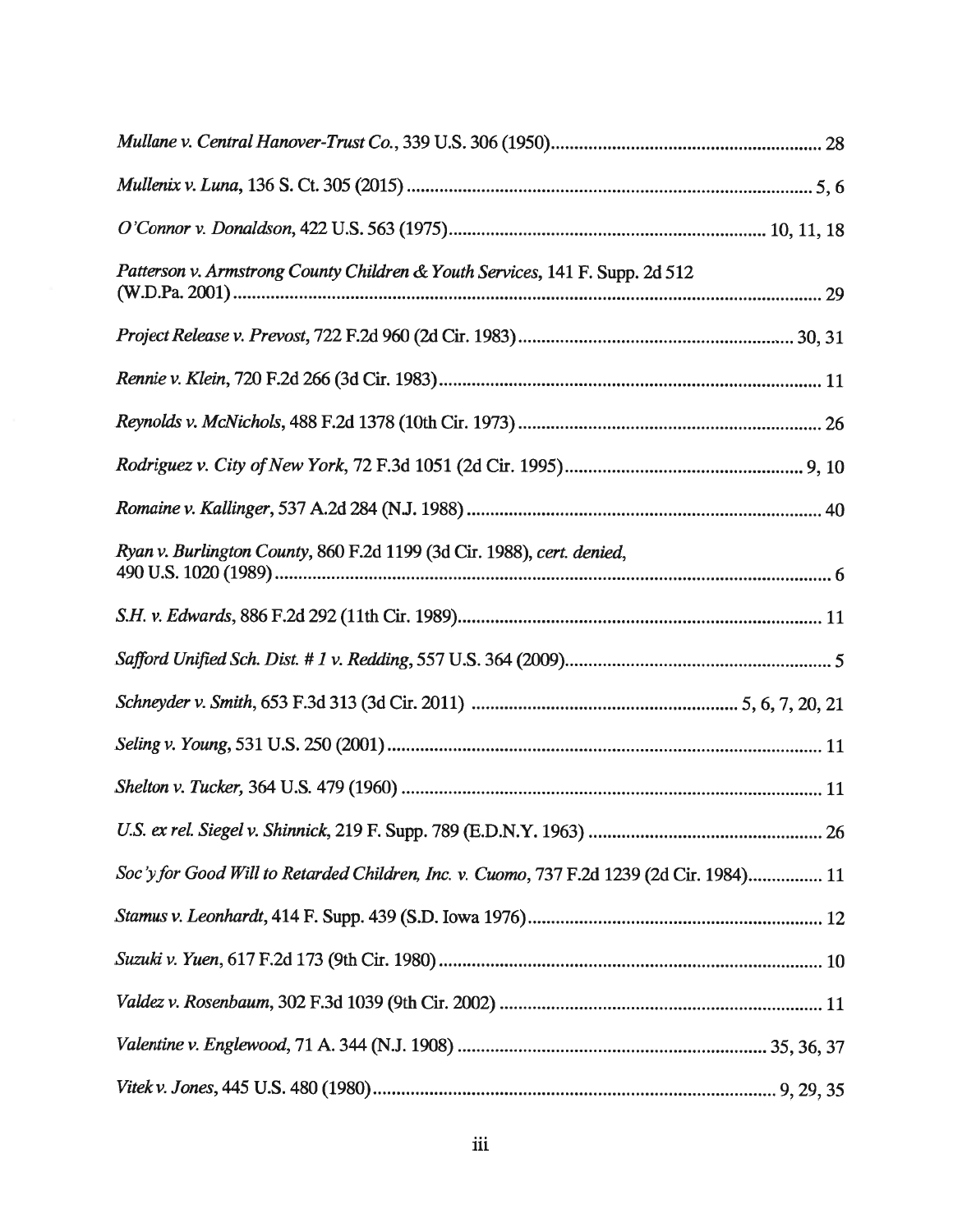| Patterson v. Armstrong County Children & Youth Services, 141 F. Supp. 2d 512             |  |
|------------------------------------------------------------------------------------------|--|
|                                                                                          |  |
|                                                                                          |  |
|                                                                                          |  |
|                                                                                          |  |
|                                                                                          |  |
| Ryan v. Burlington County, 860 F.2d 1199 (3d Cir. 1988), cert. denied,                   |  |
|                                                                                          |  |
|                                                                                          |  |
|                                                                                          |  |
|                                                                                          |  |
|                                                                                          |  |
|                                                                                          |  |
| Soc'y for Good Will to Retarded Children, Inc. v. Cuomo, 737 F.2d 1239 (2d Cir. 1984) 11 |  |
|                                                                                          |  |
|                                                                                          |  |
|                                                                                          |  |
|                                                                                          |  |
|                                                                                          |  |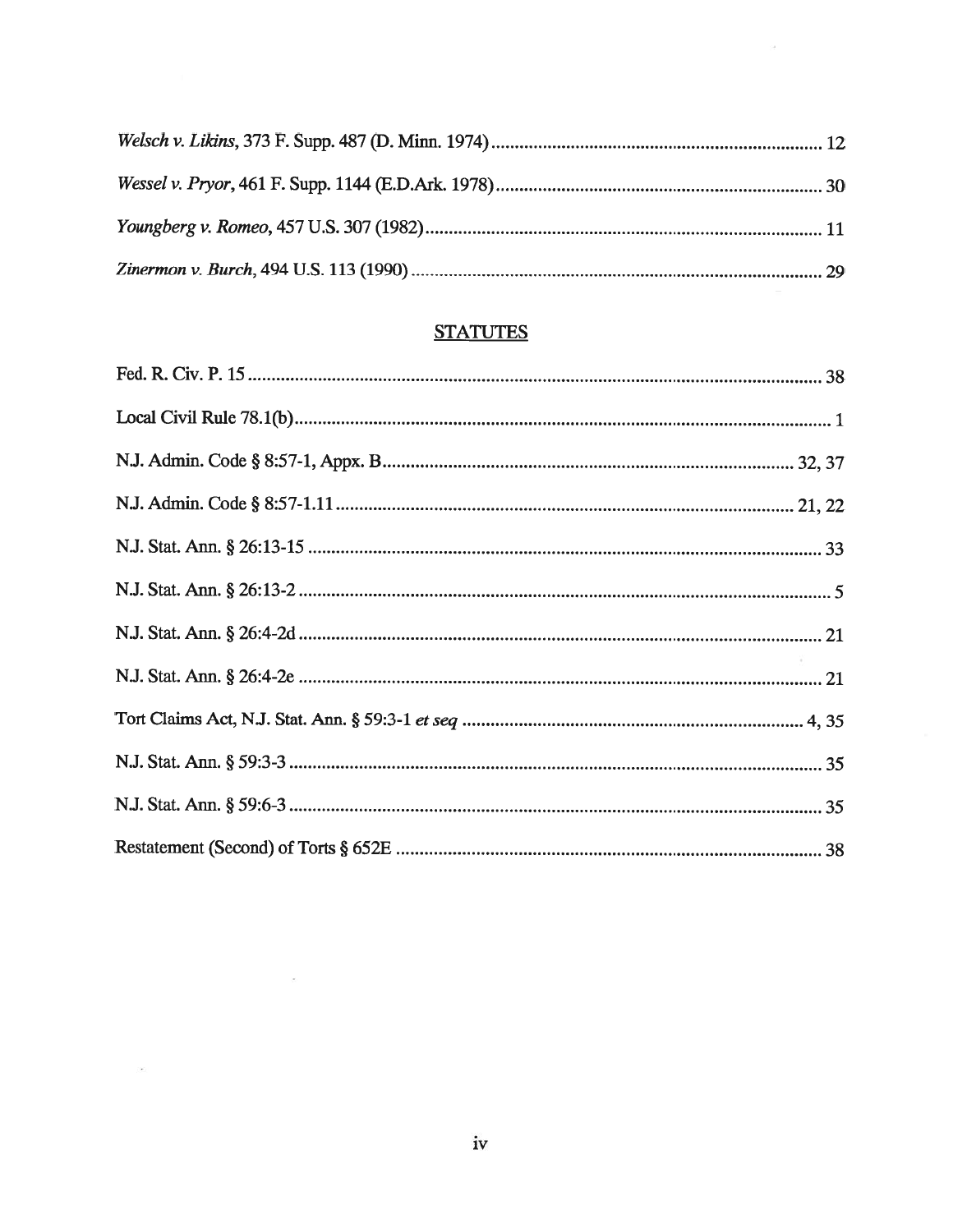$\mathbb{R}^2$ 

## **STATUTES**

 $\sim$ 

 $\langle \mathcal{M} \rangle$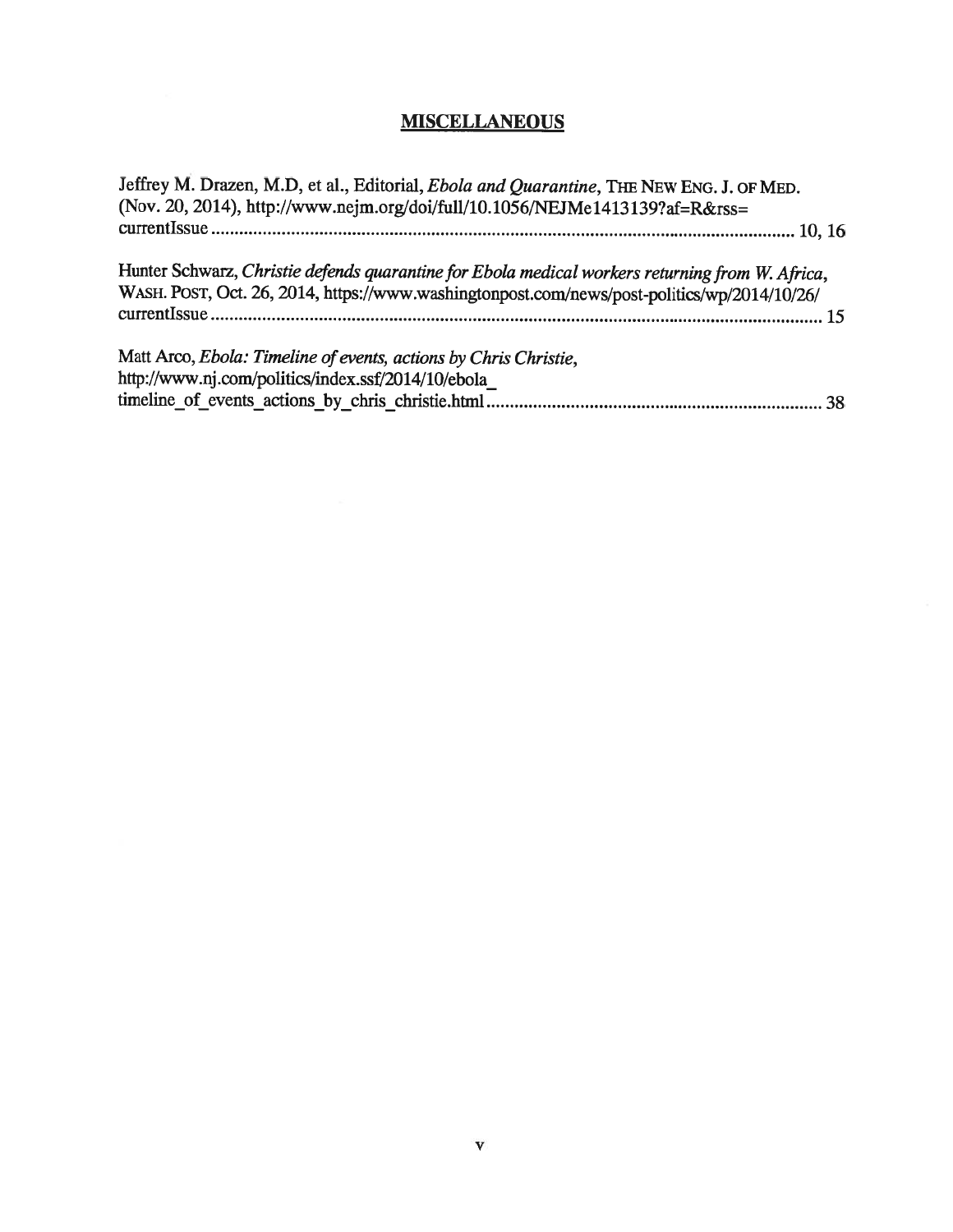# **MISCELLANEOUS**

| Jeffrey M. Drazen, M.D, et al., Editorial, Ebola and Quarantine, THE NEW ENG. J. OF MED.        |  |
|-------------------------------------------------------------------------------------------------|--|
| (Nov. 20, 2014), http://www.nejm.org/doi/full/10.1056/NEJMe1413139?af=R&rss=                    |  |
|                                                                                                 |  |
| Hunter Schwarz, Christie defends quarantine for Ebola medical workers returning from W. Africa, |  |
| WASH. POST, Oct. 26, 2014, https://www.washingtonpost.com/news/post-politics/wp/2014/10/26/     |  |
|                                                                                                 |  |
| Matt Arco, Ebola: Timeline of events, actions by Chris Christie,                                |  |
| http://www.nj.com/politics/index.ssf/2014/10/ebola                                              |  |
|                                                                                                 |  |
|                                                                                                 |  |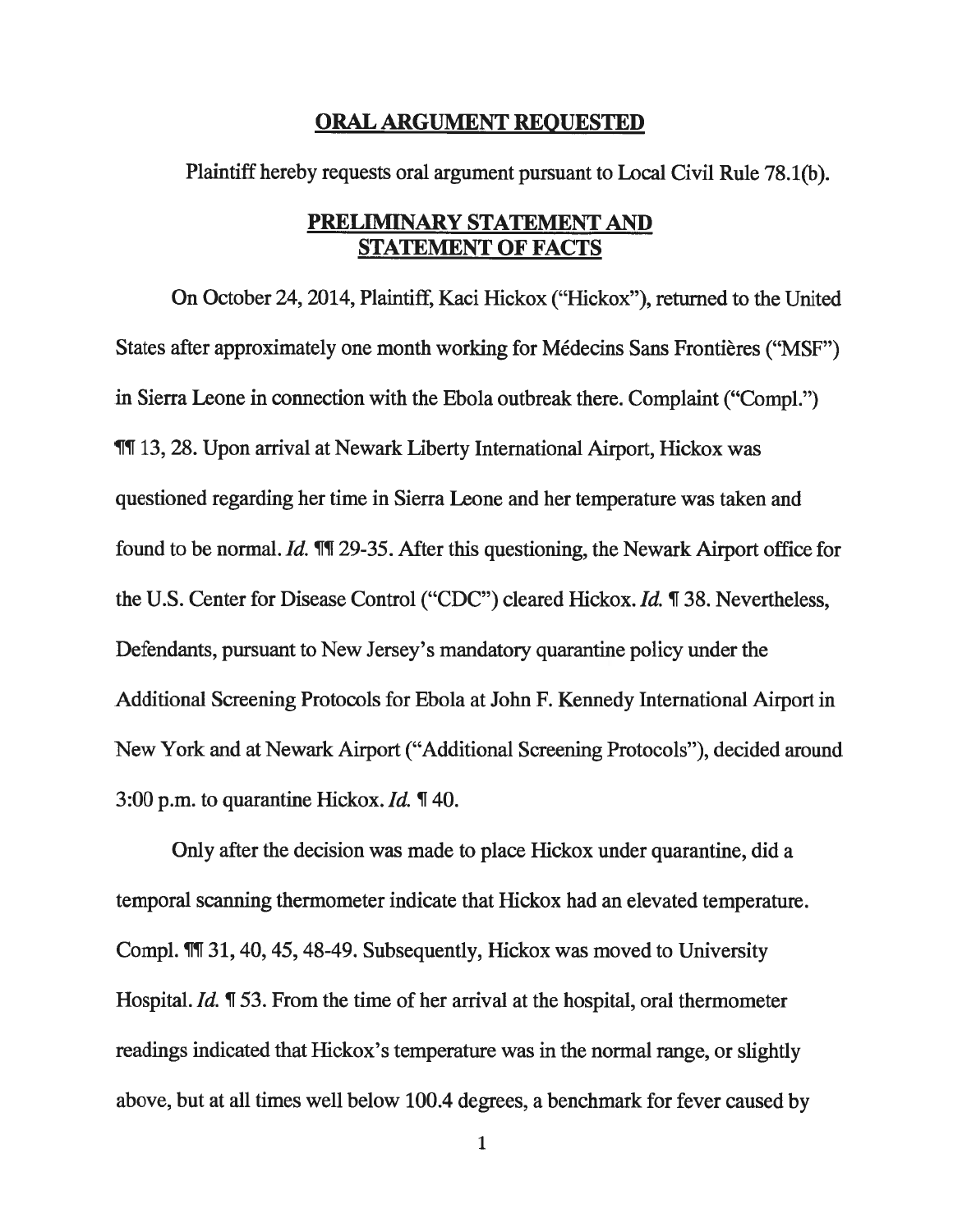#### ORAL ARGUMENT REQUESTED

Plaintiff hereby requests oral argumen<sup>t</sup> pursuan<sup>t</sup> to Local Civil Rule 78.1(b).

#### PRELIMINARY STATEMENT AND STATEMENT OF FACTS

On October 24, 2014, Plaintiff, Kaci Hickox ("Hickox"), returned to the United States after approximately one month working for Médecins Sans Frontières ("MSF") in Sierra Leone in connection with the Ebola outbreak there. Complaint ("Compl.") ¶T 13, 28. Upon arrival at Newark Liberty International Airport, Hickox was questioned regarding her time in Sierra Leone and her temperature was taken and found to be normal. Id. **TH** 29-35. After this questioning, the Newark Airport office for the U.S. Center for Disease Control ("CDC") cleared Hickox. Id. ¶ 38. Nevertheless, Defendants, pursuan<sup>t</sup> to New Jersey's mandatory quarantine policy under the Additional Screening Protocols for Ebola at John F. Kennedy International Airport in New York and at Newark Airport ("Additional Screening Protocols"), decided around 3:00 p.m. to quarantine Hickox. *Id.*  $\P$  40.

Only after the decision was made to place Hickox under quarantine, did <sup>a</sup> temporal scanning thermometer indicate that Hickox had an elevated temperature. Compl. ¶T 31, 40,45, 48-49. Subsequently, Hickox was moved to University Hospital. Id. ¶ 53. From the time of her arrival at the hospital, oral thermometer readings indicated that Hickox's temperature was in the normal range, or slightly above, but at all times well below 100.4 degrees, <sup>a</sup> benchmark for fever caused by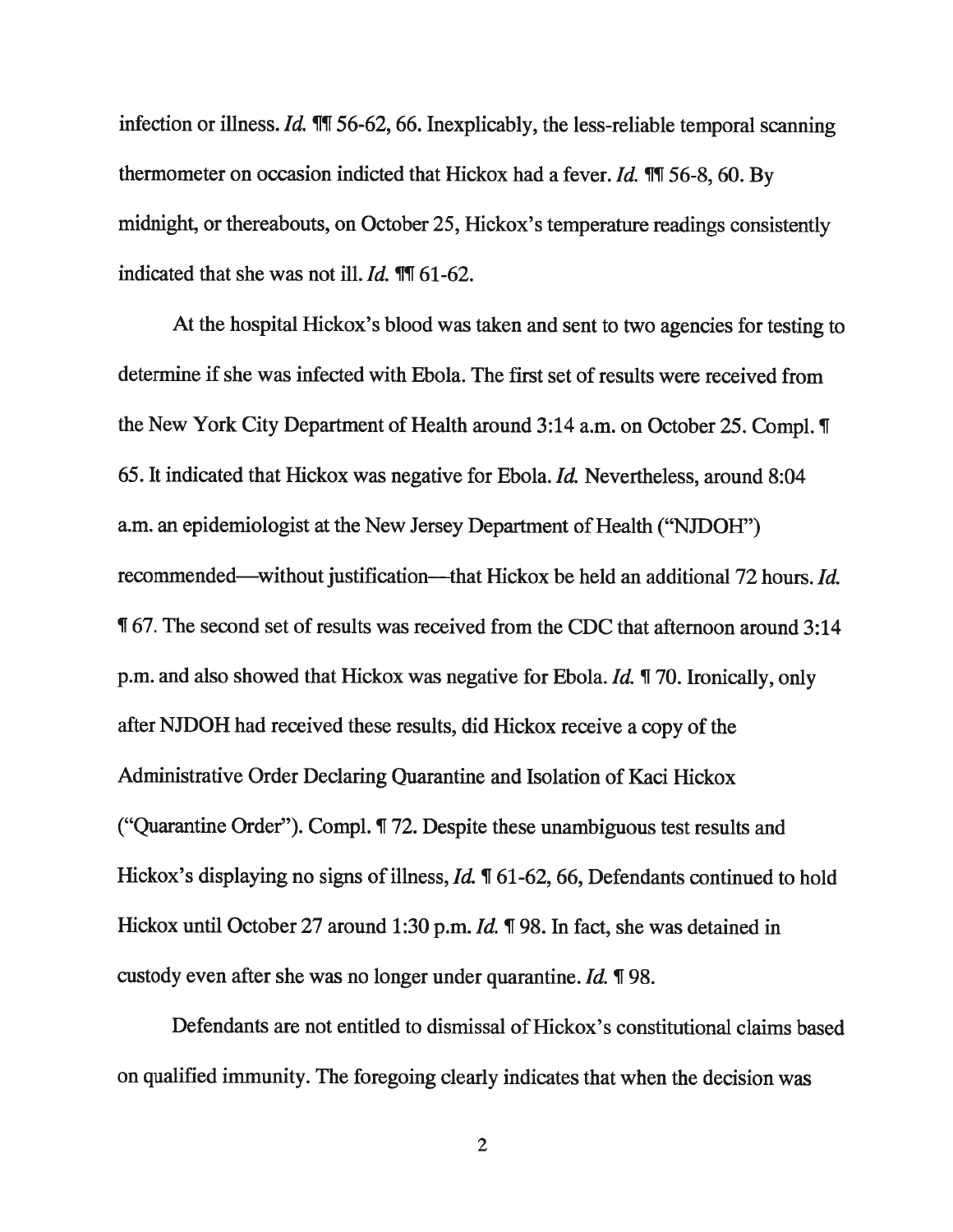infection or illness. Id.  $\mathbb{I}$  1 56-62, 66. Inexplicably, the less-reliable temporal scanning thermometer on occasion indicted that Hickox had a fever. Id.  $\P$   $\overline{1}$  56-8, 60. By midnight, or thereabouts, on October 25, Hickox's temperature readings consistently indicated that she was not ill.  $Id$ .  $\P$ [1 61-62.

At the hospital Hickox's blood was taken and sent to two agencies for testing to determine if she was infected with Ebola. The first set of results were received from the New York City Department of Health around 3:14 a.m. on October 25. Compl. ¶ 65. It indicated that Hickox was negative for Ebola. Id. Nevertheless, around 8:04 a.m. an epidemiologist at the New Jersey Department of Health ("NJDOH") recommended—without justification—that Hickox be held an additional 72 hours. Id. ¶ 67. The second set of results was received from the CDC that afternoon around 3:14 p.m. and also showed that Hickox was negative for Ebola. Id. ¶ 70. Ironically, only after NJDOH had received these results, did Hickox receive <sup>a</sup> copy of the Administrative Order Declaring Quarantine and Isolation of Kaci Hickox ("Quarantine Order"). Compl. ¶ 72. Despite these unambiguous test results and Hickox's displaying no signs of illness,  $Id$ .  $\P$  61-62, 66, Defendants continued to hold Hickox until October 27 around 1:30 p.m. *Id.* ¶ 98. In fact, she was detained in custody even after she was no longer under quarantine. Id. ¶ 98.

Defendants are not entitled to dismissal of Hickox's constitutional claims based on qualified immunity. The foregoing clearly indicates that when the decision was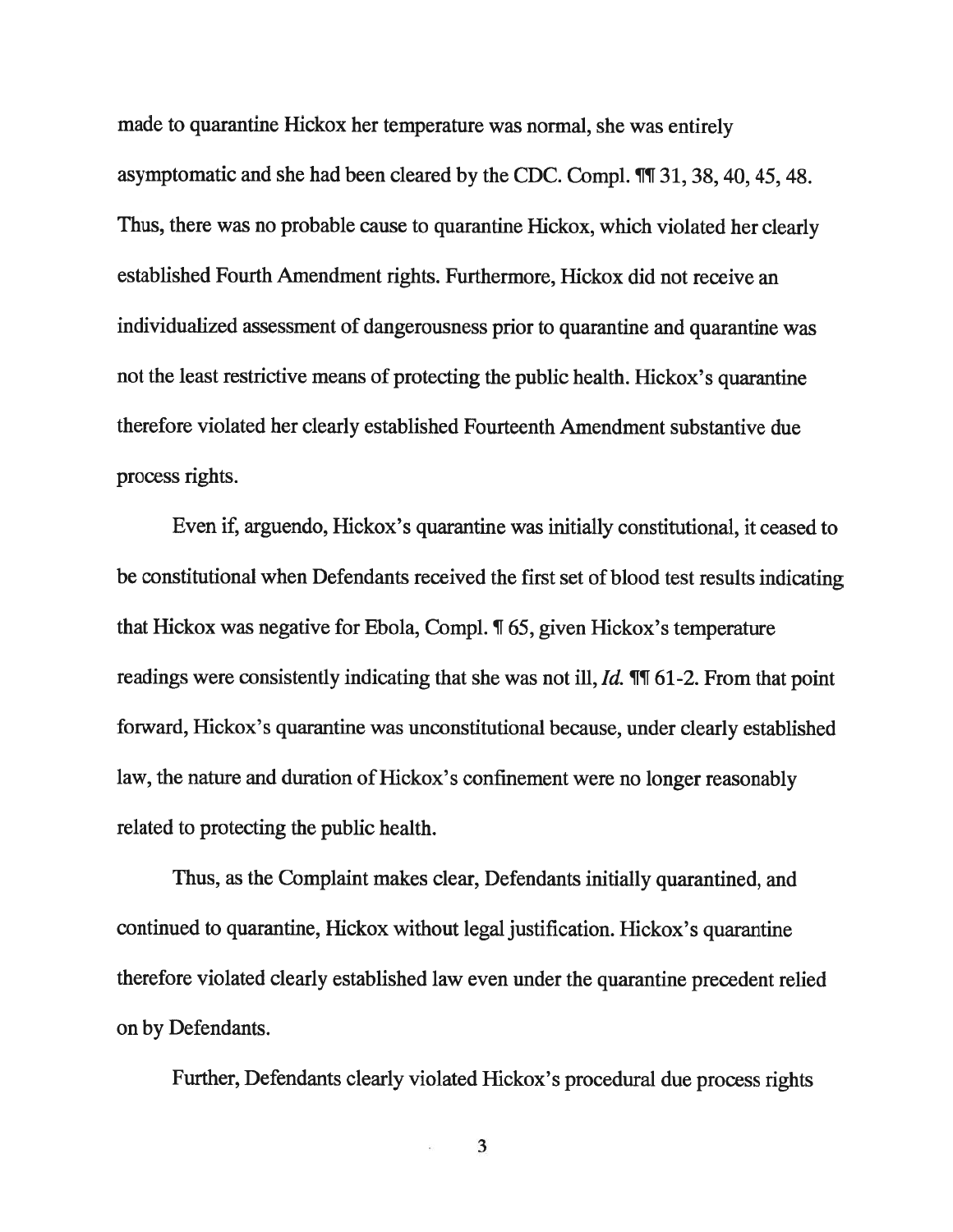made to quarantine Hickox her temperature was normal, she was entirely asymptomatic and she had been cleared by the CDC. Compl.  $\P$ [1 31, 38, 40, 45, 48. Thus, there was no probable cause to quarantine Hickox, which violated her clearly established Fourth Amendment rights. Furthermore, Hickox did not receive an individualized assessment of dangerousness prior to quarantine and quarantine was not the least restrictive means of protecting the public health. Hickox's quarantine therefore violated her clearly established Fourteenth Amendment substantive due process rights.

Even if, arguendo, Hickox's quarantine was initially constitutional, it ceased to be constitutional when Defendants received the first set of blood test results indicating that Hickox was negative for Ebola, Compi. ¶ 65, given Hickox's temperature readings were consistently indicating that she was not ill, *Id.* **11** 61-2. From that point forward, Hickox's quarantine was unconstitutional because, under clearly established law, the nature and duration of Hickox's confinement were no longer reasonably related to protecting the public health.

Thus, as the Complaint makes clear, Defendants initially quarantined, and continued to quarantine, Hickox without legal justification. Hickox's quarantine therefore violated clearly established law even under the quarantine precedent relied on by Defendants.

Further, Defendants clearly violated Hickox's procedural due process rights

3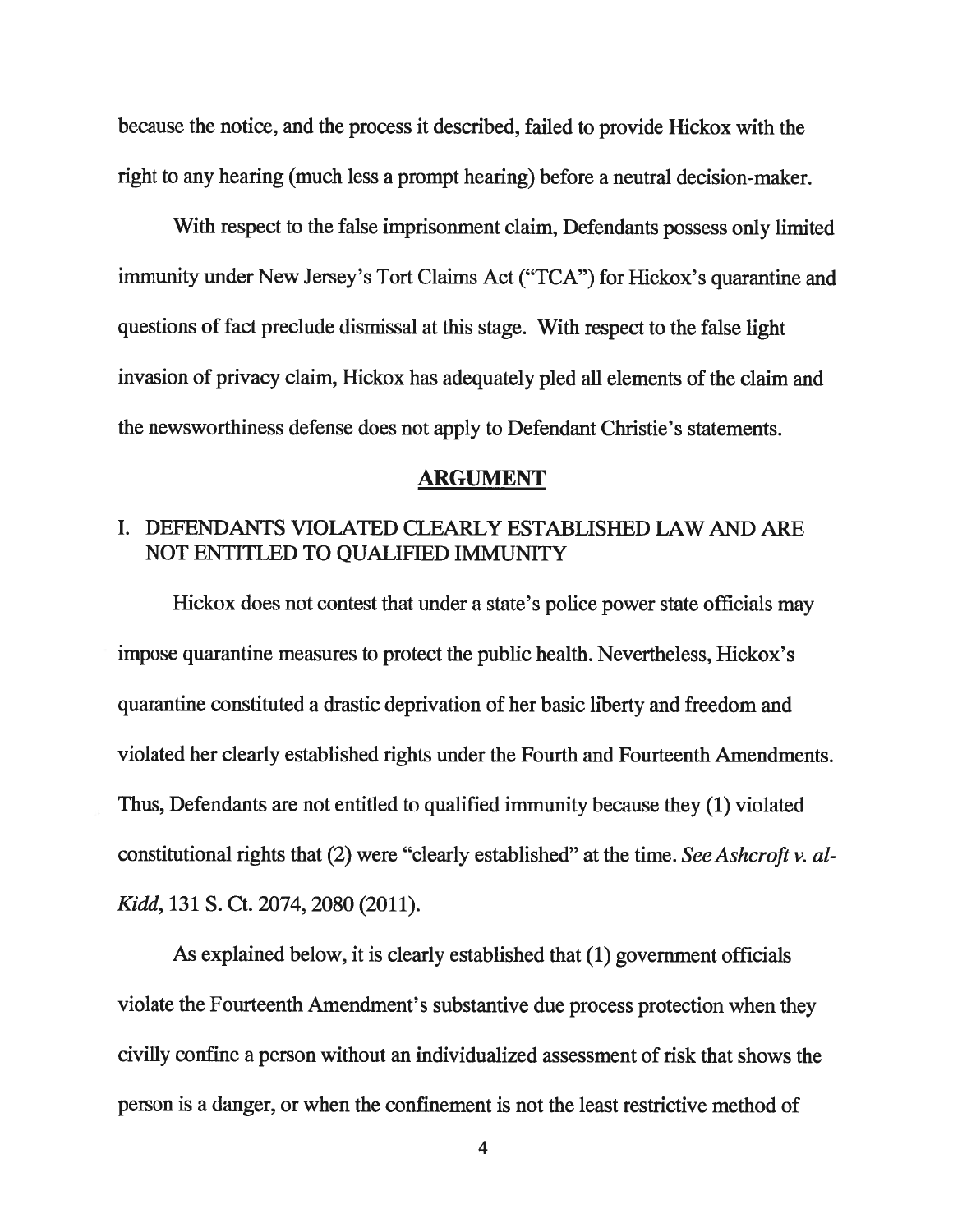because the notice, and the process it described, failed to provide Hickox with the right to any hearing (much less <sup>a</sup> promp<sup>t</sup> hearing) before <sup>a</sup> neutral decision-maker.

With respec<sup>t</sup> to the false imprisonment claim, Defendants possess only limited immunity under New Jersey's Tort Claims Act ("TCA") for Hickox's quarantine and questions of fact preclude dismissal at this stage. With respec<sup>t</sup> to the false light invasion of privacy claim, Hickox has adequately <sup>p</sup>led all elements of the claim and the newsworthiness defense does not apply to Defendant Christie's statements.

#### ARGUMENT

#### I. DEFENDANTS VIOLATED CLEARLY ESTABLISHED LAW AND ARE NOT ENTITLED TO QUALIFIED IMMUNITY

Hickox does not contest that under <sup>a</sup> state's police power state officials may impose quarantine measures to protect the public health. Nevertheless, Hickox's quarantine constituted <sup>a</sup> drastic deprivation of her basic liberty and freedom and violated her clearly established rights under the Fourth and Fourteenth Amendments. Thus, Defendants are not entitled to qualified immunity because they (1) violated constitutional rights that  $(2)$  were "clearly established" at the time. See Ashcroft v. al-Kidd, 131 5. Ct. 2074, 2080 (2011).

As explained below, it is clearly established that (1) governmen<sup>t</sup> officials violate the Fourteenth Amendment's substantive due process protection when they civilly confine <sup>a</sup> person without an individualized assessment of risk that shows the person is <sup>a</sup> danger, or when the confinement is not the least restrictive method of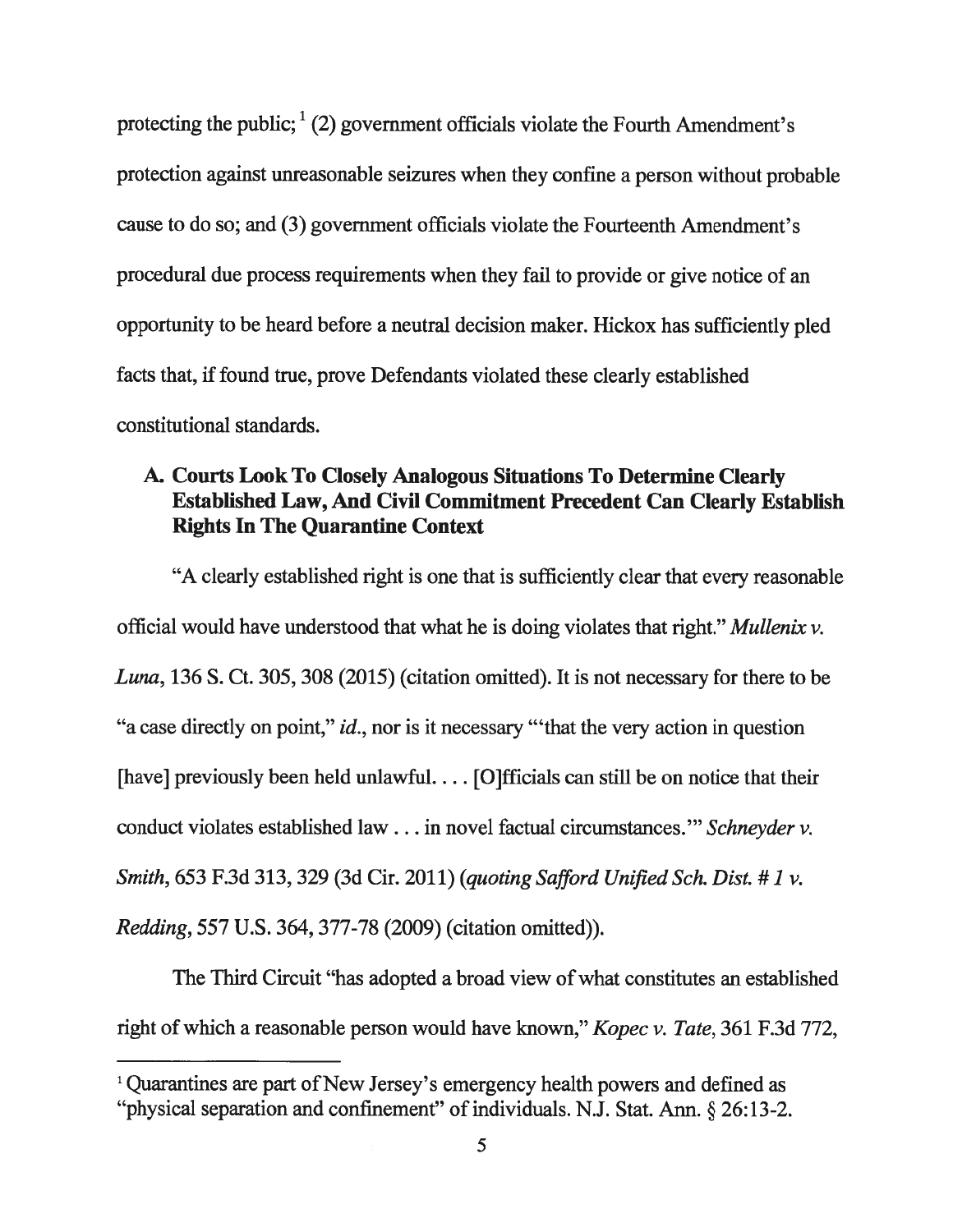protecting the public;  $(2)$  government officials violate the Fourth Amendment's protection against unreasonable seizures when they confine <sup>a</sup> person without probable cause to do so; and (3) governmen<sup>t</sup> officials violate the Fourteenth Amendment's procedural due process requirements when they fail to provide or give notice of an opportunity to be heard before <sup>a</sup> neutral decision maker. Hickox has sufficiently <sup>p</sup>led facts that, if found true, prove Defendants violated these clearly established constitutional standards.

#### A. Courts Look To Closely Analogous Situations To Determine Clearly Established Law, And Civil Commitment Precedent Can Clearly Establish Rights In The Quarantine Context

"A clearly established right is one that is sufficiently clear that every reasonable official would have understood that what he is doing violates that right." Mullenix v. Luna, 136 S. Ct. 305, 308 (2015) (citation omitted). It is not necessary for there to be "a case directly on point," id., nor is it necessary "that the very action in question [have] previously been held unlawful.... [O]fficials can still be on notice that their conduct violates established law. . . in novel factual circumstances." Schneyder v. Smith, 653 F.3d 313, 329 (3d Cir. 2011) (quoting Safford Unified Sch. Dist. #1 v. Redding, 557 U.S. 364, 377-78 (2009) (citation omitted)).

The Third Circuit "has adopted a broad view of what constitutes an established right of which a reasonable person would have known," *Kopec v. Tate*, 361 F.3d 772,

<sup>&</sup>lt;sup>1</sup> Quarantines are part of New Jersey's emergency health powers and defined as "physical separation and confinement" of individuals. N.J. Stat. Ann. § 26:13-2.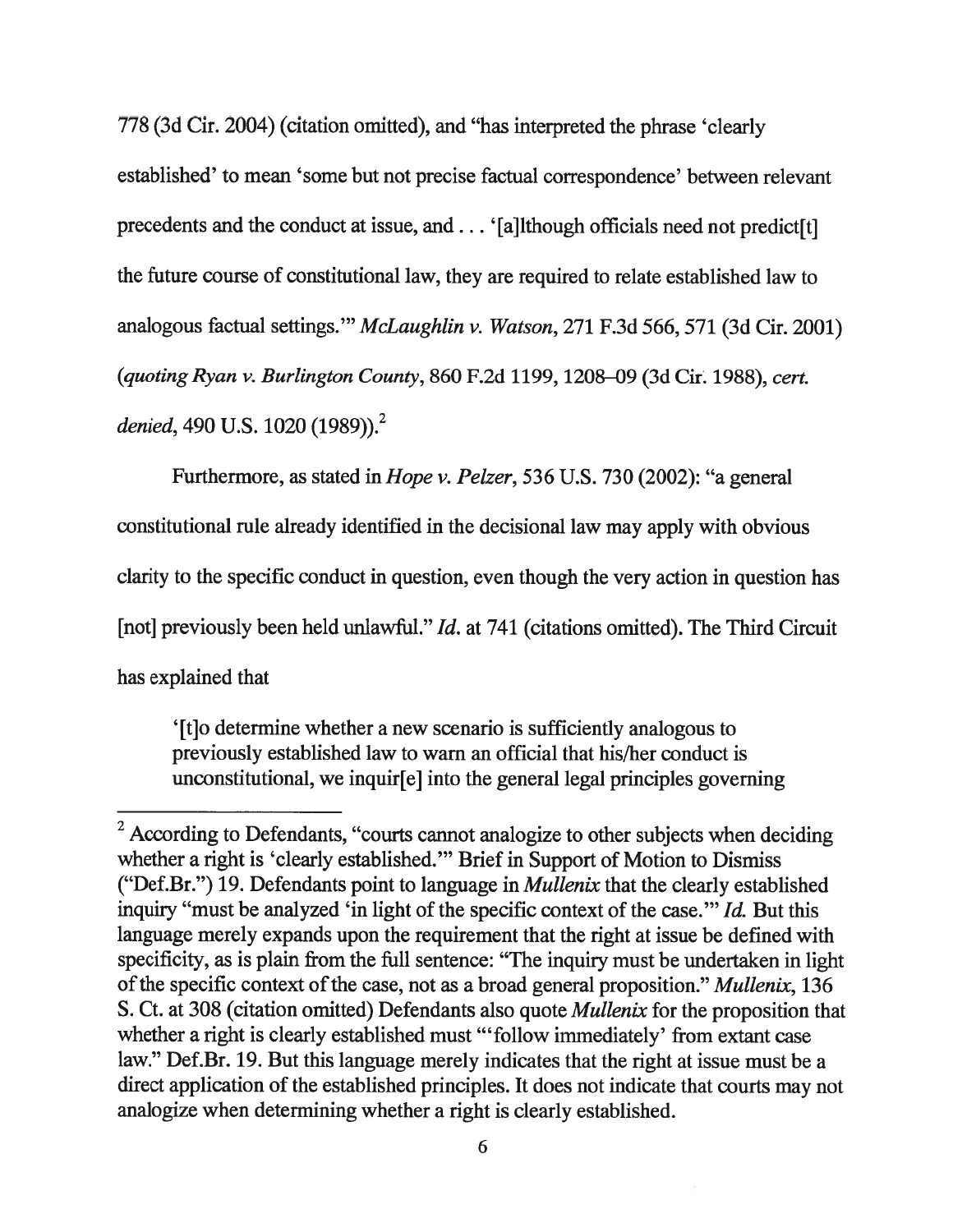778 (3d Cir. 2004) (citation omitted), and "has interpreted the phrase 'clearly established' to mean 'some but not precise factual correspondence' between relevant precedents and the conduct at issue, and... '[a]lthough officials need not predict[t] the future course of constitutional law, they are required to relate established law to analogous factual settings." McLaughlin v. Watson, 271 F.3d 566, 571 (3d Cir. 2001) (quoting Ryan v. Burlington County, 860 F.2d 1199, 1208—09 (3d Cir. 1988), cert. denied, 490 U.S. 1020 (1989)).<sup>2</sup>

Furthermore, as stated in Hope v. Peizer, 536 U.S. 730 (2002): "a general constitutional rule already identified in the decisional law may apply with obvious clarity to the specific conduct in question, even though the very action in question has [not] previously been held unlawful." *Id.* at 741 (citations omitted). The Third Circuit has explained that

'[t]o determine whether <sup>a</sup> new scenario is sufficiently analogous to previously established law to warn an official that his/her conduct is unconstitutional, we inquir[e] into the general legal principles governing

 $2$  According to Defendants, "courts cannot analogize to other subjects when deciding whether <sup>a</sup> right is 'clearly established." Brief in Support of Motion to Dismiss ("Def.Br.") 19. Defendants point to language in Mullenix that the clearly established inquiry "must be analyzed 'in light of the specific context of the case." Id. But this language merely expands upon the requirement that the right at issue be defined with specificity, as is plain from the full sentence: "The inquiry must be undertaken in light of the specific context of the case, not as a broad general proposition." *Mullenix*, 136 S. Ct. at 308 (citation omitted) Defendants also quote Mullenix for the proposition that whether a right is clearly established must "follow immediately' from extant case law." Def.Br. 19. But this language merely indicates that the right at issue must be <sup>a</sup> direct application of the established principles. It does not indicate that courts may not analogize when determining whether <sup>a</sup> right is clearly established.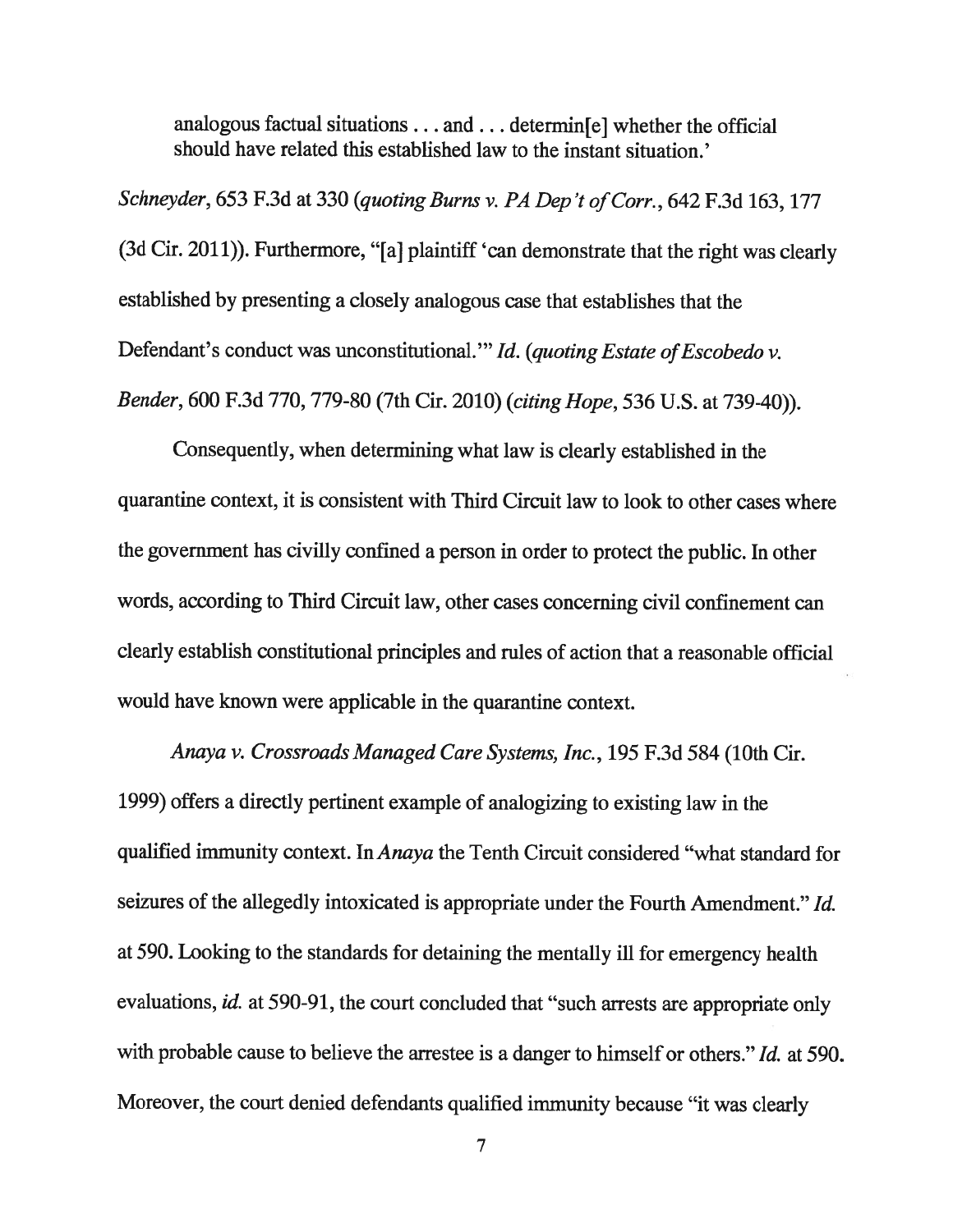analogous factual situations.. . and. . . determin[e] whether the official should have related this established law to the instant situation.'

Schneyder, 653 F.3d at 330 (quoting Burns v. PA Dep't of Corr., 642 F.3d 163, 177 (3d Cir. 2011)). Furthermore, "[a] <sup>p</sup>laintiff 'can demonstrate that the right was clearly established by presenting <sup>a</sup> closely analogous case that establishes that the Defendant's conduct was unconstitutional." Id. (quoting Estate of Escobedo v. Bender, <sup>600</sup> F.3d 770, 779-80 (7th Cir. 2010) (citing Hope, <sup>536</sup> U.S. at 739-40)).

Consequently, when determining what law is clearly established in the quarantine context, it is consistent with Third Circuit law to look to other cases where the governmen<sup>t</sup> has civilly confined <sup>a</sup> person in order to protect the public. In other words, according to Third Circuit law, other cases concerning civil confinement can clearly establish constitutional principles and rules of action that <sup>a</sup> reasonable official would have known were applicable in the quarantine context.

Anaya v. Crossroads Managed Care Systems, Inc., 195 F.3d 584 (10th Cir. 1999) offers <sup>a</sup> directly pertinent example of analogizing to existing law in the qualified immunity context. In Anaya the Tenth Circuit considered "what standard for seizures of the allegedly intoxicated is appropriate under the Fourth Amendment." Id. at 590. Looking to the standards for detaining the mentally ill for emergency health evaluations, id. at 590-91, the court concluded that "such arrests are appropriate only with probable cause to believe the arrestee is a danger to himself or others." *Id.* at 590. Moreover, the court denied defendants qualified immunity because "it was clearly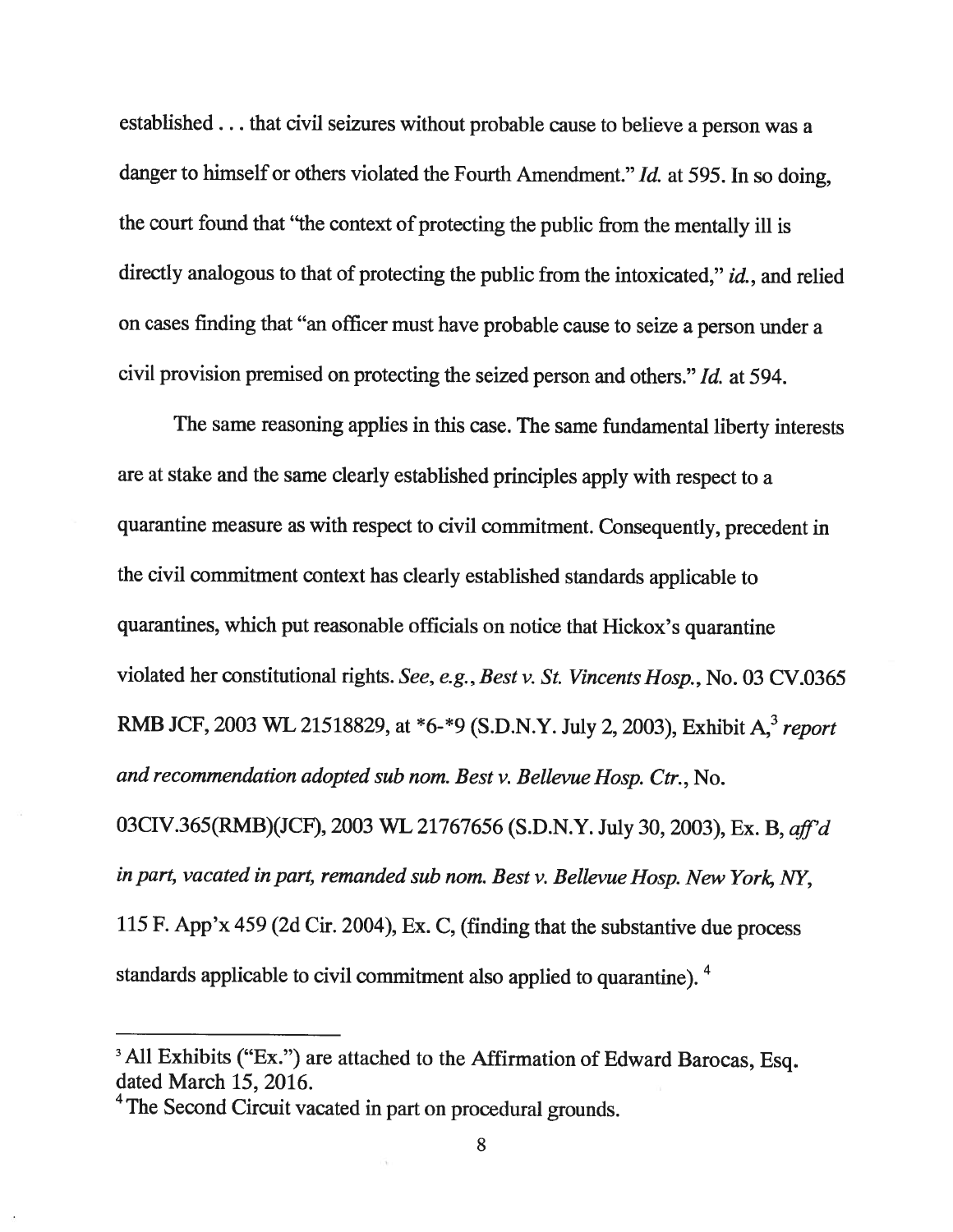established. . . that civil seizures without probable cause to believe <sup>a</sup> person was <sup>a</sup> danger to himself or others violated the Fourth Amendment." Id. at 595. In so doing, the court found that "the context of protecting the public from the mentally ill is directly analogous to that of protecting the public from the intoxicated," id., and relied on cases finding that "an officer must have probable cause to seize <sup>a</sup> person under <sup>a</sup> civil provision premised on protecting the seized person and others." Id. at 594.

The same reasoning applies in this case. The same fundamental liberty interests are at stake and the same clearly established principles apply with respect to <sup>a</sup> quarantine measure as with respect to civil commitment. Consequently, precedent in the civil commitment context has clearly established standards applicable to quarantines, which put reasonable officials on notice that Hickox's quarantine violated her constitutional rights. See, e.g., Best v. St. Vincents Hosp., No. <sup>03</sup> CV.0365 RMB JCF, 2003 WL 21518829, at \*6-\*9 (S.D.N.Y. July 2, 2003), Exhibit A.<sup>3</sup> report and recommendation adopted sub nom. Best v. Bellevue Hosp. Ctr., No. O3CIV.365(RMB)(JCF), <sup>2003</sup> WL <sup>21767656</sup> (S.D.N.Y. July 30, 2003), Ex. B, aff'd in part, vacated in part, remanded sub nom. Best v. Bellevue Hosp. New York, NY, <sup>115</sup> F. App'x <sup>459</sup> (2d Cir. 2004), Ex. C, (finding that the substantive due process

standards applicable to civil commitment also applied to quarantine). <sup>4</sup>

<sup>&</sup>lt;sup>3</sup> All Exhibits ("Ex.") are attached to the Affirmation of Edward Barocas, Esq. dated March 15, 2016.

<sup>&</sup>lt;sup>4</sup> The Second Circuit vacated in part on procedural grounds.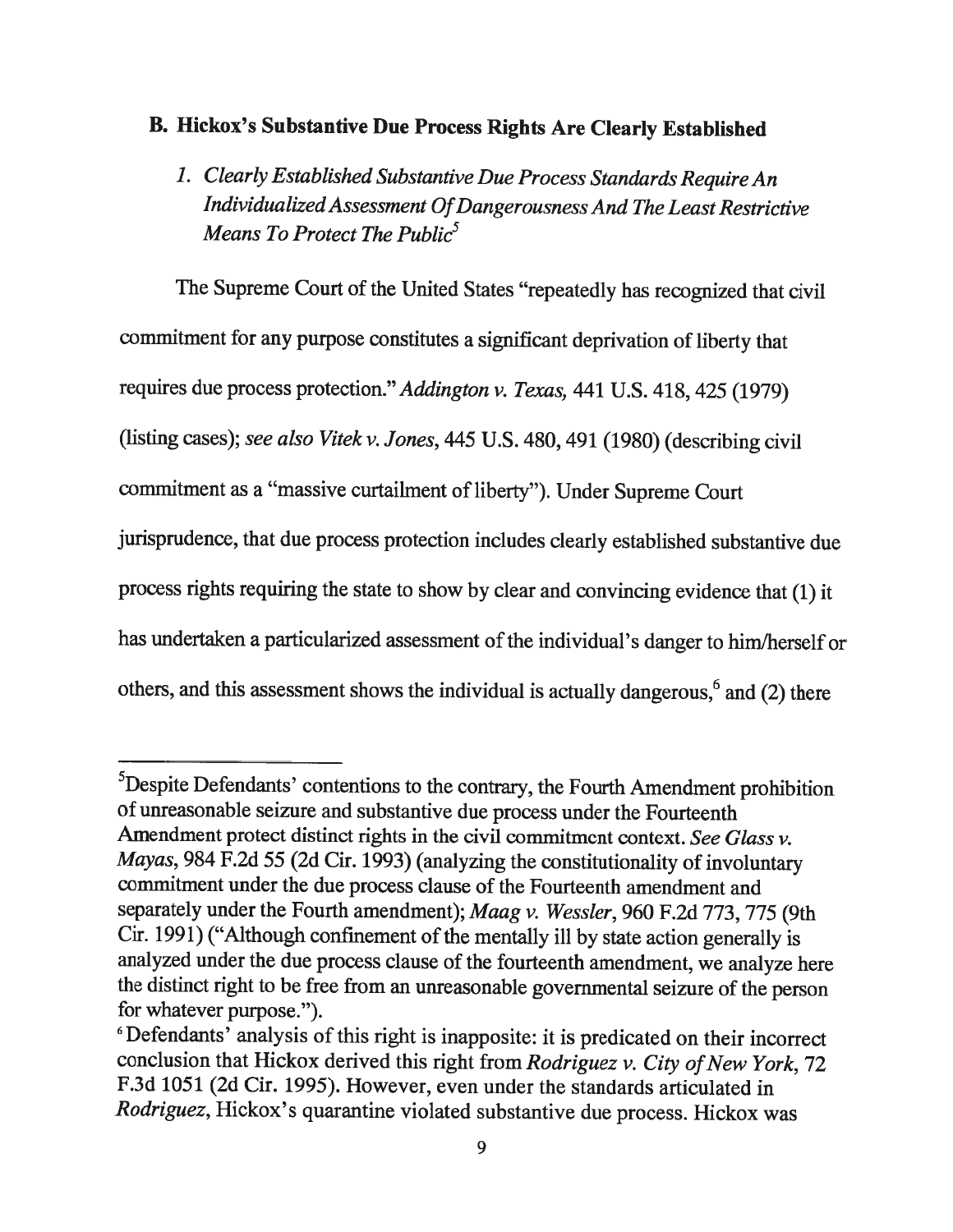# B. Hickox's Substantive Due Process Rights Are Clearly Established

1. Clearly Established Substantive Due Process Standards RequireAn IndividualizedAssessment OfDangerousness And The Least Restrictive Means To Protect The Public<sup>5</sup>

The Supreme Court of the United States "repeatedly has recognized that civil commitment for any purpose constitutes <sup>a</sup> significant deprivation of liberty that requires due process protection." Addington v. Texas, <sup>441</sup> U.S. 418, <sup>425</sup> (1979) (listing cases); see also Vitek v. Jones, <sup>445</sup> U.S. 480, <sup>491</sup> (1980) (describing civil commitment as a "massive curtailment of liberty"). Under Supreme Court jurisprudence, that due process protection includes clearly established substantive due process rights requiring the state to show by clear and convincing evidence that (1) it has undertaken a particularized assessment of the individual's danger to him/herself or others, and this assessment shows the individual is actually dangerous,  $6$  and (2) there

<sup>&</sup>lt;sup>5</sup>Despite Defendants' contentions to the contrary, the Fourth Amendment prohibition of unreasonable seizure and substantive due process under the Fourteenth Amendment protect distinct rights in the civil commitment context. See Glass v. Mayas, <sup>984</sup> F.2d <sup>55</sup> (2d Cir. 1993) (analyzing the constitutionality of involuntary commitment under the due process clause of the Fourteenth amendment and separately under the Fourth amendment); Maag v. Wessler, 960 F.2d 773, 775 (9th Cir. 1991) ("Although confinement of the mentally ill by state action generally is analyzed under the due process clause of the fourteenth amendment, we analyze here the distinct right to be free from an unreasonable governmental seizure of the person for whatever purpose.").

<sup>&</sup>lt;sup>6</sup>Defendants' analysis of this right is inapposite: it is predicated on their incorrect conclusion that Hickox derived this right from Rodriguez v. City of New York, 72 F.3d 1051 (2d Cir. 1995). However, even under the standards articulated in Rodriguez, Hickox's quarantine violated substantive due process. Hickox was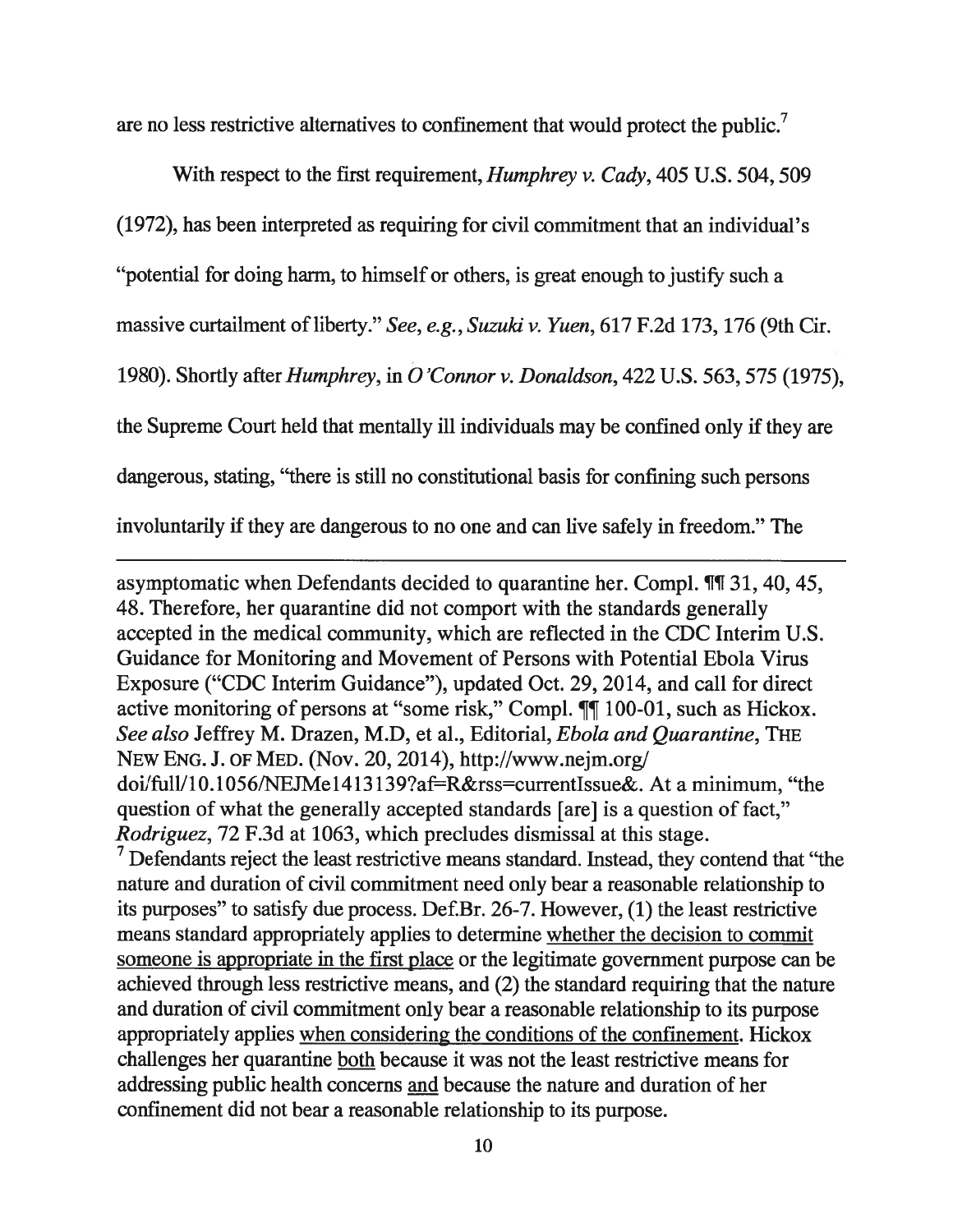are no less restrictive alternatives to confinement that would protect the public.<sup>7</sup>

With respect to the first requirement, *Humphrey v. Cady*, 405 U.S. 504, 509 (1972), has been interpreted as requiring for civil commitment that an individual's "potential for doing harm, to himself or others, is grea<sup>t</sup> enough to justify such <sup>a</sup> massive curtailment of liberty." See, e.g., Suzuki v. Yuen, 617 F.2d 173, 176 (9th Cir. 1980). Shortly after *Humphrey*, in *O'Connor v. Donaldson*, 422 U.S. 563, 575 (1975), the Supreme Court held that mentally ill individuals may be confined only if they are dangerous, stating, "there is still no constitutional basis for confining such persons involuntarily if they are dangerous to no one and can live safely in freedom." The

asymptomatic when Defendants decided to quarantine her. Compl. ¶T 31, 40, 45, 48. Therefore, her quarantine did not compor<sup>t</sup> with the standards generally accepted in the medical community, which are reflected in the CDC Interim U.S. Guidance for Monitoring and Movement of Persons with Potential Ebola Virus Exposure ("CDC Interim Guidance"), updated Oct. 29, 2014, and call for direct active monitoring of persons at "some risk," Compl.  $\P\P$  100-01, such as Hickox. See also Jeffrey M. Drazen, M.D, et al., Editorial, Ebola and Quarantine, THE NEW ENG. J. OF MED. (Nov. 20, 2014), http://www.nejm.org/ doi/full/10.1056/NEJMe1413139?af=R&rss=currentIssue&. At a minimum, "the question of what the generally accepted standards [are] is <sup>a</sup> question of fact," Rodriguez, 72 F.3d at 1063, which precludes dismissal at this stage.

 $\frac{1}{2}$  Defendants reject the least restrictive means standard. Instead, they contend that "the nature and duration of civil commitment need only bear <sup>a</sup> reasonable relationship to its purposes" to satisfy due process. Def.Br. 26-7. However, (1) the least restrictive means standard appropriately applies to determine whether the decision to commit someone is appropriate in the first place or the legitimate governmen<sup>t</sup> purpose can be achieved through less restrictive means, and (2) the standard requiring that the nature and duration of civil commitment only bear <sup>a</sup> reasonable relationship to its purpose appropriately applies when considering the conditions of the confinement. Hickox challenges her quarantine both because it was not the least restrictive means for addressing public health concerns and because the nature and duration of her confinement did not bear <sup>a</sup> reasonable relationship to its purpose.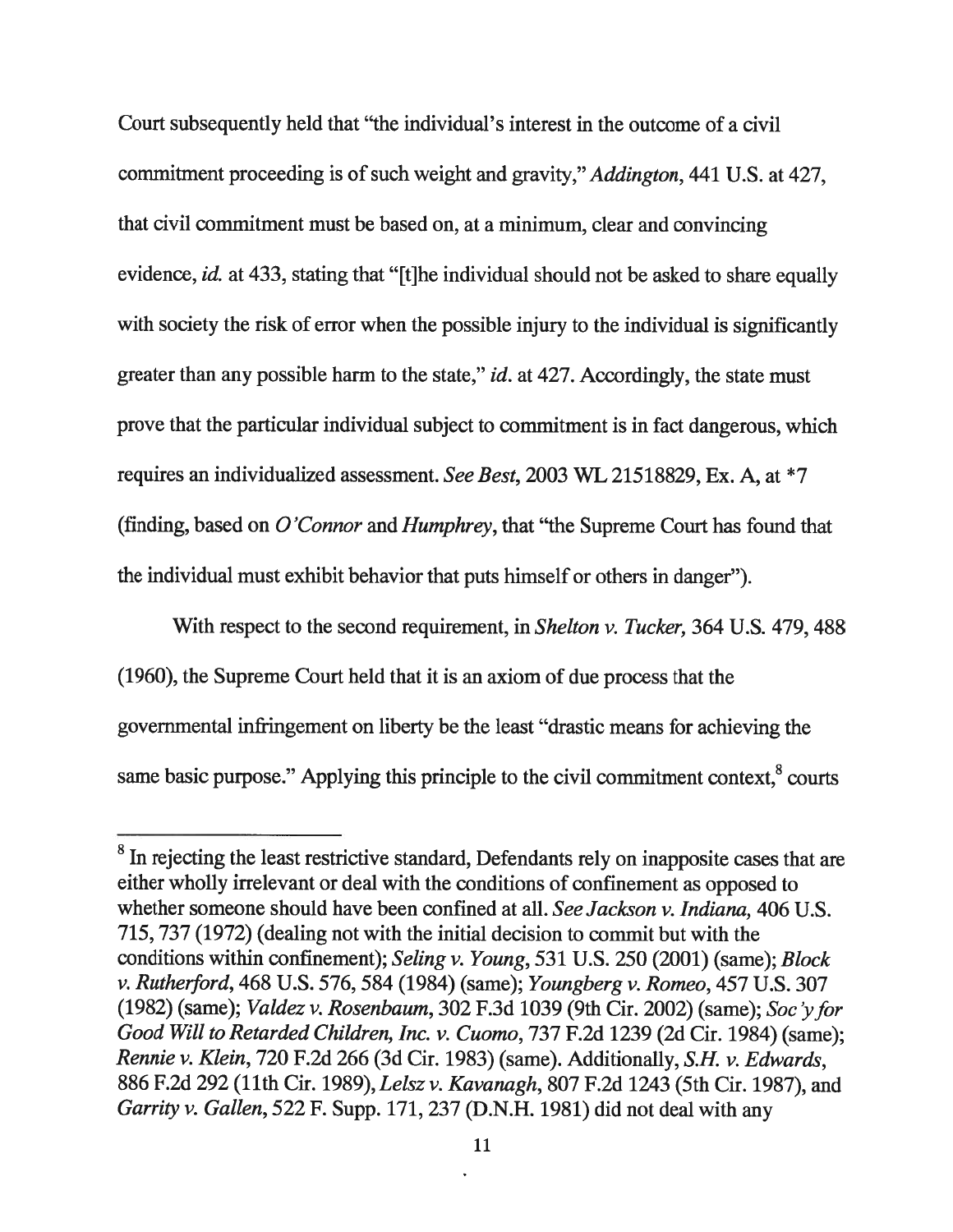Court subsequently held that "the individual's interest in the outcome of <sup>a</sup> civil commitment proceeding is of such weight and gravity," Addington, 441 U.S. at 427, that civil commitment must be based on, at <sup>a</sup> minimum, clear and convincing evidence, *id.* at 433, stating that "[t]he individual should not be asked to share equally with society the risk of error when the possible injury to the individual is significantly greater than any possible harm to the state," *id.* at 427. Accordingly, the state must prove that the particular individual subject to commitment is in fact dangerous, which requires an individualized assessment. See Best, <sup>2003</sup> WL 21518829, Ex. A, at \*7 (finding, based on  $O'Connor$  and Humphrey, that "the Supreme Court has found that the individual must exhibit behavior that puts himself or others in danger").

With respect to the second requirement, in *Shelton v. Tucker*, 364 U.S. 479, 488 (1960), the Supreme Court held that it is an axiom of due process that the governmental infringement on liberty be the least "drastic means for achieving the same basic purpose." Applying this principle to the civil commitment context, $8$  courts

<sup>&</sup>lt;sup>8</sup> In rejecting the least restrictive standard, Defendants rely on inapposite cases that are either wholly irrelevant or deal with the conditions of confinement as opposed to whether someone should have been confined at all. See Jackson v. Indiana, 406 U.S. 715, 737 (1972) (dealing not with the initial decision to commit but with the conditions within confinement); Seling v. Young, 531 U.S. 250 (2001) (same); Block v. Rutherford, 468 U.S. 576, 584 (1984) (same); Youngberg v. Romeo, 457 U.S. 307 (1982) (same); Valdez v. Rosenbaum, <sup>302</sup> F.3d 1039 (9th Cir. 2002) (same); Soc 'yfor Good Will to Retarded Children, Inc. v. Cuomo, 737 F.2d 1239 (2d Cir. 1984) (same); Rennie v. Klein, 720 F.2d 266 (3d Cir. 1983) (same). Additionally, S.H. v. Edwards, 886 F.2d 292 (11th Cir. 1989), Lelsz v. Kavanagh, 807 F.2d 1243 (5th Cir. 1987), and Garrity v. Gallen, <sup>522</sup> F. Supp. 171, <sup>237</sup> (D.N.H. 1981) did not deal with any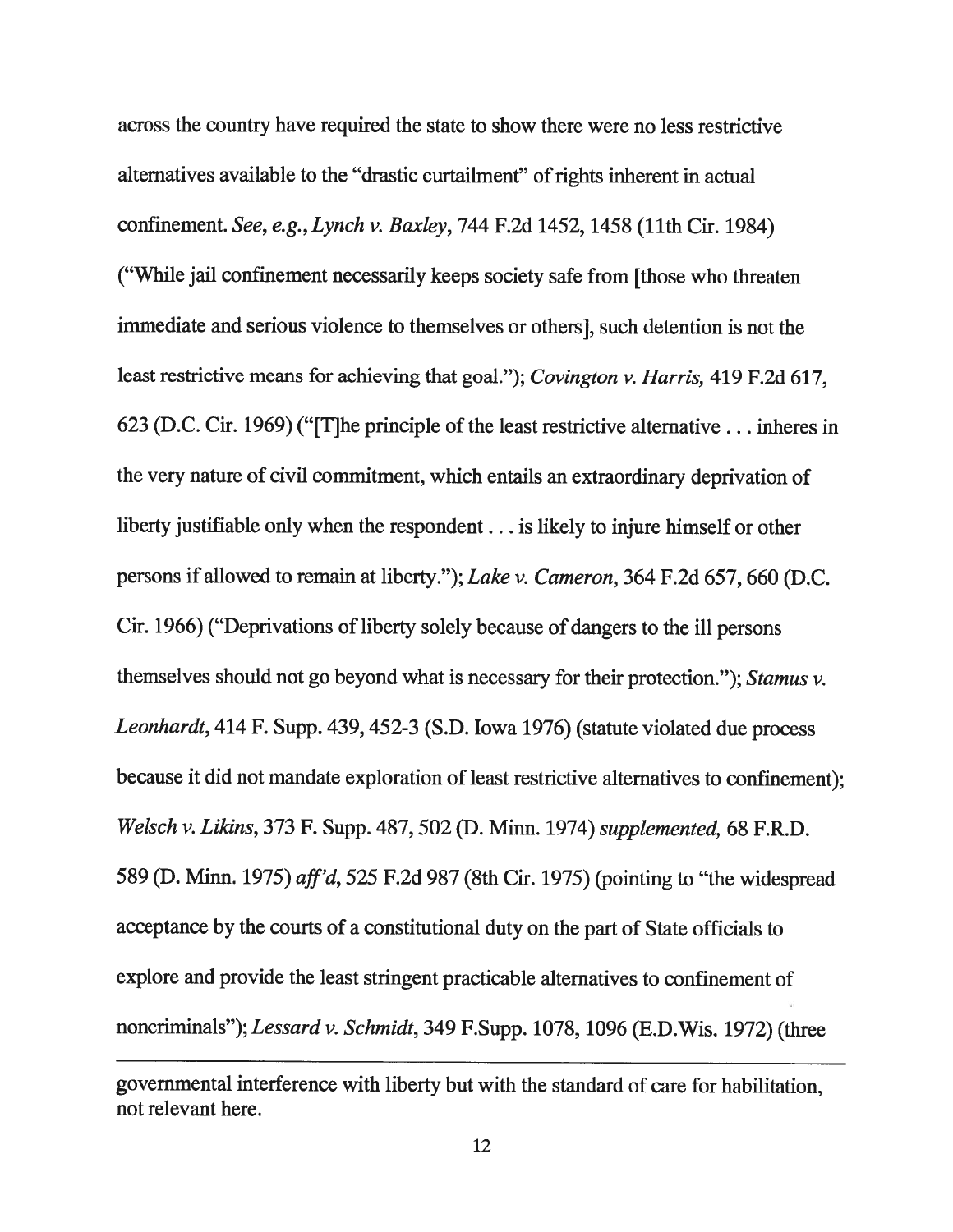across the country have required the state to show there were no less restrictive alternatives available to the "drastic curtailment" of rights inherent in actual confinement. See, e.g., Lynch v. Baxley, 744 F.2d 1452, 1458 (11th Cir. 1984) ("While jail confinement necessarily keeps society safe from [those who threaten immediate and serious violence to themselves or others], such detention is not the least restrictive means for achieving that goal."); Covington v. Harris, 419 F.2d 617, 623 (D.C. Cir. 1969) ("[T]he principle of the least restrictive alternative.. . inheres in the very nature of civil commitment, which entails an extraordinary deprivation of liberty justifiable only when the respondent.. . is likely to injure himself or other persons if allowed to remain at liberty."); Lake v. Cameron, 364 F.2d 657, 660 (D.C. Cir. 1966) ("Deprivations of liberty solely because of dangers to the ill persons themselves should not go beyond what is necessary for their protection."); Stamus v. Leonhardt, <sup>414</sup> F. Supp. 439,452-3 (S.D. Iowa 1976) (statute violated due process because it did not mandate exploration of least restrictive alternatives to confinement); Welsch v. Likins, <sup>373</sup> F. Supp. 487, 502 (D. Minn. 1974) supplemented, <sup>68</sup> F.R.D. <sup>589</sup> (D. Minn. 1975) aff'd, <sup>525</sup> F.2d <sup>987</sup> (8th Cir. 1975) (pointing to "the widespread acceptance by the courts of <sup>a</sup> constitutional duty on the part of State officials to explore and provide the least stringent practicable alternatives to confinement of noncriminals"); Lessard v. Schmidt, 349 F.Supp. 1078, 1096 (E.D. Wis. 1972) (three

governmental interference with liberty but with the standard of care for habilitation, not relevant here.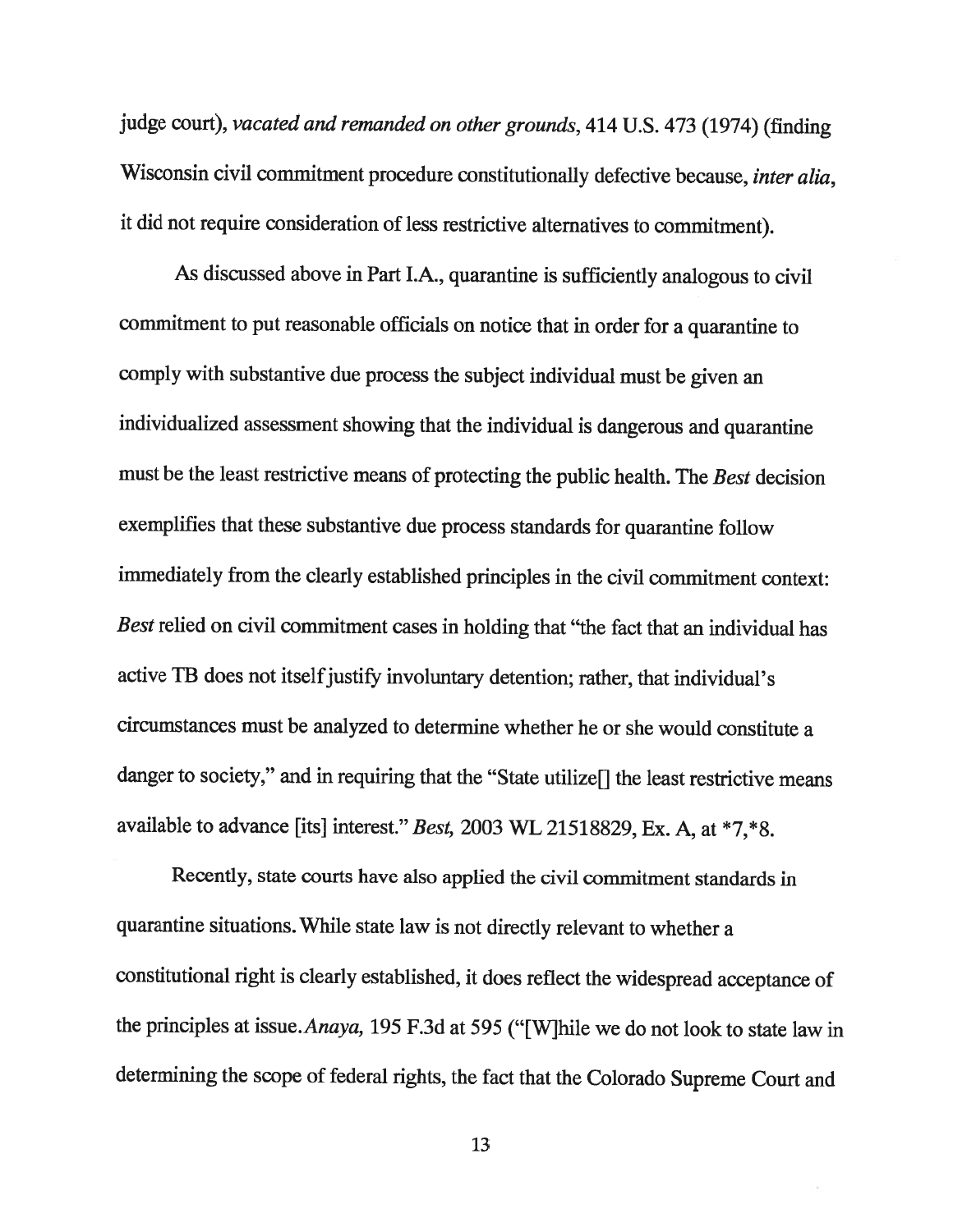judge court), vacated and remanded on other grounds, <sup>414</sup> U.S. <sup>473</sup> (1974) (finding Wisconsin civil commitment procedure constitutionally defective because, *inter alia*, it did not require consideration of less restrictive alternatives to commitment).

As discussed above in Part l.A., quarantine is sufficiently analogous to civil commitment to put reasonable officials on notice that in order for <sup>a</sup> quarantine to comply with substantive due process the subject individual must be <sup>g</sup>iven an individualized assessment showing that the individual is dangerous and quarantine must be the least restrictive means of protecting the public health. The Best decision exemplifies that these substantive due process standards for quarantine follow immediately from the clearly established principles in the civil commitment context: Best relied on civil commitment cases in holding that "the fact that an individual has active TB does not itself justify involuntary detention; rather, that individual's circumstances must be analyzed to determine whether he or she would constitute <sup>a</sup> danger to society," and in requiring that the "State utilize[] the least restrictive means available to advance [its] interest." Best, 2003 WL 21518829, Ex. A, at \*7,\*8.

Recently, state courts have also applied the civil commitment standards in quarantine situations. While state law is not directly relevant to whether <sup>a</sup> constitutional right is clearly established, it does reflect the widespread acceptance of the principles at issue.Anaya, <sup>195</sup> F.3d at 595 ("[W]hile we do not look to state law in determining the scope of federal rights, the fact that the Colorado Supreme Court and

13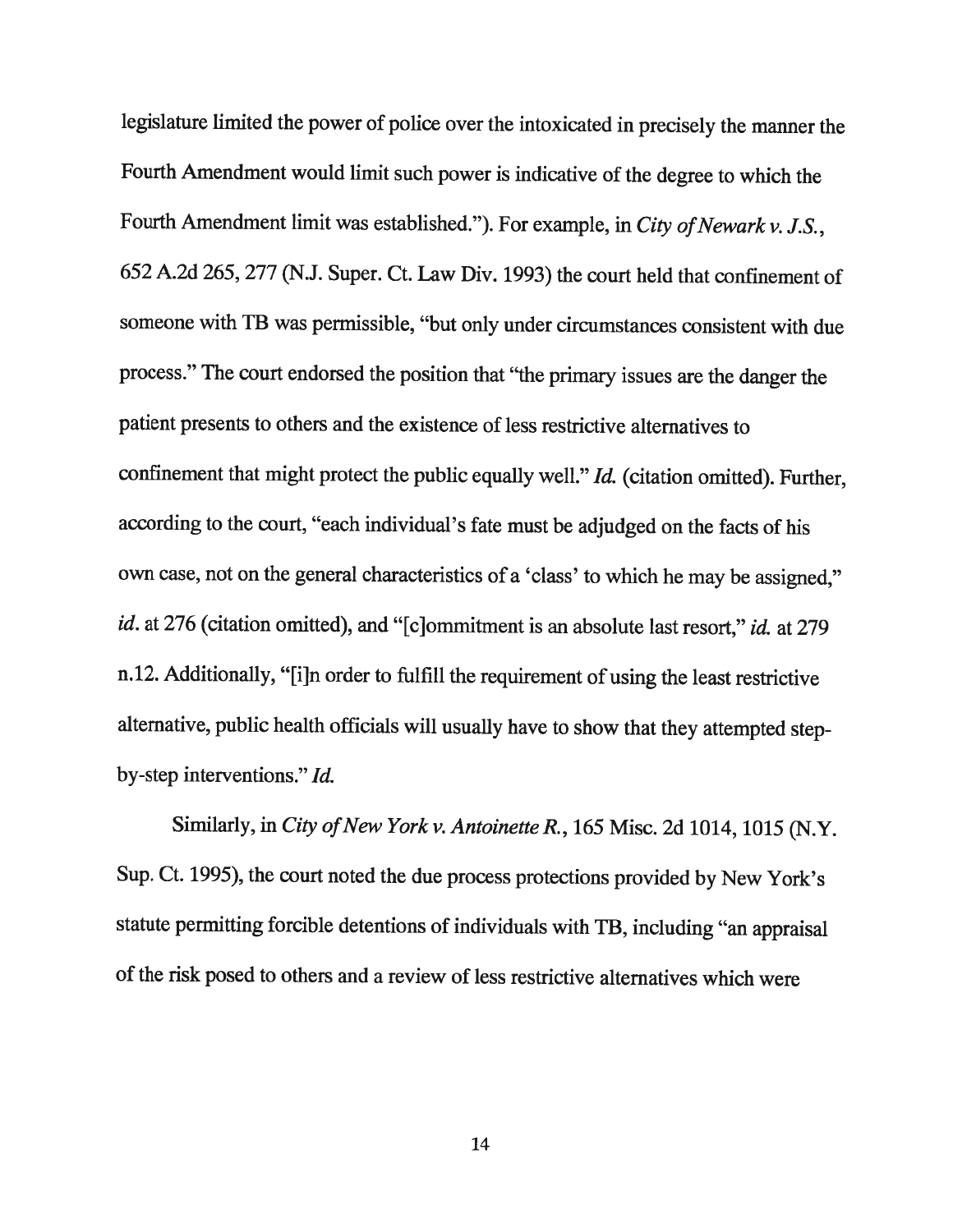legislature limited the power of police over the intoxicated in precisely the manner the Fourth Amendment would limit such power is indicative of the degree to which the Fourth Amendment limit was established."). For example, in City of Newark v. J.S., <sup>652</sup> A.2d 265, <sup>277</sup> (N.J. Super. Ct. Law Div. 1993) the court held that confinement of someone with TB was permissible, "but only under circumstances consistent with due process." The court endorsed the position that "the primary issues are the danger the patient presents to others and the existence of less restrictive alternatives to confinement that might protect the public equally well." Id. (citation omitted). Further, according to the court, "each individual's fate must be adjudged on the facts of his own case, not on the general characteristics of <sup>a</sup> 'class' to which he may be assigned," id. at 276 (citation omitted), and "[c]ommitment is an absolute last resort," id. at 279 n.12. Additionally, "[i]n order to fulfill the requirement of using the least restrictive alternative, public health officials will usually have to show that they attempted stepby-step interventions." Id.

Similarly, in City of New York v. Antoinette R., 165 Misc. 2d 1014, 1015 (N.Y. Sup. Ct. 1995), the court noted the due process protections provided by New York's statute permitting forcible detentions of individuals with TB, including "an appraisal of the risk posed to others and <sup>a</sup> review of less restrictive alternatives which were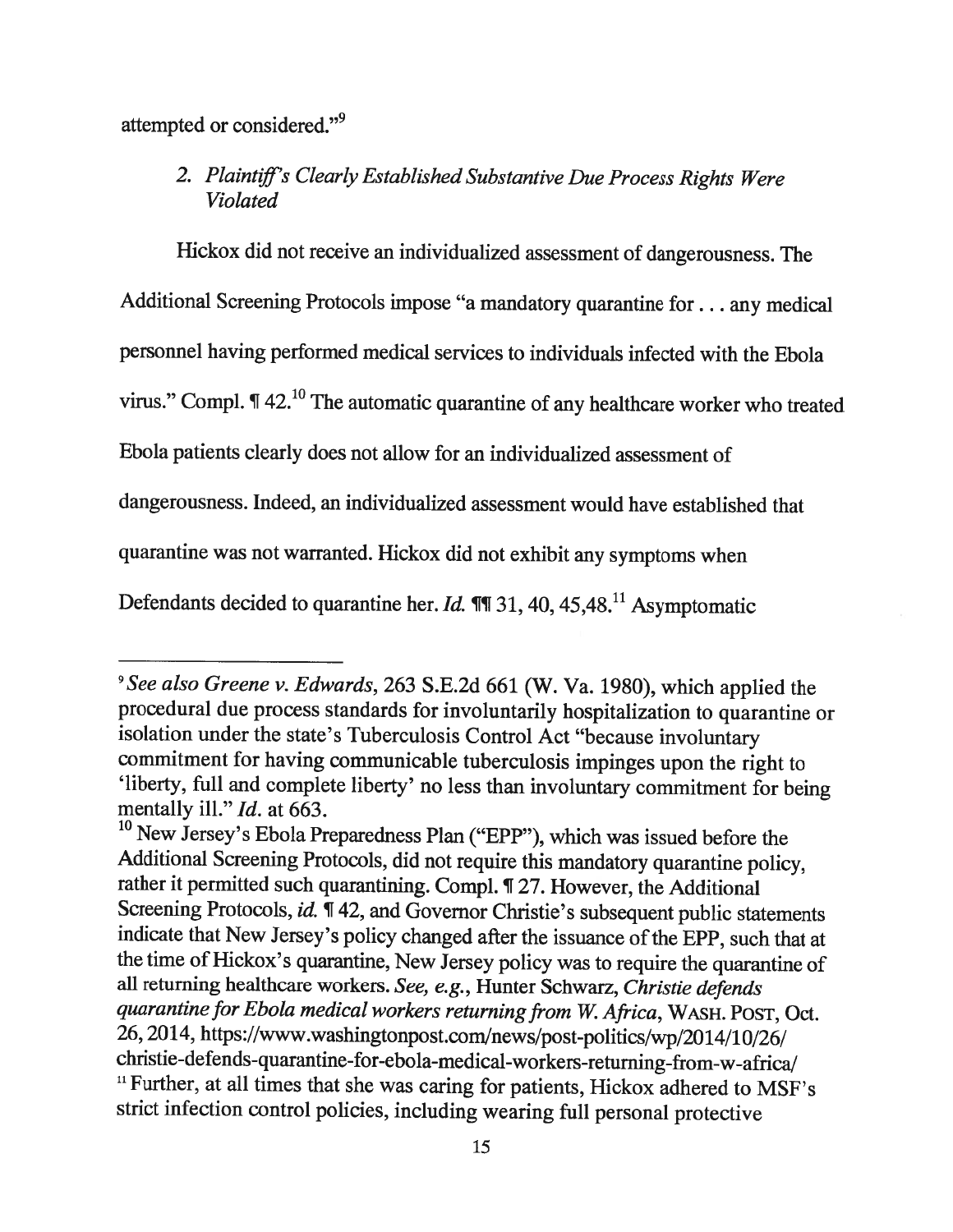attempted or considered."<sup>9</sup>

#### 2. Plaintiff's Clearly Established Substantive Due Process Rights Were Violated

Hickox did not receive an individualized assessment of dangerousness. The

Additional Screening Protocols impose "a mandatory quarantine for. . . any medical

personnel having performed medical services to individuals infected with the Ebola

virus." Compi. ¶ 42.10 The automatic quarantine of any healthcare worker who treated

Ebola patients clearly does not allow for an individualized assessment of

dangerousness. Indeed, an individualized assessment would have established that

quarantine was not warranted. Hickox did not exhibit any symptoms when

Defendants decided to quarantine her. Id.  $\P$  131, 40, 45, 48.<sup>11</sup> Asymptomatic

<sup>&</sup>lt;sup>9</sup> See also Greene v. Edwards, 263 S.E.2d 661 (W. Va. 1980), which applied the procedural due process standards for involuntarily hospitalization to quarantine or isolation under the state's Tuberculosis Control Act "because involuntary commitment for having communicable tuberculosis impinges upon the right to 'liberty, full and complete liberty' no less than involuntary commitment for being mentally ill." Id. at 663.

<sup>&</sup>lt;sup>10</sup> New Jersey's Ebola Preparedness Plan ("EPP"), which was issued before the Additional Screening Protocols, did not require this mandatory quarantine policy, rather it permitted such quarantining. Compi. ¶ 27. However, the Additional Screening Protocols, id.  $\P$  42, and Governor Christie's subsequent public statements indicate that New Jersey's policy changed after the issuance ofthe EPP, such that at the time of Hickox's quarantine, New Jersey policy was to require the quarantine of all returning healthcare workers. See, e.g., Hunter Schwarz, Christie defends quarantine for Ebola medical workers returning from W. Africa, WASH. POST, Oct. 26, 2014, https://www.washingtonpost.com/news/post-politics/wp/2014/10/26/ christie-defends-quarantine-for-ebola-medical-workers-returning-from-w-africa/ <sup>11</sup> Further, at all times that she was caring for patients, Hickox adhered to MSF's strict infection control policies, including wearing full personal protective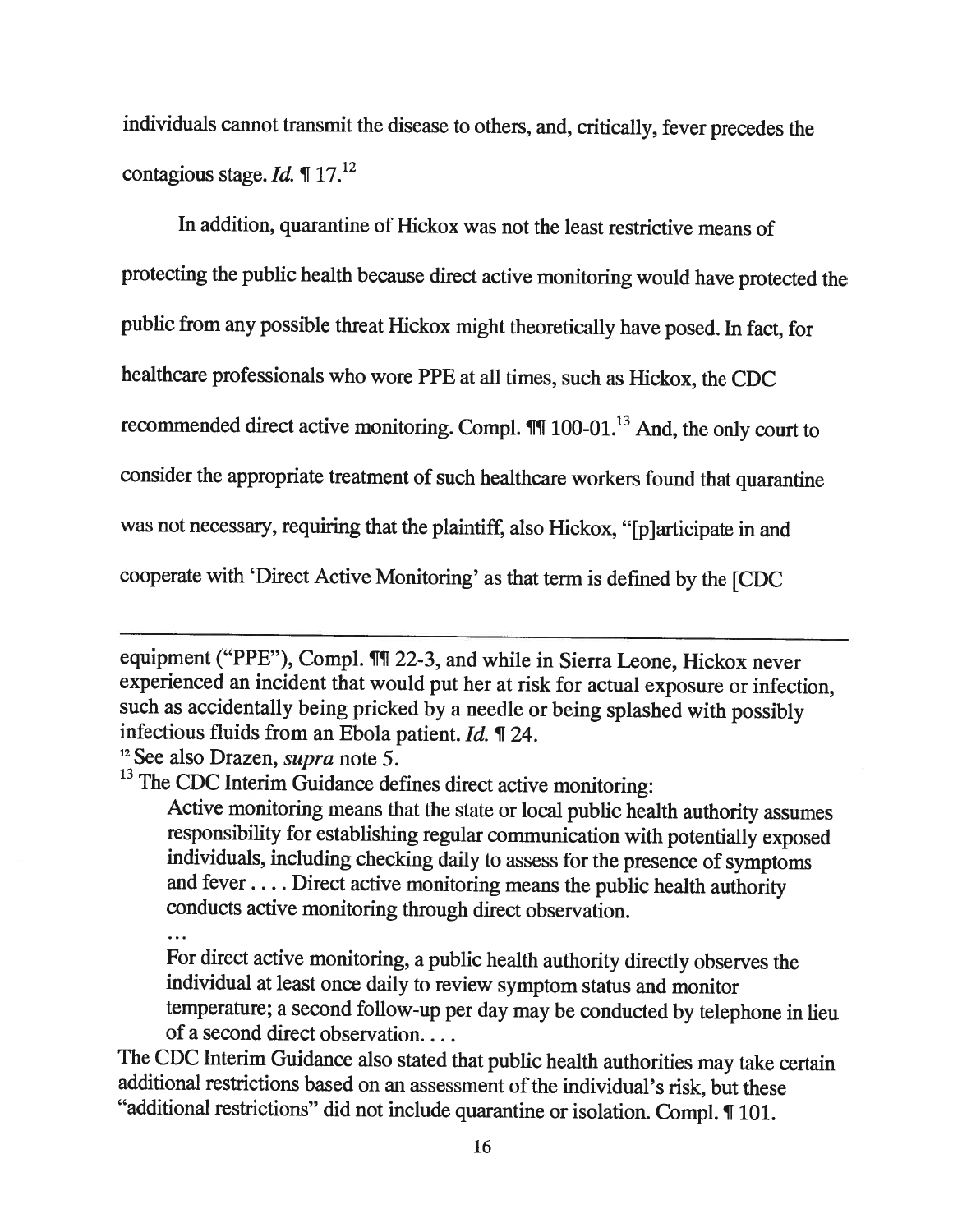individuals cannot transmit the disease to others, and, critically, fever precedes the contagious stage. *Id.*  $\P 17$ <sup>12</sup>

In addition, quarantine of Hickox was not the least restrictive means of protecting the public health because direct active monitoring would have protected the public from any possible threat Hickox might theoretically have posed. In fact, for healthcare professionals who wore PPE at all times, such as Hickox, the CDC recommended direct active monitoring. Compl.  $\mathbb{I} \mathbb{I}$  100-01.<sup>13</sup> And, the only court to consider the appropriate treatment of such healthcare workers found that quarantine was not necessary, requiring that the <sup>p</sup>laintiff, also Hickox, "[p]articipate in and

cooperate with 'Direct Active Monitoring' as that term is defined by the [CDC

For direct active monitoring, <sup>a</sup> public health authority directly observes the individual at least once daily to review symptom status and monitor temperature; <sup>a</sup> second follow-up per day may be conducted by telephone in lieu of <sup>a</sup> second direct observation....

The CDC Interim Guidance also stated that public health authorities may take certain additional restrictions based on an assessment of the individual's risk, but these "additional restrictions" did not include quarantine or isolation. Compi. ¶ 101.

equipment ("PPE"), Compl. ¶1 22-3, and while in Sierra Leone, Hickox never experienced an incident that would put her at risk for actual exposure or infection, such as accidentally being pricked by <sup>a</sup> needle or being splashed with possibly infectious fluids from an Ebola patient. *Id.*  $\P$  24.<br><sup>12</sup> See also Drazen, *supra* note 5.

 $13$  The CDC Interim Guidance defines direct active monitoring:

Active monitoring means that the state or local public health authority assumes responsibility for establishing regular communication with potentially exposed individuals, including checking daily to assess for the presence of symptoms and fever. . . . Direct active monitoring means the public health authority conducts active monitoring through direct observation.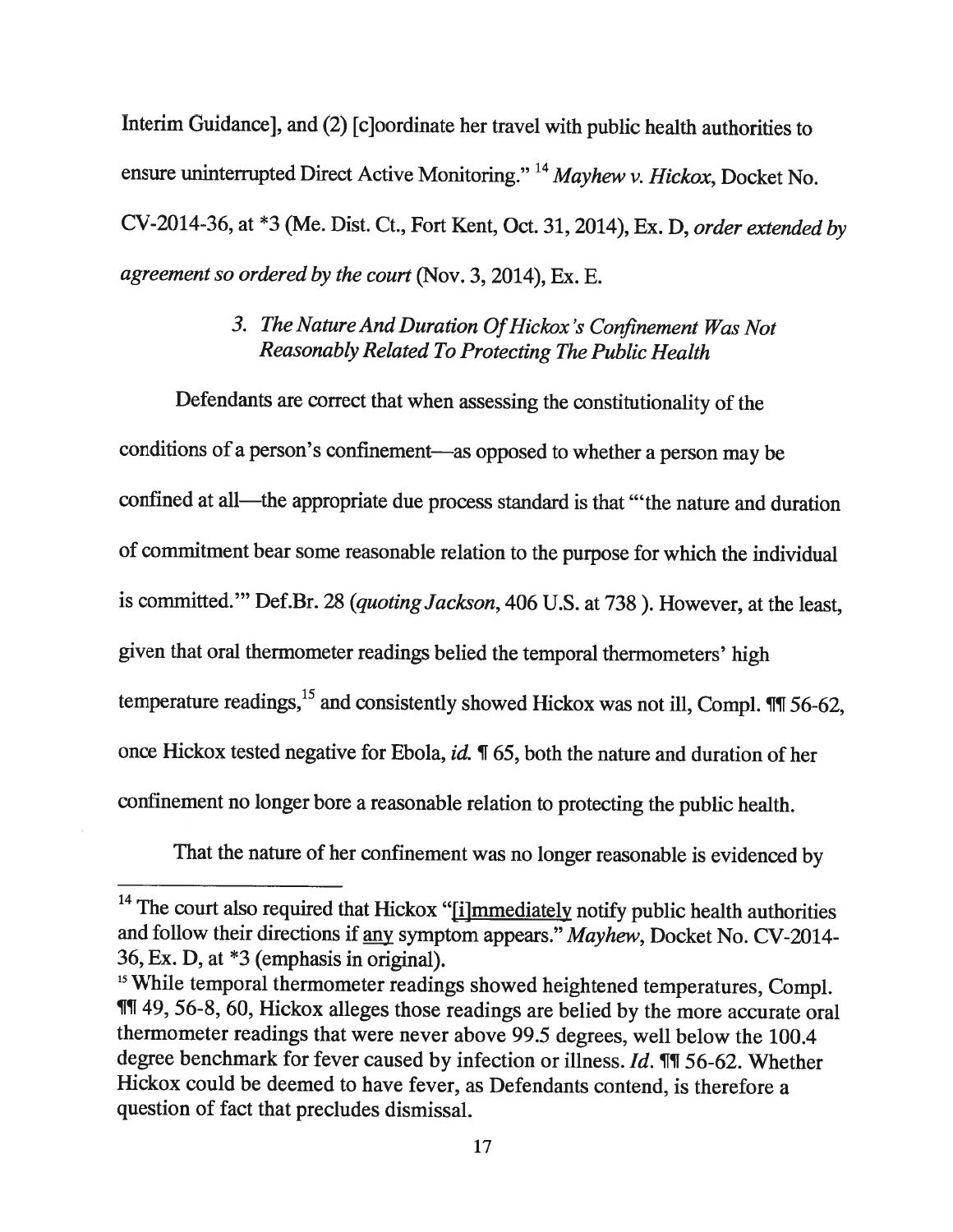Interim Guidancej, and (2) [cloordinate her travel with public health authorities to ensure uninterrupted Direct Active Monitoring." <sup>14</sup> Mayhew v. Hickox, Docket No. CV-2014-36, at \*3 (Me. Dist. Ct., Fort Kent, Oct. 31, 2014), Ex. D, order extended by agreement so ordered by the court (Nov. 3, 2014), Ex. E.

#### 3. The Nature And Duration Of Hickox's Confinement Was Not Reasonably Related To Protecting The Public Health

Defendants are correct that when assessing the constitutionality of the conditions of <sup>a</sup> person's confinement—as opposed to whether <sup>a</sup> person may be confined at all—the appropriate due process standard is that "the nature and duration of commitment bear some reasonable relation to the purpose for which the individual is committed." Def.Br. 28 (quoting Jackson, 406 U.S. at 738). However, at the least, <sup>g</sup>iven that oral thermometer readings belied the temporal thermometers' high temperature readings,  $^{15}$  and consistently showed Hickox was not ill, Compl.  $\P$  156-62, once Hickox tested negative for Ebola, id.  $\P$  65, both the nature and duration of her confinement no longer bore <sup>a</sup> reasonable relation to protecting the public health.

That the nature of her confinement was no longer reasonable is evidenced by

 $14$  The court also required that Hickox "[i]mmediately notify public health authorities and follow their directions if any symptom appears." Mayhew, Docket No. CV-2014-36, Ex. D, at \*3 (emphasis in original).<br><sup>15</sup> While temporal thermometer readings showed heightened temperatures, Compl.

<sup>11 49, 56-8, 60,</sup> Hickox alleges those readings are belied by the more accurate oral thermometer readings that were never above 99.5 degrees, well below the 100.4 degree benchmark for fever caused by infection or illness.  $Id$ . **I'll** 56-62. Whether Hickox could be deemed to have fever, as Defendants contend, is therefore <sup>a</sup> question of fact that precludes dismissal.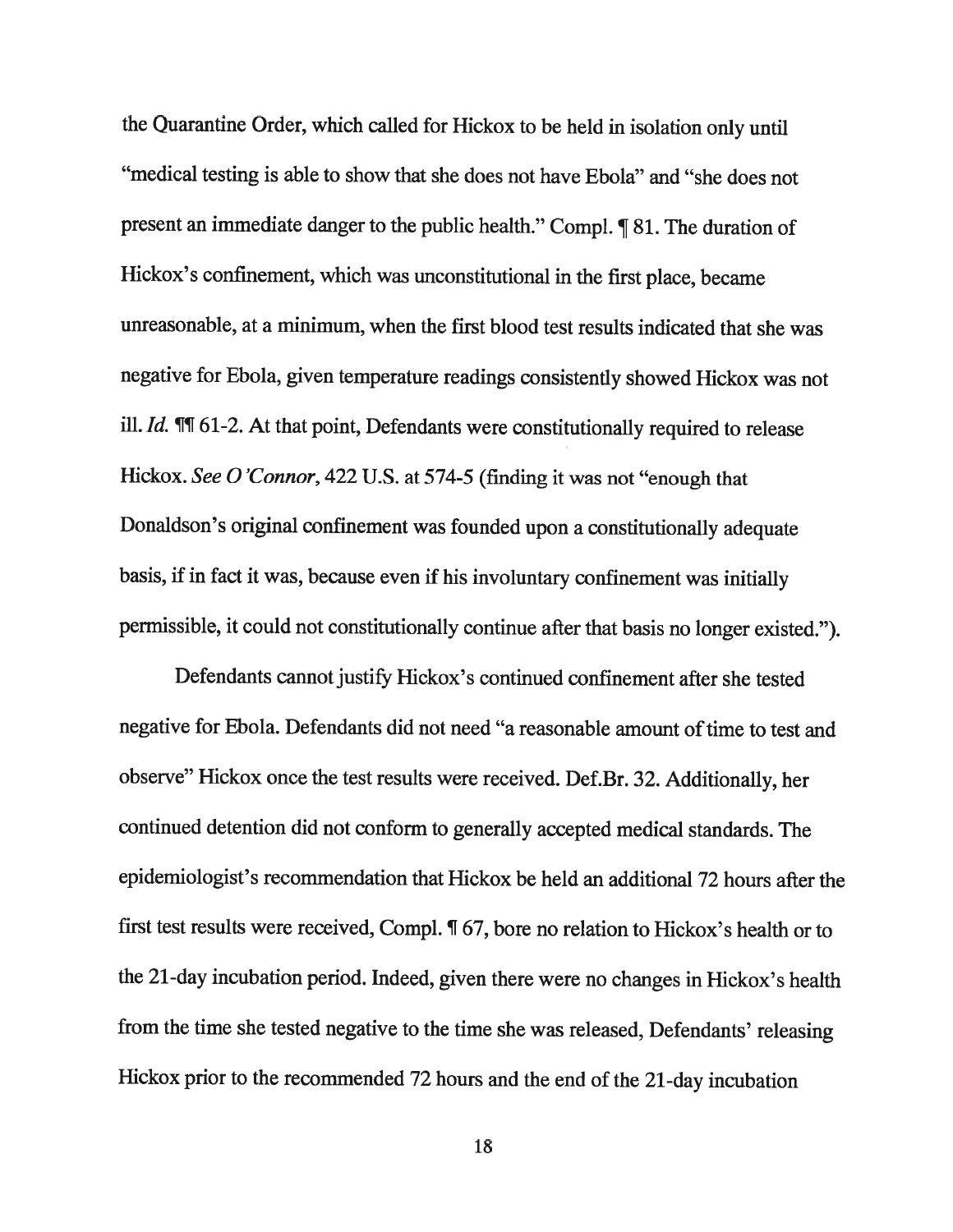the Quarantine Order, which called for Hickox to be held in isolation only until "medical testing is able to show that she does not have Ebola" and "she does not present an immediate danger to the public health." Compl. ¶ 81. The duration of Hickox's confinement, which was unconstitutional in the first <sup>p</sup>lace, became unreasonable, at <sup>a</sup> minimum, when the first blood test results indicated that she was negative for Ebola, <sup>g</sup>iven temperature readings consistently showed Hickox was not ill.  $Id$ .  $\P$  $\P$  61-2. At that point, Defendants were constitutionally required to release Hickox. See <sup>0</sup> 'Connor, <sup>422</sup> U.S. at 574-5 (finding it was not "enough that Donaldson's original confinement was founded upon <sup>a</sup> constitutionally adequate basis, if in fact it was, because even if his involuntary confinement was initially permissible, it could not constitutionally continue after that basis no longer existed.").

Defendants cannot justify Hickox's continued confinement after she tested negative for Ebola. Defendants did not need "a reasonable amount of time to test and observe" Hickox once the test results were received. Def.Br. 32. Additionally, her continued detention did not conform to generally accepted medical standards. The epidemiologist's recommendation that Hickox be held an additional 72 hours after the first test results were received, Compl. ¶ 67, bore no relation to Hickox's health or to the 21-day incubation period. Indeed, <sup>g</sup>iven there were no changes in Hickox's health from the time she tested negative to the time she was released, Defendants' releasing Hickox prior to the recommended <sup>72</sup> hours and the end of the 21-day incubation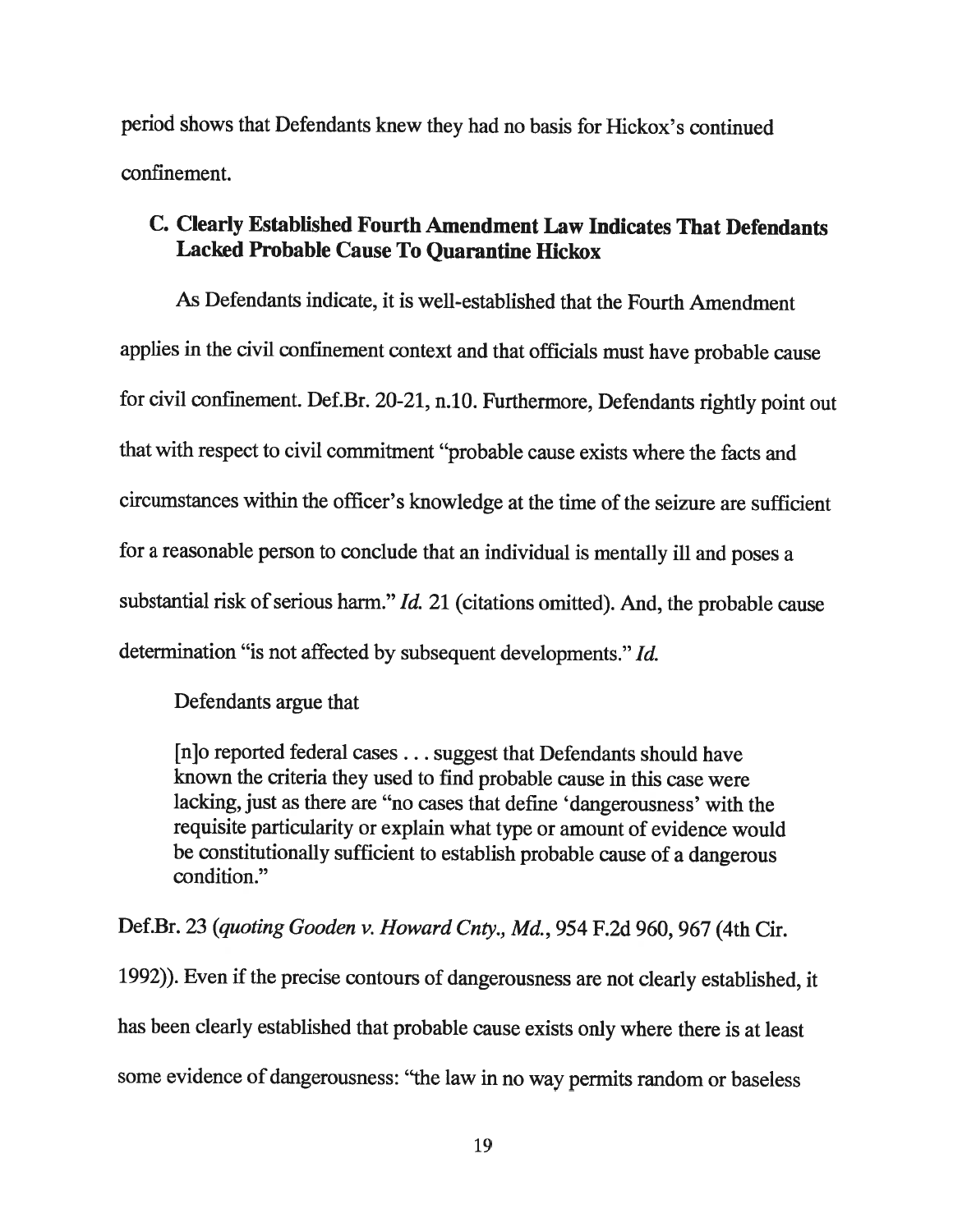period shows that Defendants knew they had no basis for Hickox's continued confinement.

#### C. Clearly Established Fourth Amendment Law Indicates That Defendants Lacked Probable Cause To Quarantine Hickox

As Defendants indicate, it is well-established that the Fourth Amendment applies in the civil confinement context and that officials must have probable cause for civil confinement. Def.Br. 20-21, n.10. Furthermore, Defendants rightly point out that with respect to civil commitment "probable cause exists where the facts and circumstances within the officer's knowledge at the time of the seizure are sufficient for <sup>a</sup> reasonable person to conclude that an individual is mentally ill and poses <sup>a</sup> substantial risk of serious harm."  $Id. 21$  (citations omitted). And, the probable cause determination "is not affected by subsequent developments." Id.

Defendants argue that

[n]o reported federal cases . . . suggest that Defendants should have known the criteria they used to find probable cause in this case were lacking, just as there are "no cases that define 'dangerousness' with the requisite particularity or explain what type or amount of evidence would be constitutionally sufficient to establish probable cause of <sup>a</sup> dangerous condition."

Def.Br. <sup>23</sup> (quoting Gooden v. Howard Cnty., Md., <sup>954</sup> F.2d 960, <sup>967</sup> (4th Cir.

1992)). Even if the precise contours of dangerousness are not clearly established, it has been clearly established that probable cause exists only where there is at least some evidence of dangerousness: "the law in no way permits random or baseless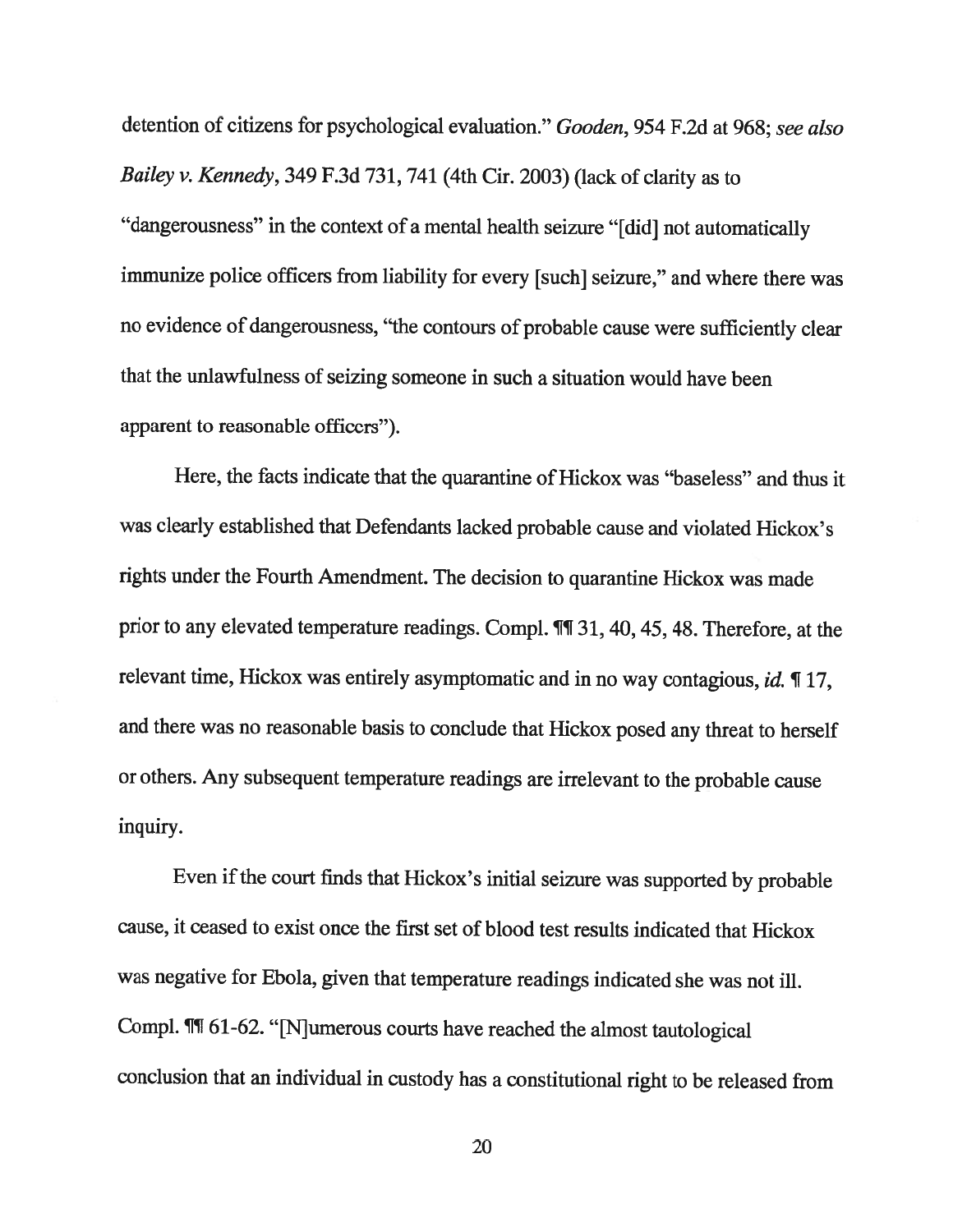detention of citizens for psychological evaluation." Gooden, 954 F.2d at 968; see also Bailey v. Kennedy, <sup>349</sup> F.3d 731, <sup>741</sup> (4th Cir. 2003) (lack of clarity as to "dangerousness" in the context of <sup>a</sup> mental health seizure "[did] not automatically immunize police officers from liability for every [such] seizure," and where there was no evidence of dangerousness, "the contours of probable cause were sufficiently clear that the unlawfulness of seizing someone in such <sup>a</sup> situation would have been apparent to reasonable officers").

Here, the facts indicate that the quarantine of Hickox was "baseless" and thus it was clearly established that Defendants lacked probable cause and violated Hickox's rights under the Fourth Amendment. The decision to quarantine Hickox was made prior to any elevated temperature readings. Compl.  $\P$ [1 31, 40, 45, 48. Therefore, at the relevant time, Hickox was entirely asymptomatic and in no way contagious, id. ¶ 17, and there was no reasonable basis to conclude that Hickox posed any threat to herself or others. Any subsequent temperature readings are irrelevant to the probable cause inquiry.

Even if the court finds that Hickox's initial seizure was supported by probable cause, it ceased to exist once the first set of blood test results indicated that Hickox was negative for Ebola, <sup>g</sup>iven that temperature readings indicated she was not ill. Compi. ¶T 61-62. "[N]umerous courts have reached the almost tautological conclusion that an individual in custody has <sup>a</sup> constitutional right to be released from

20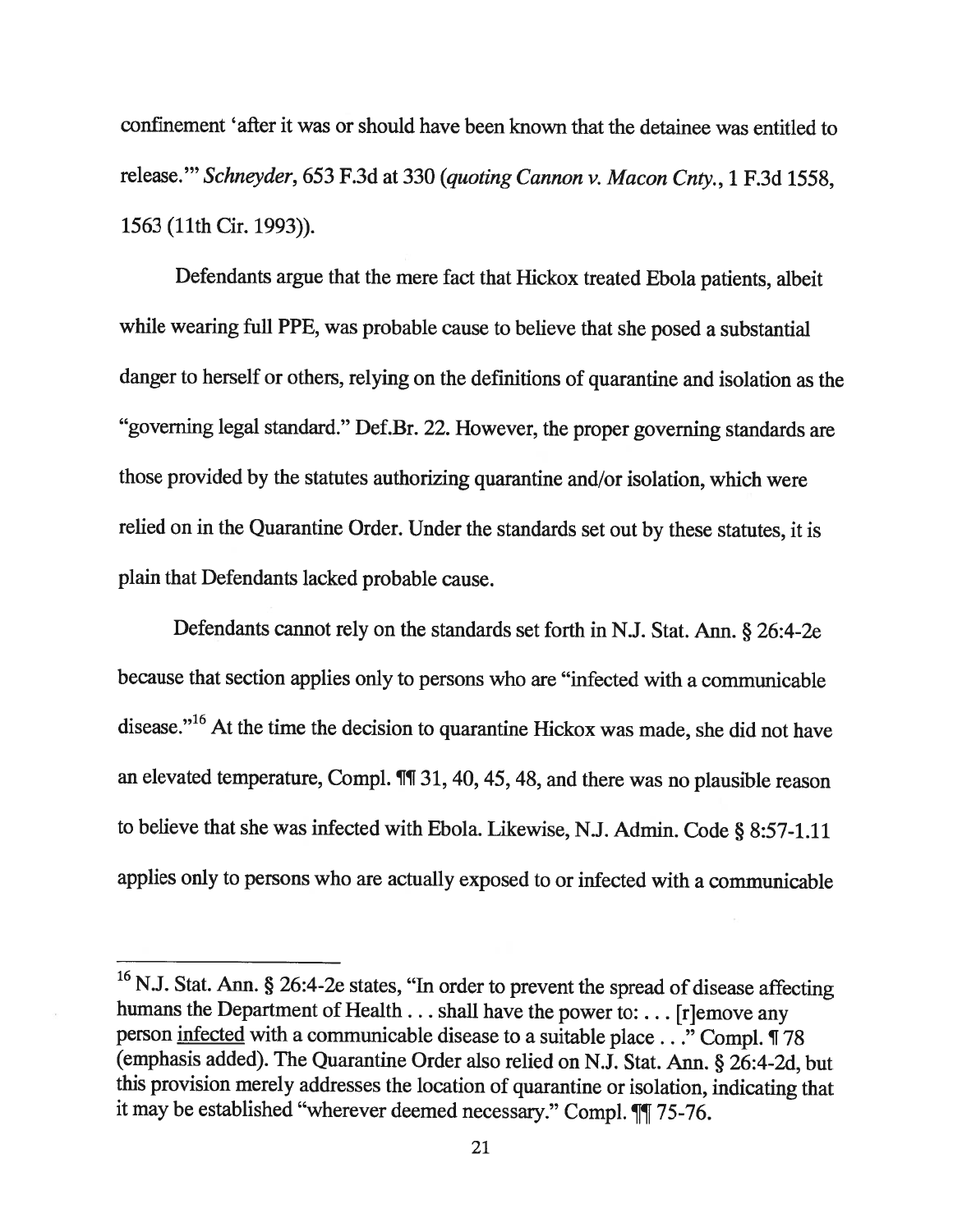confinement 'after it was or should have been known that the detainee was entitled to release." Schneyder, 653 F.3d at 330 (quoting Cannon v. Macon Cnty., 1 F.3d 1558, 1563 (11th Cir. 1993)).

Defendants argue that the mere fact that Hickox treated Ebola patients, albeit while wearing full PPE, was probable cause to believe that she posed <sup>a</sup> substantial danger to herself or others, relying on the definitions of quarantine and isolation as the "governing legal standard." Def.Br. 22. However, the proper governing standards are those provided by the statutes authorizing quarantine and/or isolation, which were relied on in the Quarantine Order. Under the standards set out by these statutes, it is <sup>p</sup>lain that Defendants lacked probable cause.

Defendants cannot rely on the standards set forth in N.J. Stat. Ann. § 26:4-2e because that section applies only to persons who are "infected with <sup>a</sup> communicable disease."<sup>16</sup> At the time the decision to quarantine Hickox was made, she did not have an elevated temperature, Compi. ¶T 31, 40, 45, 48, and there was no <sup>p</sup>lausible reason to believe that she was infected with Ebola. Likewise, N.J. Admin. Code § 8:57-1.11 applies only to persons who are actually exposed to or infected with <sup>a</sup> communicable

<sup>&</sup>lt;sup>16</sup> N.J. Stat. Ann. § 26:4-2e states, "In order to prevent the spread of disease affecting humans the Department of Health . . . shall have the power to: . . . [r]emove any person infected with a communicable disease to a suitable place . . ." Compl. ¶ 78 (emphasis added). The Quarantine Order also relied on N.J. Stat. Ann. § 26:4-2d, but this provision merely addresses the location of quarantine or isolation, indicating that it may be established "wherever deemed necessary." Compl. ¶[75-76.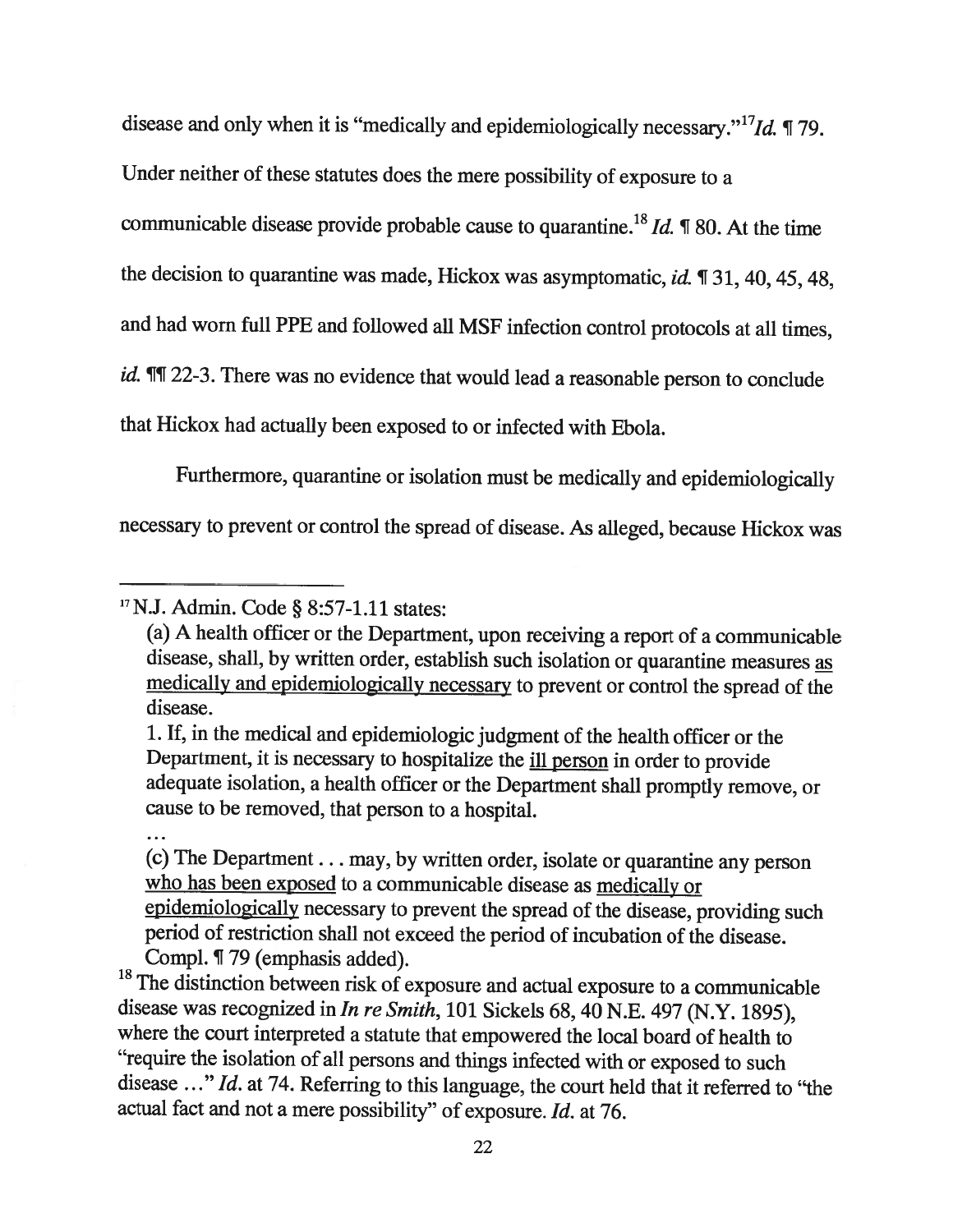disease and only when it is "medically and epidemiologically necessary."  $^{17}Id$ . ¶ 79.

Under neither of these statutes does the mere possibility of exposure to <sup>a</sup>

communicable disease provide probable cause to quarantine.<sup>18</sup> *Id.*  $\mathbb{I}$  80. At the time

the decision to quarantine was made, Hickox was asymptomatic, id. ¶ 31, 40, 45, 48,

and had worn full PPE and followed all MSF infection control protocols at all times,

id.  $\P$ [1 22-3. There was no evidence that would lead a reasonable person to conclude

that Hickox had actually been exposed to or infected with Ebola.

Furthermore, quarantine or isolation must be medically and epidemiologically

necessary to prevent or control the spread of disease. As alleged, because Hickox was

(c) The Department. . . may, by written order, isolate or quarantine any person who has been exposed to <sup>a</sup> communicable disease as medically or epidemiologically necessary to prevent the spread of the disease, providing such period of restriction shall not exceed the period of incubation of the disease.

Compl.  $\P$  79 (emphasis added).<br><sup>18</sup> The distinction between risk of exposure and actual exposure to a communicable disease was recognized in In re Smith, 101 Sickels 68, 40 N.E. 497 (N.Y. 1895), where the court interpreted <sup>a</sup> statute that empowered the local board of health to "require the isolation of all persons and things infected with or exposed to such disease ..." Id. at 74. Referring to this language, the court held that it referred to "the actual fact and not <sup>a</sup> mere possibility" of exposure. Id. at 76.

<sup>&#</sup>x27;7N.J. Admin. Code § 8:57-1.11 states:

<sup>(</sup>a) <sup>A</sup> health officer or the Department, upon receiving <sup>a</sup> report of <sup>a</sup> communicable disease, shall, by written order, establish such isolation or quarantine measures as medically and epidemiologically necessary to prevent or control the spread of the disease.

<sup>1.</sup> If, in the medical and epidemiologic judgment of the health officer or the Department, it is necessary to hospitalize the ill person in order to provide adequate isolation, <sup>a</sup> health officer or the Department shall promptly remove, or cause to be removed, that person to <sup>a</sup> hospital.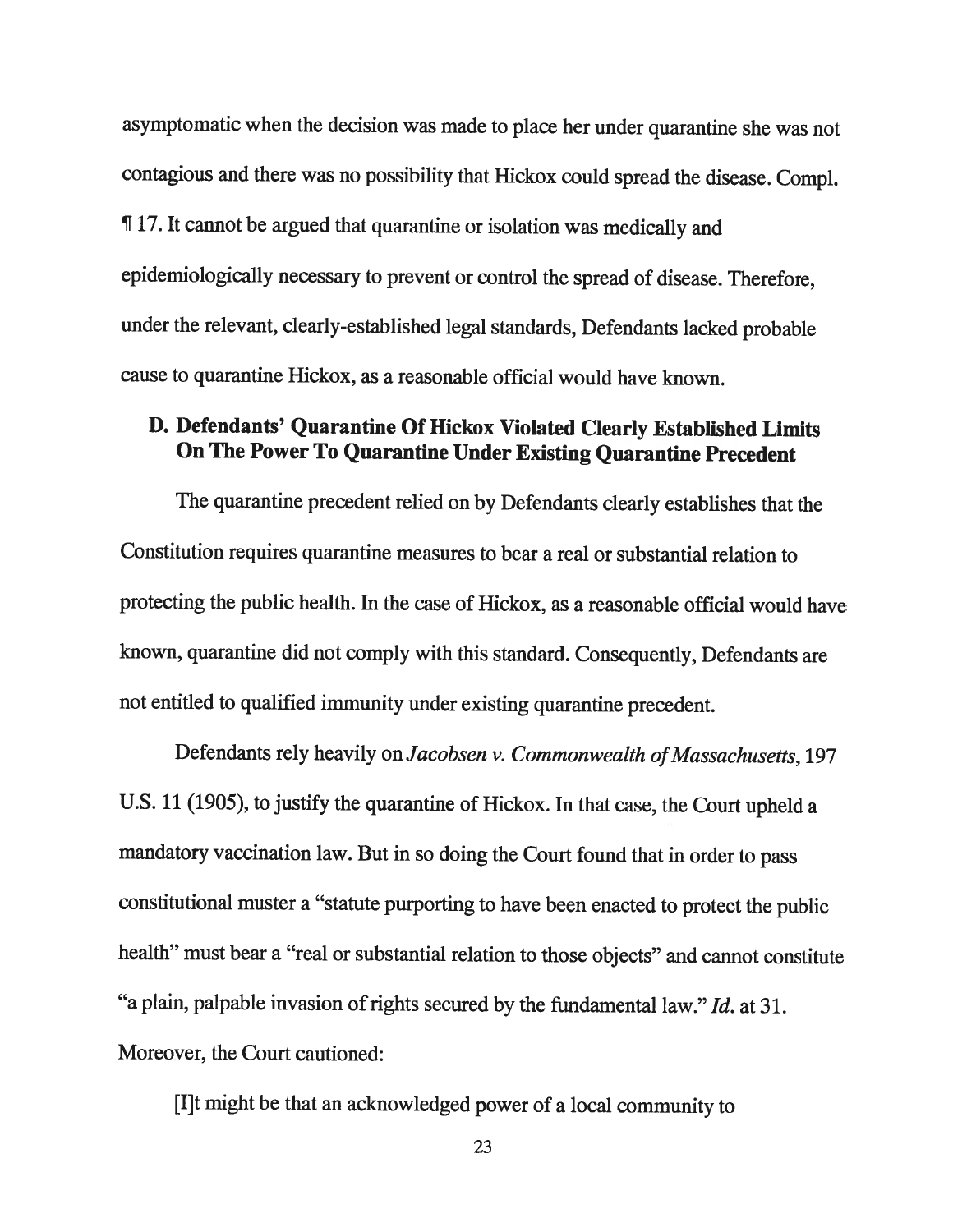asymptomatic when the decision was made to <sup>p</sup>lace her under quarantine she was not contagious and there was no possibility that Hickox could spread the disease. Compl. ¶ 17. It cannot be argued that quarantine or isolation was medically and epidemiologically necessary to prevent or control the spread of disease. Therefore, under the relevant, clearly-established legal standards, Defendants lacked probable cause to quarantine Hickox, as <sup>a</sup> reasonable official would have known.

#### D. Defendants' Quarantine Of Hickox Violated Clearly Established Limits On The Power To Quarantine Under Existing Quarantine Precedent

The quarantine precedent relied on by Defendants clearly establishes that the Constitution requires quarantine measures to bear <sup>a</sup> real or substantial relation to protecting the public health. In the case of Hickox, as <sup>a</sup> reasonable official would have known, quarantine did not comply with this standard. Consequently, Defendants are not entitled to qualified immunity under existing quarantine precedent.

Defendants rely heavily on Jacobsen v. Commonwealth of Massachusetts, 197 U.S. <sup>11</sup> (1905), to justify the quarantine of Hickox. In that case, the Court upheld <sup>a</sup> mandatory vaccination law. But in so doing the Court found that in order to pass constitutional muster <sup>a</sup> "statute purporting to have been enacted to protect the public health" must bear <sup>a</sup> "real or substantial relation to those objects" and cannot constitute "a plain, palpable invasion of rights secured by the fundamental law." Id. at 31. Moreover, the Court cautioned:

[IJt might be that an acknowledged power of <sup>a</sup> local community to

23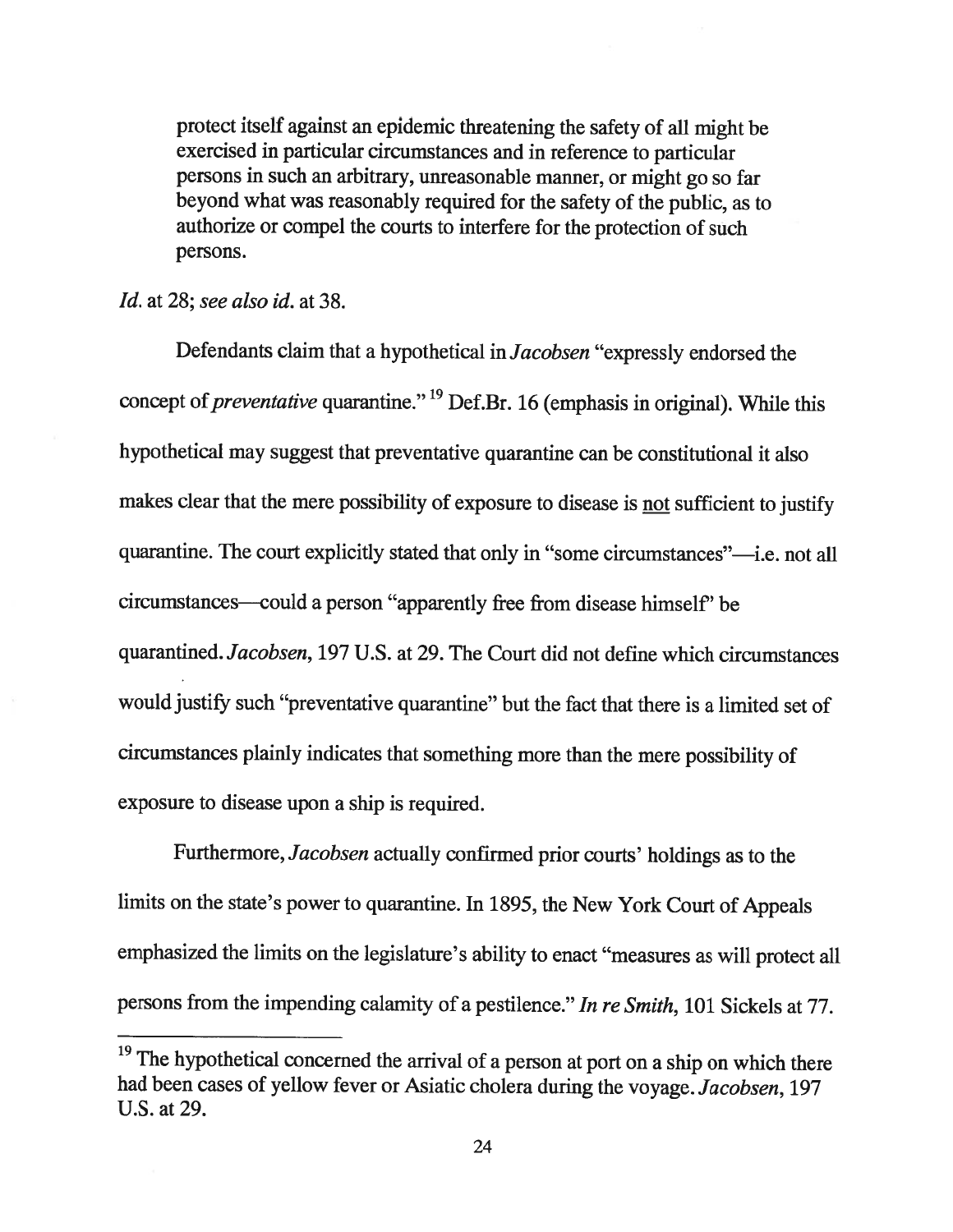protect itself against an epidemic threatening the safety of all might be exercised in particular circumstances and in reference to particular persons in such an arbitrary, unreasonable manner, or might go so far beyond what was reasonably required for the safety of the public, as to authorize or compe<sup>l</sup> the courts to interfere for the protection of such persons.

#### Id. at 28; see also id. at 38.

Defendants claim that <sup>a</sup> hypothetical in Jacobsen "expressly endorsed the concept of *preventative* quarantine." <sup>19</sup> Def.Br. 16 (emphasis in original). While this hypothetical may suggest that preventative quarantine can be constitutional it also makes clear that the mere possibility of exposure to disease is not sufficient to justify quarantine. The court explicitly stated that only in "some circumstances"—i.e. not all circumstances—could <sup>a</sup> person "apparently free from disease himself' be quarantined. Jacobsen, 197 U.S. at 29. The Court did not define which circumstances would justify such "preventative quarantine" but the fact that there is <sup>a</sup> limited set of circumstances <sup>p</sup>lainly indicates that something more than the mere possibility of exposure to disease upon <sup>a</sup> ship is required.

Furthermore,Jacobsen actually confirmed prior courts' holdings as to the limits on the state's power to quarantine. In 1895, the New York Court of Appeals emphasized the limits on the legislature's ability to enact "measures as will protect all persons from the impending calamity of <sup>a</sup> pestilence." In re Smith, <sup>101</sup> Sickels at 77.

<sup>&</sup>lt;sup>19</sup> The hypothetical concerned the arrival of a person at port on a ship on which there had been cases of yellow fever or Asiatic cholera during the voyage. Jacobsen, <sup>197</sup> U.S. at 29.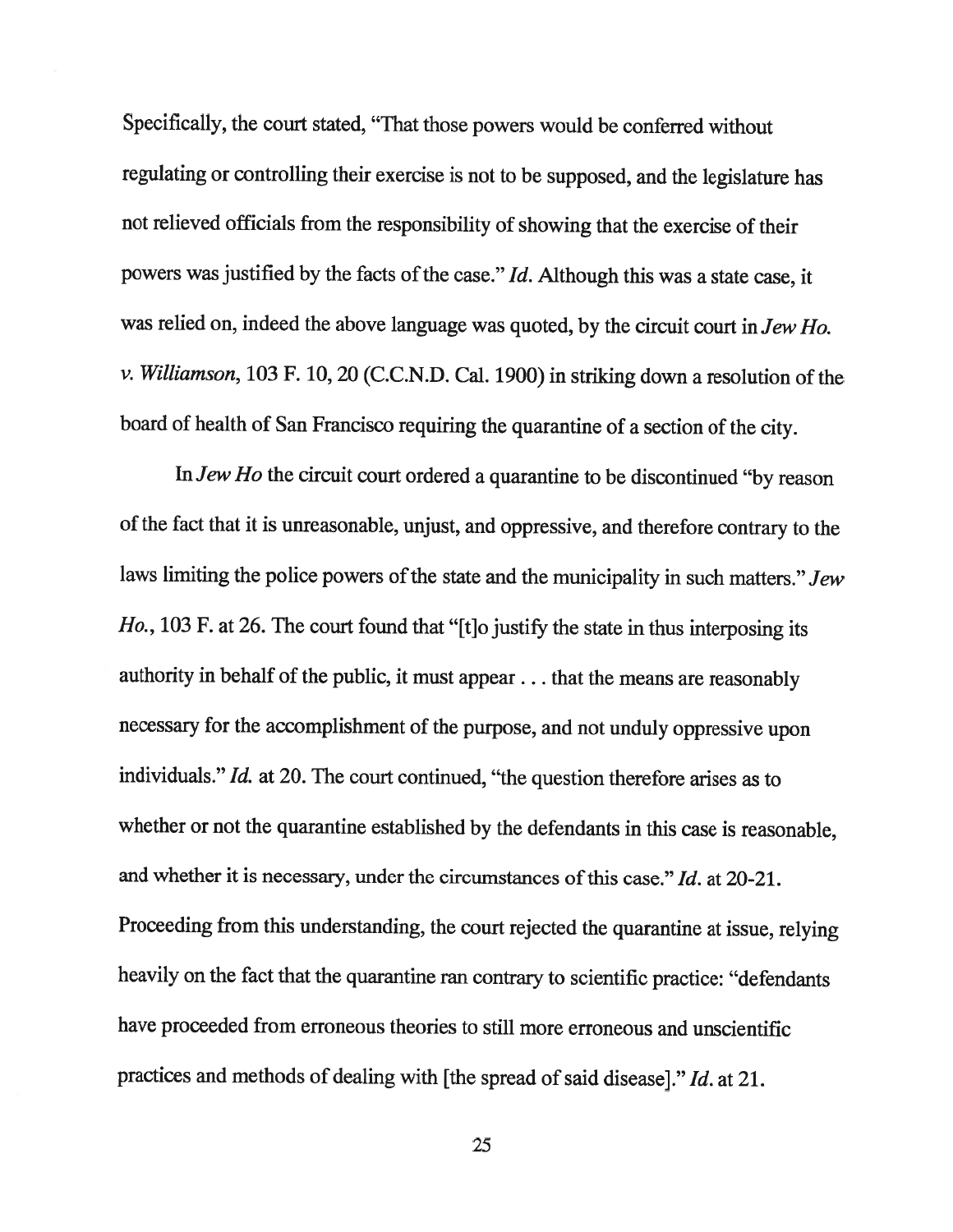Specifically, the court stated, "That those powers would be conferred without regulating or controlling their exercise is not to be supposed, and the legislature has not relieved officials from the responsibility of showing that the exercise of their powers was justified by the facts of the case."  $Id$ . Although this was a state case, it was relied on, indeed the above language was quoted, by the circuit court in Jew Ho. v. Williamson, <sup>103</sup> F. 10, <sup>20</sup> (C.C.N.D. Cal. 1900) in striking down <sup>a</sup> resolution of the board of health of San Francisco requiring the quarantine of <sup>a</sup> section of the city.

In Jew Ho the circuit court ordered <sup>a</sup> quarantine to be discontinued "by reason of the fact that it is unreasonable, unjust, and oppressive, and therefore contrary to the laws limiting the police powers of the state and the municipality in such matters." Jew Ho., 103 F. at 26. The court found that "[t]o justify the state in thus interposing its authority in behalf of the public, it must appear. . . that the means are reasonably necessary for the accomplishment of the purpose, and not unduly oppressive upon individuals." Id. at 20. The court continued, "the question therefore arises as to whether or not the quarantine established by the defendants in this case is reasonable, and whether it is necessary, under the circumstances of this case." Id. at 20-21. Proceeding from this understanding, the court rejected the quarantine at issue, relying heavily on the fact that the quarantine ran contrary to scientific practice: "defendants have proceeded from erroneous theories to still more erroneous and unscientific practices and methods of dealing with [the spread of said disease]." Id. at 21.

25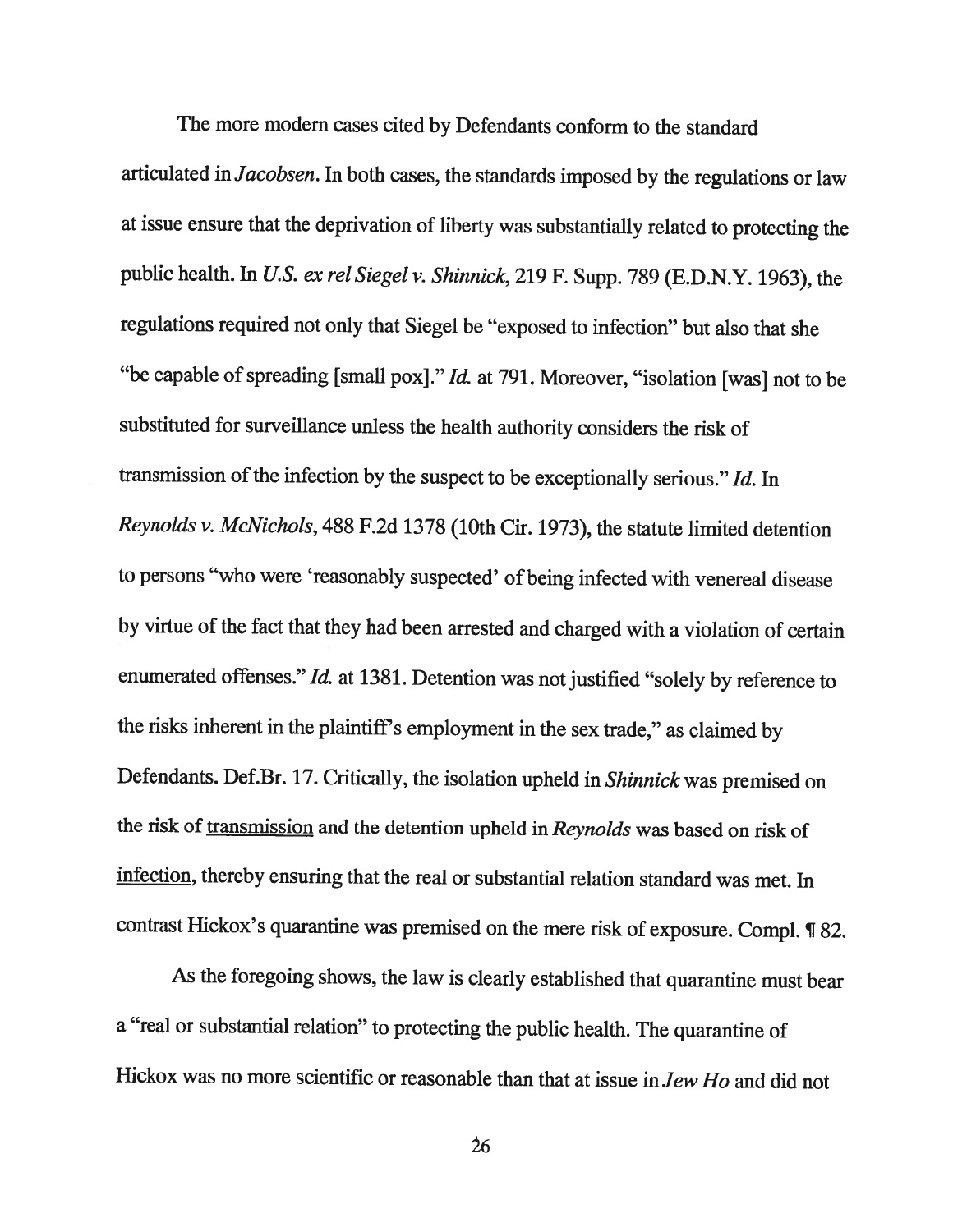The more modem cases cited by Defendants conform to the standard articulated in Jacobsen. In both cases, the standards imposed by the regulations or law at issue ensure that the deprivation of liberty was substantially related to protecting the public health. In U.S. ex rel Siegel v. Shinnick, 219 F. Supp. 789 (E.D.N.Y. 1963), the regulations required not only that Siegel be "exposed to infection" but also that she "be capable of spreading [small pox]." *Id.* at 791. Moreover, "isolation [was] not to be substituted for surveillance unless the health authority considers the risk of transmission of the infection by the suspect to be exceptionally serious."  $Id$ . In Reynolds v. McNichols, <sup>488</sup> F.2d <sup>1378</sup> (10th Cir. 1973), the statute limited detention to persons "who were 'reasonably suspected' of being infected with venereal disease by virtue of the fact that they had been arrested and charged with <sup>a</sup> violation of certain enumerated offenses." Id. at 1381. Detention was not justified "solely by reference to the risks inherent in the plaintiff's employment in the sex trade," as claimed by Defendants. Def.Br. 17. Critically, the isolation upheld in Shinnick was premised on the risk of transmission and the detention upheld in Reynolds was based on risk of infection, thereby ensuring that the real or substantial relation standard was met. In contrast Hickox's quarantine was premised on the mere risk of exposure. Compl. ¶ 82.

As the foregoing shows, the law is clearly established that quarantine must bear <sup>a</sup> "real or substantial relation" to protecting the public health. The quarantine of Hickox was no more scientific or reasonable than that at issue in Jew Ho and did not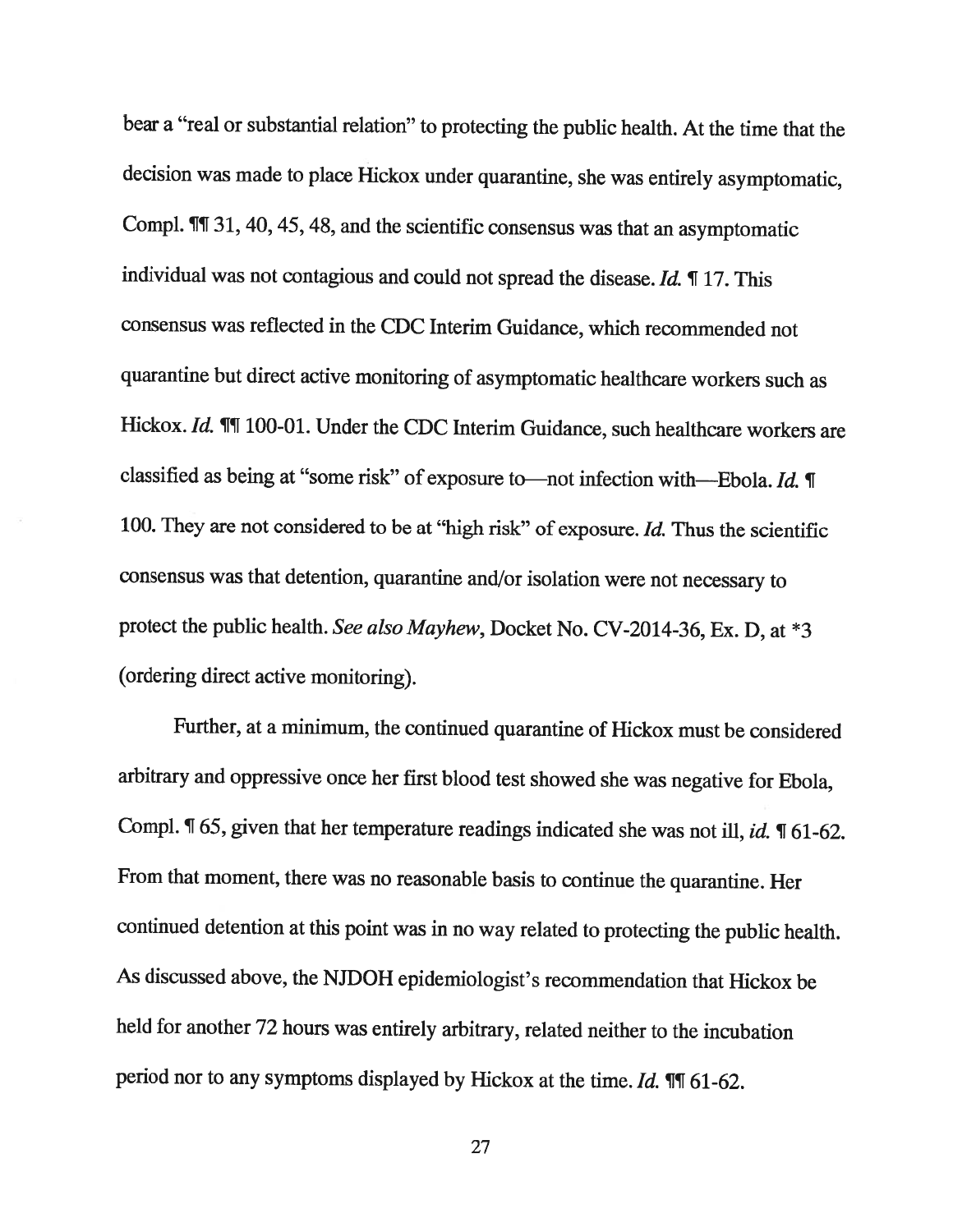bear <sup>a</sup> "real or substantial relation" to protecting the public health. At the time that the decision was made to <sup>p</sup>lace Hickox under quarantine, she was entirely asymptomatic, Compi. ¶T 31, 40, 45, 48, and the scientific consensus was that an asymptomatic individual was not contagious and could not spread the disease. Id. ¶ 17. This consensus was reflected in the CDC Interim Guidance, which recommended not quarantine but direct active monitoring of asymptomatic healthcare workers such as Hickox. Id.  $\mathbb{I}\mathbb{I}$  100-01. Under the CDC Interim Guidance, such healthcare workers are classified as being at "some risk" of exposure to—not infection with—Ebola. Id. ¶ 100. They are not considered to be at "high risk" of exposure. Id. Thus the scientific consensus was that detention, quarantine and/or isolation were not necessary to protect the public health. See also Mayhew, Docket No. CV-2014-36, Ex. D, at \*3 (ordering direct active monitoring).

Further, at <sup>a</sup> minimum, the continued quarantine of Hickox must be considered arbitrary and oppressive once her first blood test showed she was negative for Ebola, Compl. ¶ 65, given that her temperature readings indicated she was not ill, id. ¶ 61-62. From that moment, there was no reasonable basis to continue the quarantine. Her continued detention at this point was in no way related to protecting the public health. As discussed above, the NJDOH epidemiologist's recommendation that Hickox be held for another <sup>72</sup> hours was entirely arbitrary, related neither to the incubation period nor to any symptoms displayed by Hickox at the time. Id.  $\P$  161-62.

27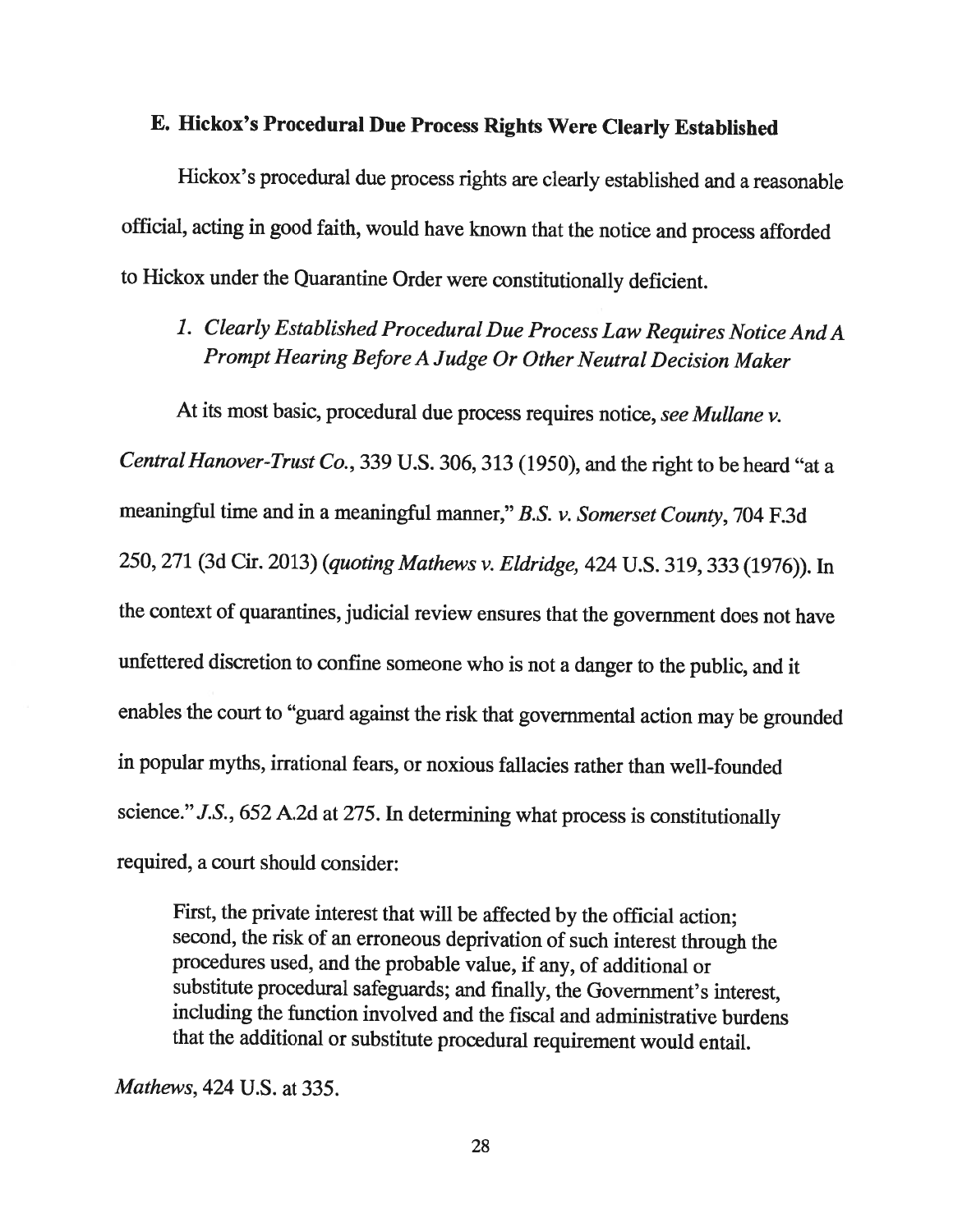# E. Hickox's Procedural Due Process Rights Were Clearly Established

Hickox's procedural due process rights are clearly established and <sup>a</sup> reasonable official, acting in good faith, would have known that the notice and process afforded to Hickox under the Quarantine Order were constitutionally deficient.

1. Clearly Established Procedural Due Process Law Requires Notice And <sup>A</sup> Prompt Hearing Before <sup>A</sup> Judge Or Other Neutral Decision Maker

At its most basic, procedural due process requires notice, see Mullane v. Central Hanover-Trust Co., 339 U.S. 306, 313 (1950), and the right to be heard "at a meaningful time and in <sup>a</sup> meaningful manner," B.S. v. Somerset County, <sup>704</sup> F.3d 250, <sup>271</sup> (3d Cir. 2013) (quoting Mathews v. Eldridge, <sup>424</sup> U.S. 319, <sup>333</sup> (1976)). In the context of quarantines, judicial review ensures that the government does not have unfettered discretion to confine someone who is not <sup>a</sup> danger to the public, and it enables the court to "guard against the risk that governmental action may be grounded in popular myths, irrational fears, or noxious fallacies rather than well-founded science." J.S., <sup>652</sup> A.2d at 275. In determining what process is constitutionally required, <sup>a</sup> court should consider:

First, the private interest that will be affected by the official action; second, the risk of an erroneous deprivation of such interest through the procedures used, and the probable value, if any, of additional or substitute procedural safeguards; and finally, the Government's interest, including the function involved and the fiscal and administrative burdens that the additional or substitute procedural requirement would entail.

Mathews, 424 U.S. at 335.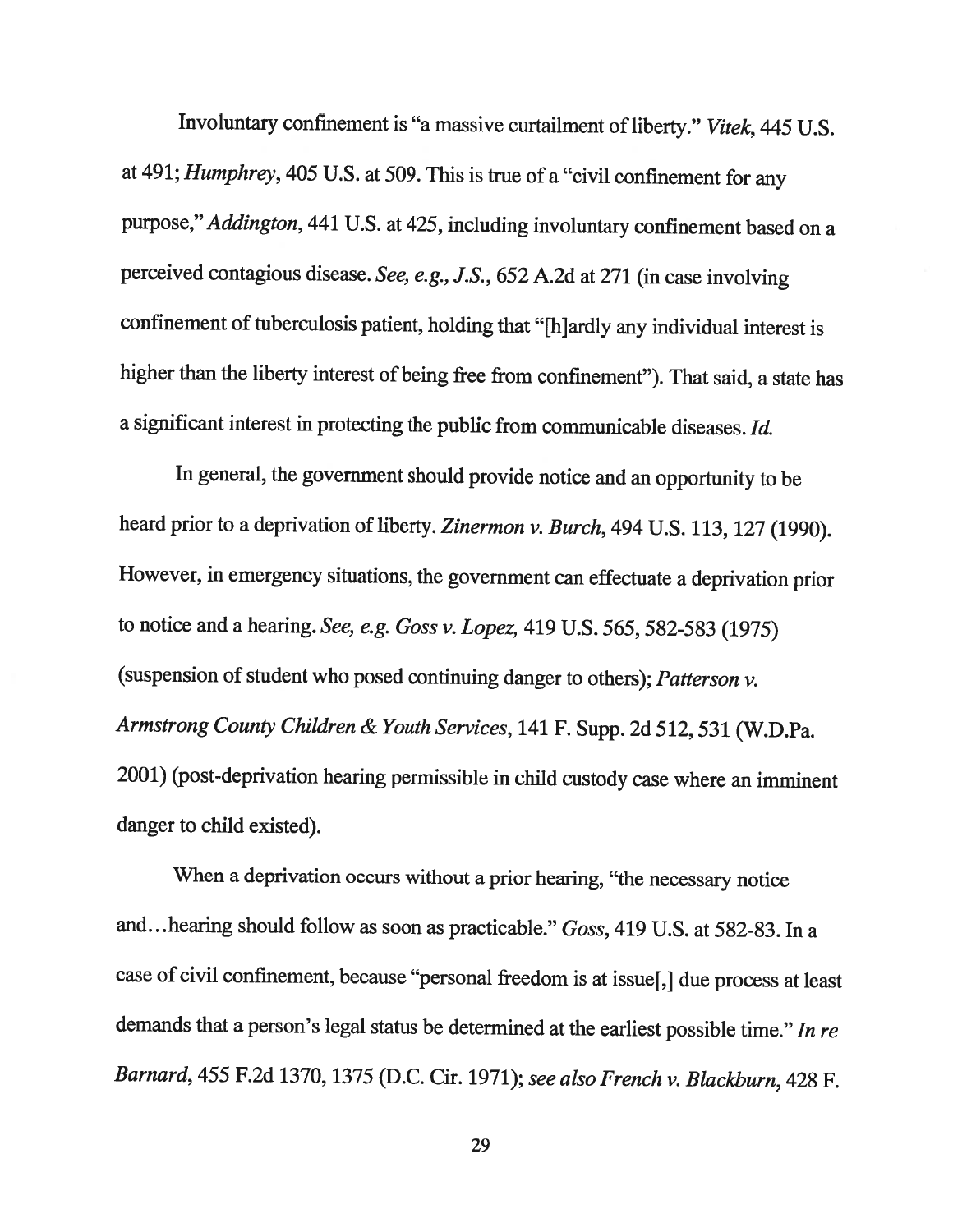Involuntary confinement is "a massive curtailment of liberty." Vitek, 445 U.S. at 491; Humphrey, <sup>405</sup> U.S. at 509. This is true of <sup>a</sup> "civil confinement for any purpose," Addington, <sup>441</sup> U.S. at 425, including involuntary confinement based on <sup>a</sup> perceived contagious disease. See, e.g., J.S., <sup>652</sup> A.2d at <sup>271</sup> (in case involving confinement of tuberculosis patient, holding that "[h]ardly any individual interest is higher than the liberty interest of being free from confinement"). That said, <sup>a</sup> state has <sup>a</sup> significant interest in protecting the public from communicable diseases. Id.

In general, the government should provide notice and an opportunity to be heard prior to a deprivation of liberty. Zinermon v. Burch, 494 U.S. 113, 127 (1990). However, in emergency situations, the government can effectuate <sup>a</sup> deprivation prior to notice and <sup>a</sup> hearing. See, e.g. Goss v. Lopez, <sup>419</sup> U.S. 565,582-583 (1975) (suspension of student who posed continuing danger to others); Patterson v. Armstrong County Children & Youth Services, <sup>141</sup> F. Supp. 2d 512,531 (W.D.Pa. 2001) (post-deprivation hearing permissible in child custody case where an imminent danger to child existed).

When <sup>a</sup> deprivation occurs without <sup>a</sup> prior hearing, "the necessary notice and. . .hearing should follow as soon as practicable." Goss, <sup>419</sup> U.S. at 582-83. In <sup>a</sup> case of civil confinement, because "personal freedom is at issue[,] due process at least demands that <sup>a</sup> person's legal status be determined at the earliest possible time." In re Barnard, <sup>455</sup> F.2d 1370, <sup>1375</sup> (D.C. Cir. 1971); see also French v. Blackburn, <sup>428</sup> F.

29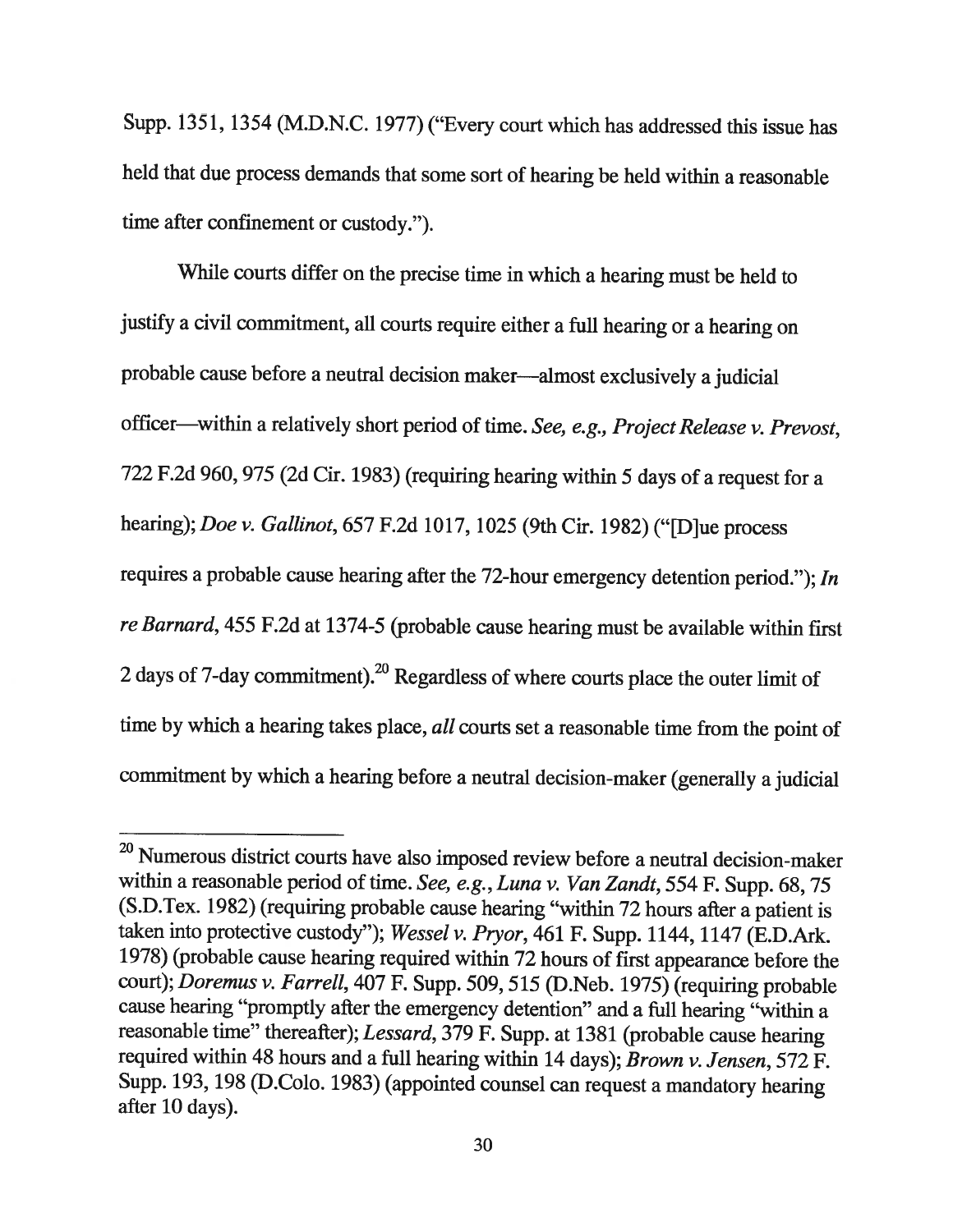Supp. 1351, <sup>1354</sup> (M.D.N.C. 1977) ("Every court which has addressed this issue has held that due process demands that some sort of hearing be held within <sup>a</sup> reasonable time after confinement or custody.").

While courts differ on the precise time in which a hearing must be held to justify <sup>a</sup> civil commitment, all courts require either <sup>a</sup> full hearing or <sup>a</sup> hearing on probable cause before <sup>a</sup> neutral decision maker—almost exclusively <sup>a</sup> judicial officer—within <sup>a</sup> relatively short period of time. See, e.g., Project Release v. Prevost, <sup>722</sup> F.2d 960, <sup>975</sup> (2d Cir. 1983) (requiring hearing within <sup>5</sup> days of <sup>a</sup> request for <sup>a</sup> hearing); Doe v. Gallinot, <sup>657</sup> F.2d 1017, <sup>1025</sup> (9th Cir. 1982) ("[D]ue process requires <sup>a</sup> probable cause hearing after the 72-hour emergency detention period."); In re Barnard, 455 F.2d at 1374-5 (probable cause hearing must be available within first 2 days of 7-day commitment).<sup>20</sup> Regardless of where courts place the outer limit of time by which a hearing takes place, all courts set a reasonable time from the point of commitment by which <sup>a</sup> hearing before <sup>a</sup> neutral decision-maker (generally <sup>a</sup> judicial

<sup>&</sup>lt;sup>20</sup> Numerous district courts have also imposed review before a neutral decision-maker within a reasonable period of time. See, e.g., Luna v. Van Zandt, 554 F. Supp. 68, 75 (S.D.Tex. 1982) (requiring probable cause hearing "within <sup>72</sup> hours after <sup>a</sup> patient is taken into protective custody"); Wessel v. Pryor, <sup>461</sup> F. Supp. 1144, <sup>1147</sup> (E.D.Ark. 1978) (probable cause hearing required within <sup>72</sup> hours of first appearance before the court); Doremus v. Farrell, 407 F. Supp. 509, 515 (D.Neb. 1975) (requiring probable cause hearing "promptly after the emergency detention" and <sup>a</sup> full hearing "within <sup>a</sup> reasonable time" thereafter); Lessard, <sup>379</sup> F. Supp. at <sup>1381</sup> (probable cause hearing required within <sup>48</sup> hours and <sup>a</sup> full hearing within <sup>14</sup> days); Brown v. Jensen, <sup>572</sup> F. Supp. 193, <sup>198</sup> (D.Colo. 1983) (appointed counsel can request <sup>a</sup> mandatory hearing after 10 days).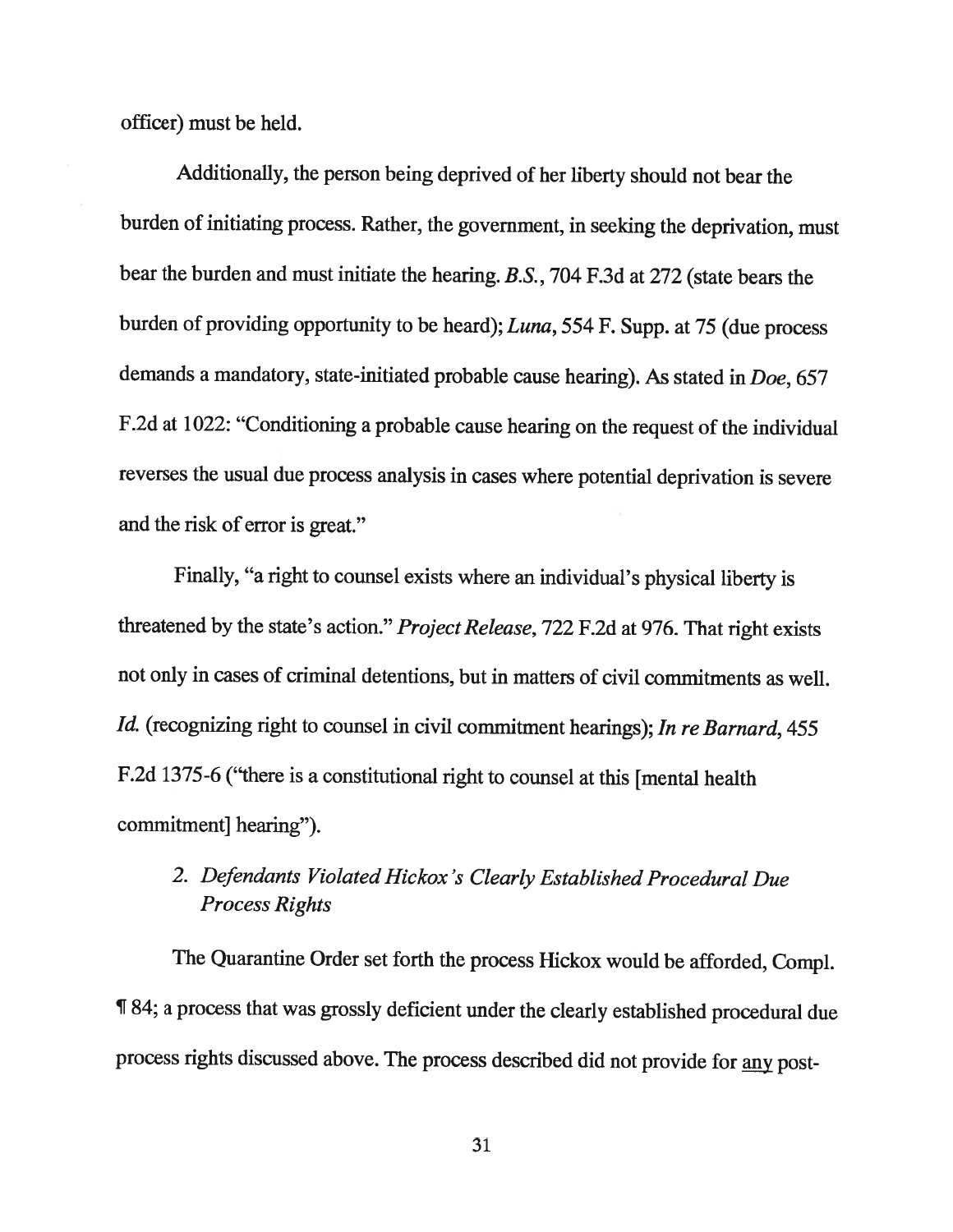officer) must be held.

Additionally, the person being deprived of her liberty should not bear the burden of initiating process. Rather, the government, in seeking the deprivation, must bear the burden and must initiate the hearing. B.S., <sup>704</sup> F.3d at <sup>272</sup> (state bears the burden of providing opportunity to be heard); Luna, <sup>554</sup> F. Supp. at <sup>75</sup> (due process demands <sup>a</sup> mandatory, state-initiated probable cause hearing). As stated in Doe, <sup>657</sup> F.2d at 1022: "Conditioning <sup>a</sup> probable cause hearing on the request of the individual reverses the usual due process analysis in cases where potential deprivation is severe and the risk of error is great."

Finally, "a right to counsel exists where an individual's <sup>p</sup>hysical liberty is threatened by the state's action." Project Release, 722 F.2d at 976. That right exists not only in cases of criminal detentions, but in matters of civil commitments as well. Id. (recognizing right to counsel in civil commitment hearings); In re Barnard, 455 F.2d 1375-6 ("there is <sup>a</sup> constitutional right to counsel at this [mental health commitment] hearing").

# 2. Defendants Violated Hickox 's Clearly Established Procedural Due Process Rights

The Quarantine Order set forth the process Hickox would be afforded, Compi. ¶ 84; <sup>a</sup> process that was grossly deficient under the clearly established procedural due process rights discussed above. The process described did not provide for any post-

31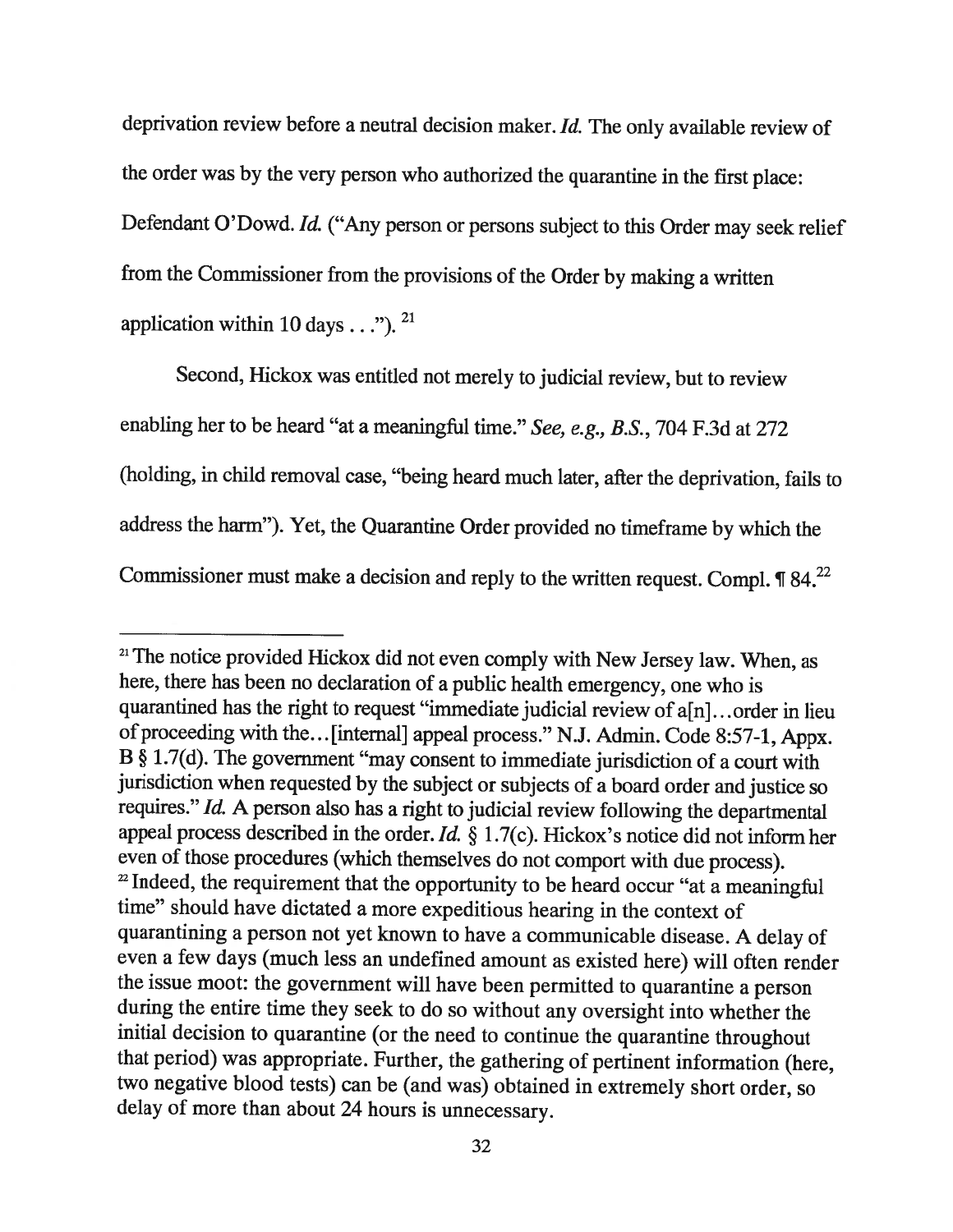deprivation review before <sup>a</sup> neutral decision maker. Id. The only available review of the order was by the very person who authorized the quarantine in the first <sup>p</sup>lace: Defendant O'Dowd. Id. ("Any person or persons subject to this Order may seek relief from the Commissioner from the provisions of the Order by making <sup>a</sup> written application within 10 days  $\ldots$ "). <sup>21</sup>

Second, Hickox was entitled not merely to judicial review, but to review enabling her to be heard "at <sup>a</sup> meaningful time." See, e.g., B.S., <sup>704</sup> F.3d at <sup>272</sup> (holding, in child removal case, "being heard much later, after the deprivation, fails to address the harm"). Yet, the Quarantine Order provided no timeframe by which the Commissioner must make a decision and reply to the written request. Compl.  $\P$  84.<sup>22</sup>

<sup>&</sup>lt;sup>21</sup> The notice provided Hickox did not even comply with New Jersey law. When, as here, there has been no declaration of <sup>a</sup> public health emergency, one who is quarantined has the right to request "immediate judicial review of a[n]. . . order in lieu of proceeding with the...[internal] appeal process." N.J. Admin. Code 8:57-1, Appx. <sup>B</sup> § 1.7(d). The government "may consent to immediate jurisdiction of <sup>a</sup> court with jurisdiction when requested by the subject or subjects of <sup>a</sup> board order and justice so requires." Id. <sup>A</sup> person also has <sup>a</sup> right to judicial review following the departmental appeal process described in the order. Id.  $\S 1.7(c)$ . Hickox's notice did not inform her even of those procedures (which themselves do not comport with due process). <sup>22</sup> Indeed, the requirement that the opportunity to be heard occur "at a meaningful time" should have dictated <sup>a</sup> more expeditious hearing in the context of quarantining <sup>a</sup> person not yet known to have <sup>a</sup> communicable disease. <sup>A</sup> delay of even <sup>a</sup> few days (much less an undefined amount as existed here) will often render the issue moot: the government will have been permitted to quarantine <sup>a</sup> person during the entire time they seek to do so without any oversight into whether the initial decision to quarantine (or the need to continue the quarantine throughout that period) was appropriate. Further, the gathering of pertinent information (here, two negative blood tests) can be (and was) obtained in extremely short order, so delay of more than about <sup>24</sup> hours is unnecessary.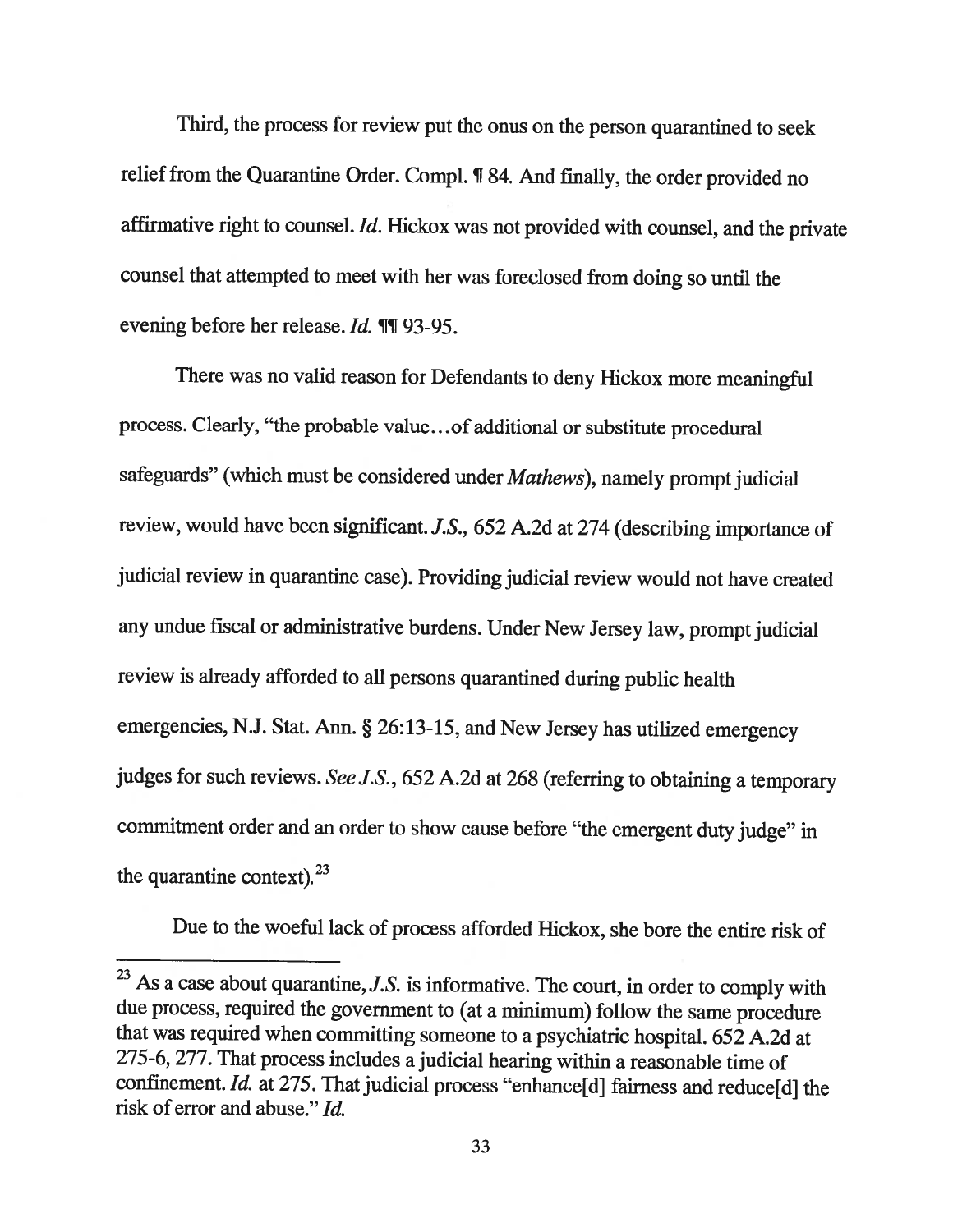Third, the process for review put the onus on the person quarantined to seek relief from the Quarantine Order. Compi. ¶ 84. And finally, the order provided no affirmative right to counsel. Id. Hickox was not provided with counsel, and the private counsel that attempted to meet with her was foreclosed from doing so until the evening before her release. Id. ¶T 93-95.

There was no valid reason for Defendants to deny Hickox more meaningful process. Clearly, "the probable value. . .of additional or substitute procedural safeguards" (which must be considered under Mathews), namely prompt judicial review, would have been significant. J.S., <sup>652</sup> A.2d at <sup>274</sup> (describing importance of judicial review in quarantine case). Providing judicial review would not have created any undue fiscal or administrative burdens. Under New Jersey law, prompt judicial review is already afforded to all persons quarantined during public health emergencies, N.J. Stat. Ann. § 26:13-15, and New Jersey has utilized emergency judges for such reviews. See J.S., 652 A.2d at 268 (referring to obtaining a temporary commitment order and an order to show cause before "the emergent duty judge" in the quarantine context).  $23$ 

Due to the woeful lack of process afforded Hickox, she bore the entire risk of

 $23$  As a case about quarantine, J.S. is informative. The court, in order to comply with due process, required the government to (at <sup>a</sup> minimum) follow the same procedure that was required when committing someone to <sup>a</sup> psychiatric hospital. <sup>652</sup> A.2d at 275-6, 277. That process includes <sup>a</sup> judicial hearing within <sup>a</sup> reasonable time of confinement. Id. at 275. That judicial process "enhance[d] fairness and reduce[d] the risk of error and abuse." Id.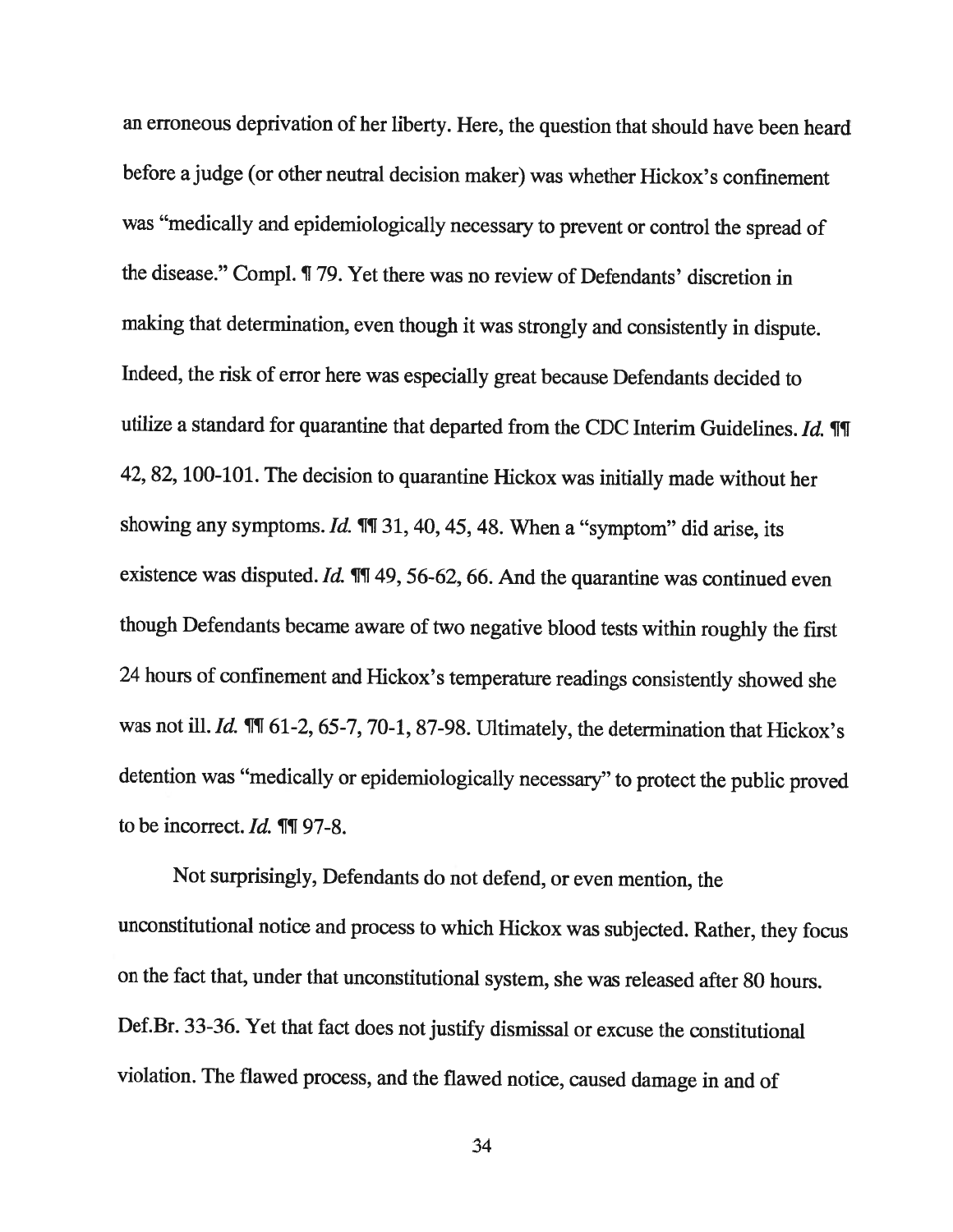an erroneous deprivation of her liberty. Here, the question that should have been heard before <sup>a</sup> judge (or other neutral decision maker) was whether Hickox's confinement was "medically and epidemiologically necessary to prevent or control the spread of the disease." Compi. ¶ 79. Yet there was no review of Defendants' discretion in making that determination, even though it was strongly and consistently in dispute. Indeed, the risk of error here was especially great because Defendants decided to utilize a standard for quarantine that departed from the CDC Interim Guidelines.  $Id$ .  $\P\P$ 42, 82, 100-101. The decision to quarantine Hickox was initially made without her showing any symptoms. Id.  $\P$  $I$  31, 40, 45, 48. When a "symptom" did arise, its existence was disputed.  $Id$ .  $\P$  $\P$  49, 56-62, 66. And the quarantine was continued even though Defendants became aware of two negative blood tests within roughly the first <sup>24</sup> hours of confinement and Hickox's temperature readings consistently showed she was not ill. Id. *III* 61-2, 65-7, 70-1, 87-98. Ultimately, the determination that Hickox's detention was "medically or epidemiologically necessary" to protect the public proved to be incorrect.  $Id.$  III 97-8.

Not surprisingly, Defendants do not defend, or even mention, the unconstitutional notice and process to which Hickox was subjected. Rather, they focus on the fact that, under that unconstitutional system, she was released after <sup>80</sup> hours. Def.Br. 33-36. Yet that fact does not justify dismissal or excuse the constitutional violation. The flawed process, and the flawed notice, caused damage in and of

34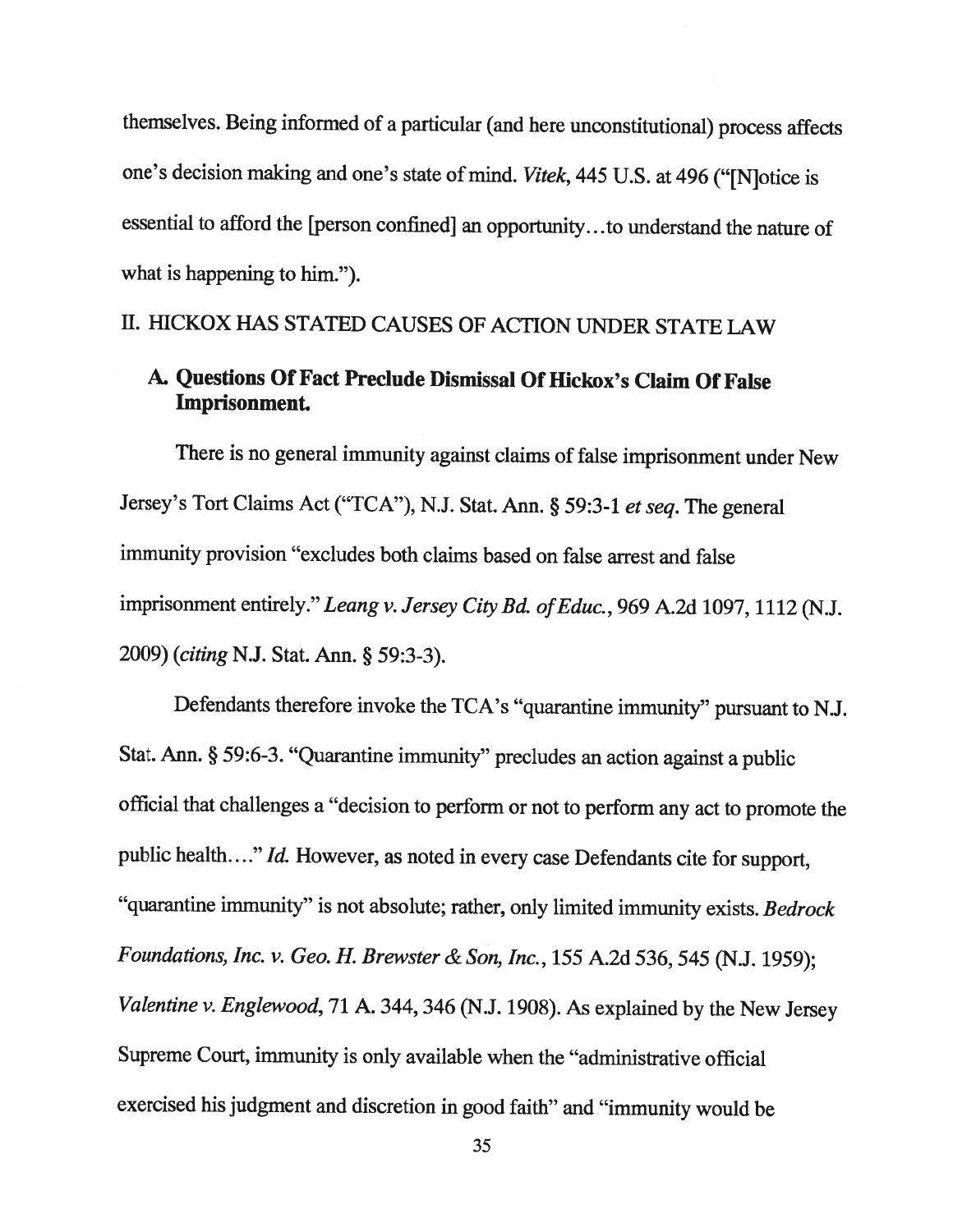themselves. Being informed of <sup>a</sup> particular (and here unconstitutional) process affects one's decision making and one's state of mind. Vitek, <sup>445</sup> U.S. at <sup>496</sup> ("[N]otice is essential to afford the [person confined] an opportunity. . .to understand the nature of what is happening to him.").

## II. HICKOX HAS STATED CAUSES OF ACTION UNDER STATE LAW

# A. Questions Of Fact Preclude Dismissal Of Hickox's Claim Of False Imprisonment.

There is no general immunity against claims of false imprisonment under New Jersey's Tort Claims Act ("TCA"), N.J. Stat. Ann. § 59:3-1 et seq. The general immunity provision "excludes both claims based on false arrest and false imprisonment entirely." Leang v. Jersey City Bd. of Educ., 969 A.2d 1097, 1112 (N.J. 2009) (citing N.J. Stat. Ann. § 59:3-3).

Defendants therefore invoke the TCA's "quarantine immunity" pursuant to N.J. Stat. Ann. § 59:6-3. "Quarantine immunity" precludes an action against <sup>a</sup> public official that challenges <sup>a</sup> "decision to perform or not to perform any act to promote the public health...." Id. However, as noted in every case Defendants cite for support, "quarantine immunity" is not absolute; rather, only limited immunity exists. Bedrock Foundations, Inc. v. Geo. H. Brewster & Son, Inc., <sup>155</sup> A.2d 536, <sup>545</sup> (N.J. 1959); Valentine v. Englewood, 71 A. 344, 346 (N.J. 1908). As explained by the New Jersey Supreme Court, immunity is only available when the "administrative official exercised his judgment and discretion in good faith" and "immunity would be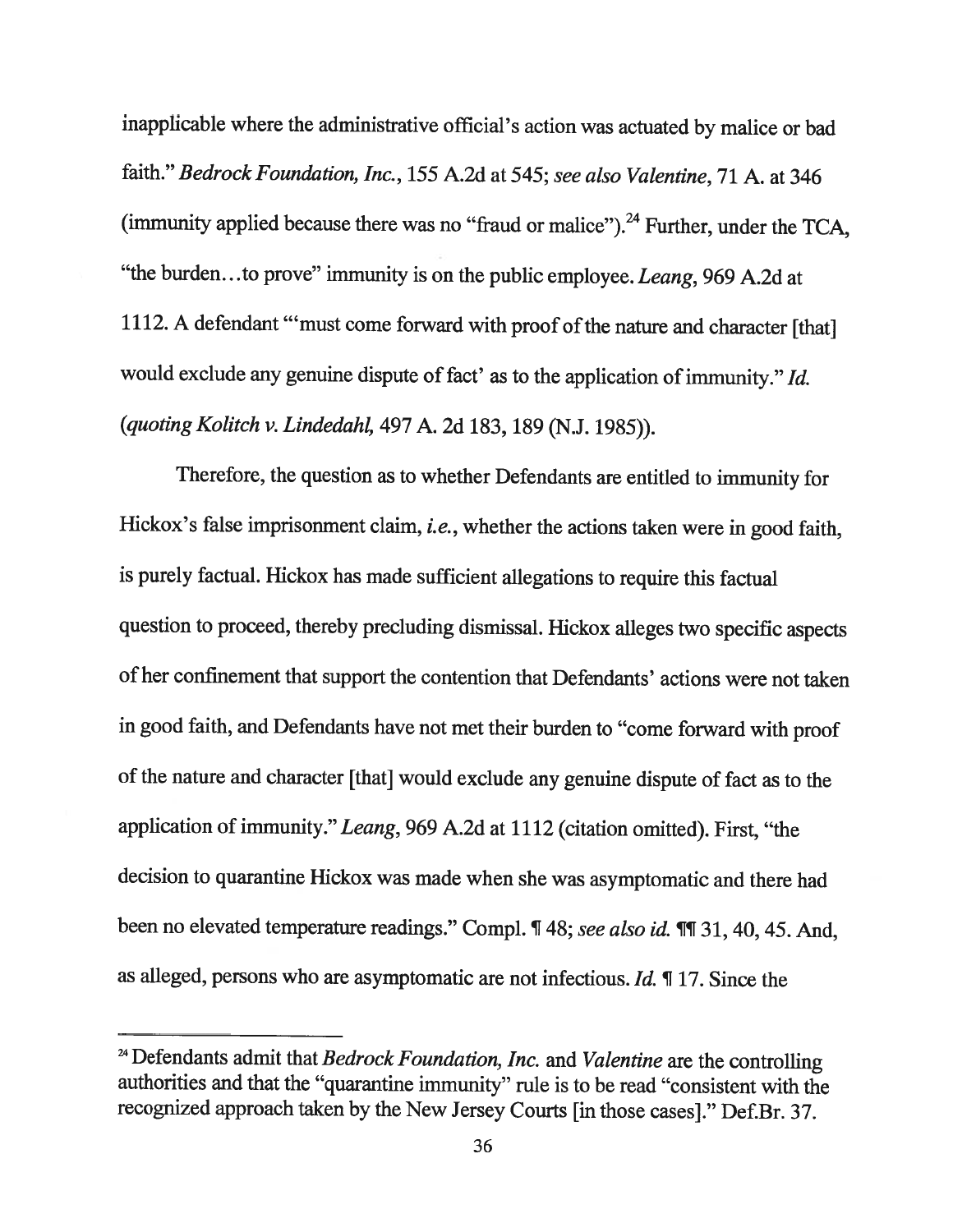inapplicable where the administrative official's action was actuated by malice or bad faith." Bedrock Foundation, Inc., <sup>155</sup> A.2d at 545; see also Valentine, <sup>71</sup> A. at <sup>346</sup> (immunity applied because there was no "fraud or malice").<sup>24</sup> Further, under the TCA, "the burden...to prove" immunity is on the public employee. Leang, 969 A.2d at 1112. A defendant "'must come forward with proof of the nature and character [that] would exclude any genuine dispute of fact' as to the application of immunity." Id. (quoting Kolitch v. Lindedahi, <sup>497</sup> A. 2d 183, <sup>189</sup> (N.J. 1985)).

Therefore, the question as to whether Defendants are entitled to immunity for Hickox's false imprisonment claim, *i.e.*, whether the actions taken were in good faith, is purely factual. Hickox has made sufficient allegations to require this factual question to proceed, thereby precluding dismissal. Hickox alleges two specific aspects of her confinement that support the contention that Defendants' actions were not taken in good faith, and Defendants have not met their burden to "come forward with proof of the nature and character [that] would exclude any genuine dispute of fact as to the application of immunity." Leang, <sup>969</sup> A.2d at <sup>1112</sup> (citation omitted). First, "the decision to quarantine Hickox was made when she was asymptomatic and there had been no elevated temperature readings." Compl. ¶ 48; see also id. ¶¶ 31, 40, 45. And, as alleged, persons who are asymptomatic are not infectious. Id. ¶ 17. Since the

 $24$  Defendants admit that Bedrock Foundation, Inc. and Valentine are the controlling authorities and that the "quarantine immunity" rule is to be read "consistent with the recognized approach taken by the New Jersey Courts [in those cases]." Def.Br. 37.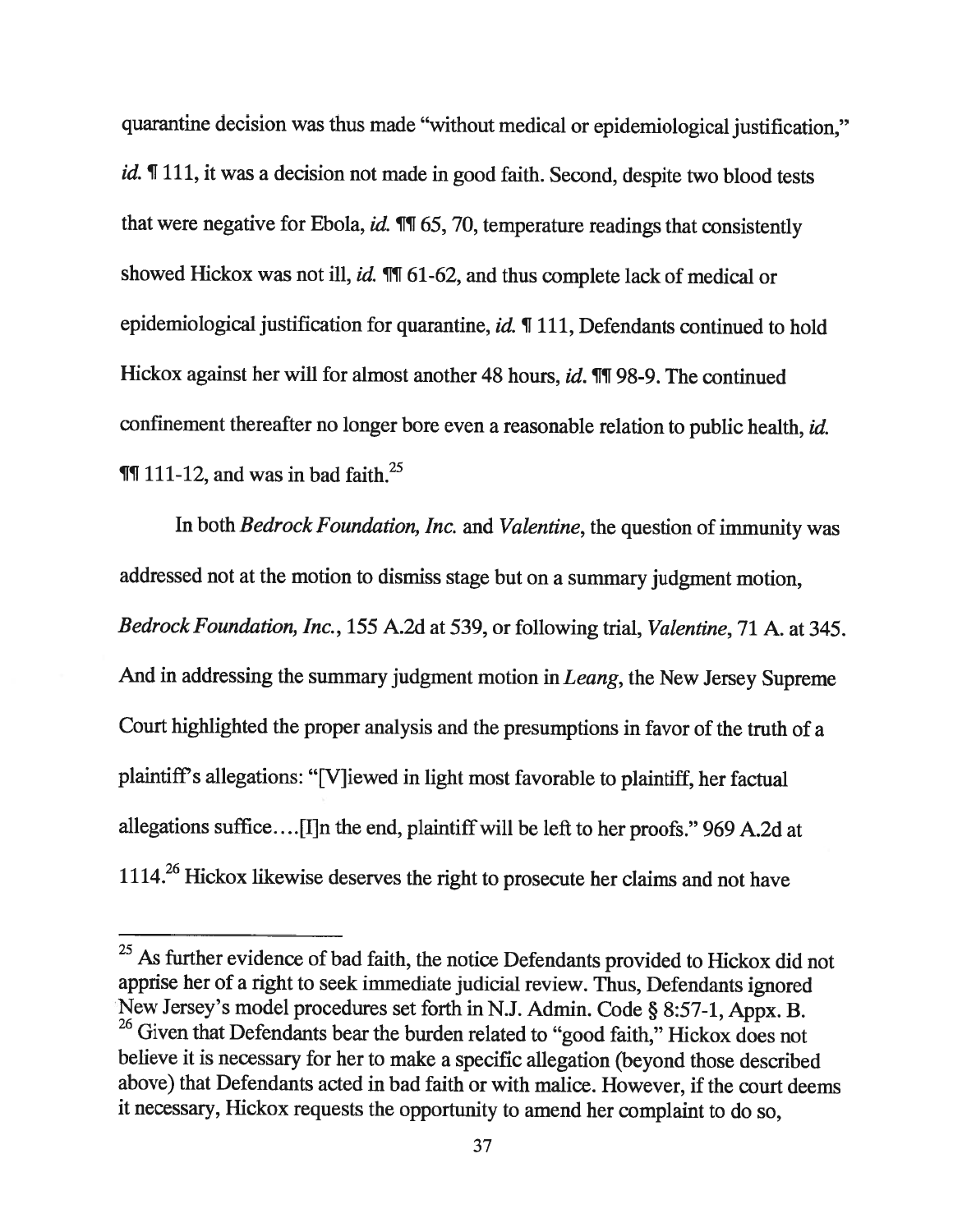quarantine decision was thus made "without medical or epidemiological justification," id. ¶ 111, it was a decision not made in good faith. Second, despite two blood tests that were negative for Ebola,  $id$ .  $\P\P$  65, 70, temperature readings that consistently showed Hickox was not ill, id.  $\P$ [ 61-62, and thus complete lack of medical or epidemiological justification for quarantine, id. ¶ 111, Defendants continued to hold Hickox against her will for almost another 48 hours, *id*. **[1]** 98-9. The continued confinement thereafter no longer bore even <sup>a</sup> reasonable relation to public health, id.  $\P$ [T] 111-12, and was in bad faith.<sup>25</sup>

In both Bedrock Foundation, Inc. and Valentine, the question of immunity was addressed not at the motion to dismiss stage but on <sup>a</sup> summary judgment motion, Bedrock Foundation, Inc., <sup>155</sup> A.2d at 539, or following trial, Valentine, <sup>71</sup> A. at 345. And in addressing the summary judgment motion in Leang, the New Jersey Supreme Court highlighted the proper analysis and the presumptions in favor of the truth of <sup>a</sup> <sup>p</sup>laintiffs allegations: "[V]iewed in light most favorable to <sup>p</sup>laintiff, her factual allegations suffice....[I]n the end, plaintiff will be left to her proofs." 969 A.2d at 1114.<sup>26</sup> Hickox likewise deserves the right to prosecute her claims and not have

<sup>&</sup>lt;sup>25</sup> As further evidence of bad faith, the notice Defendants provided to Hickox did not apprise her of a right to seek immediate judicial review. Thus, Defendants ignored New Jersey's model procedures set forth in N.J. Admin. Code § 8:57-1, Appx. B. <sup>26</sup> Given that Defendants bear the burden related to "good faith," Hickox does not believe it is necessary for her to make <sup>a</sup> specific allegation (beyond those described above) that Defendants acted in bad faith or with malice. However, if the court deems it necessary, Hickox requests the opportunity to amend her complaint to do so,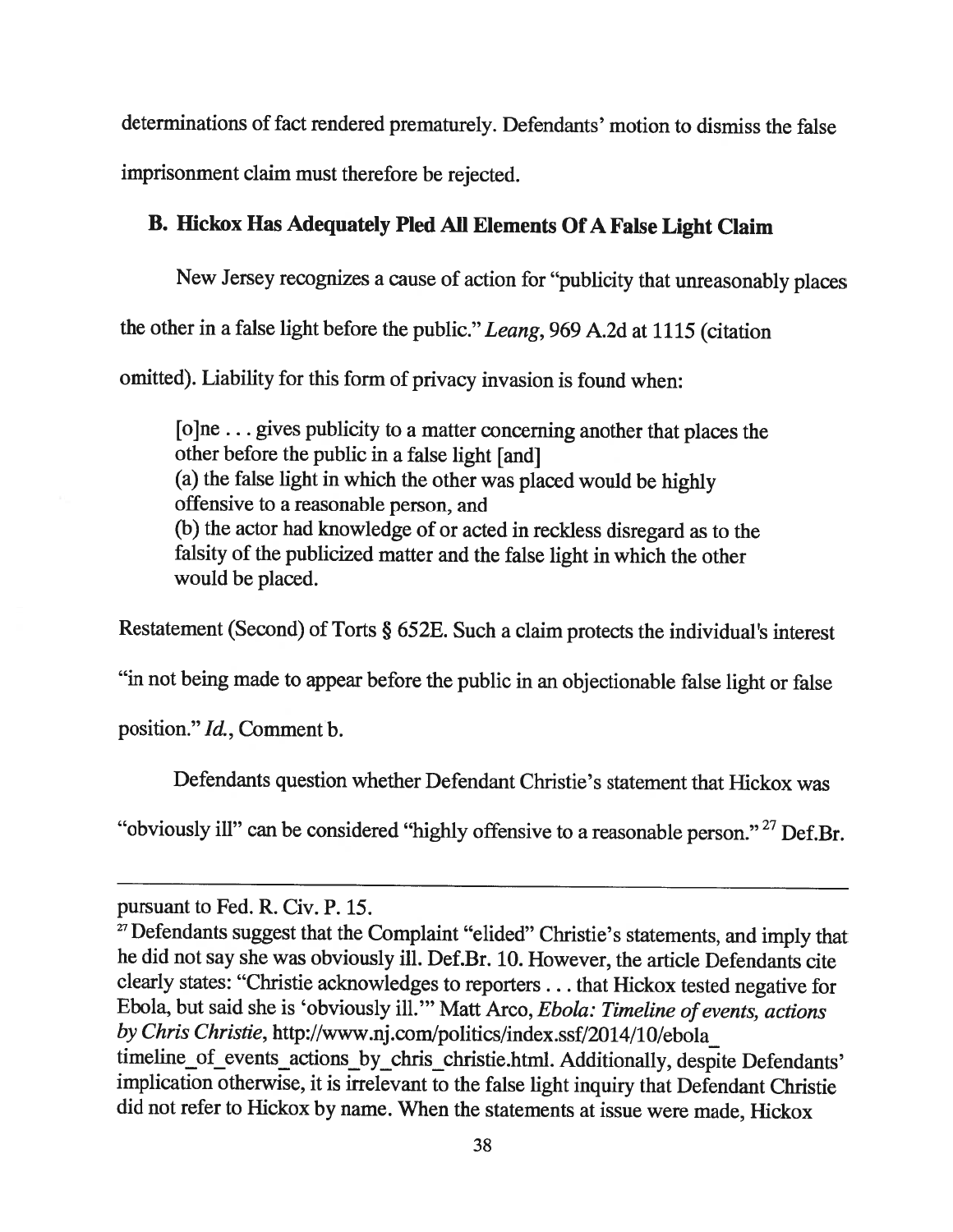determinations of fact rendered prematurely. Defendants' motion to dismiss the false imprisonment claim must therefore be rejected.

# B. Hickox Has Adequately Pled All Elements Of <sup>A</sup> False Light Claim

New Jersey recognizes <sup>a</sup> cause of action for "publicity that unreasonably <sup>p</sup>laces the other in <sup>a</sup> false light before the public." Leang, <sup>969</sup> A.2d at <sup>1115</sup> (citation omitted). Liability for this form of privacy invasion is found when:

[o]ne. . . <sup>g</sup>ives publicity to <sup>a</sup> matter concerning another that <sup>p</sup>laces the other before the public in <sup>a</sup> false light [and] (a) the false light in which the other was <sup>p</sup>laced would be highly offensive to <sup>a</sup> reasonable person, and (b) the actor had knowledge of or acted in reckless disregard as to the falsity of the publicized matter and the false light in which the other would be placed.

Restatement (Second) of Torts § 652E. Such <sup>a</sup> claim protects the individual's interest

"in not being made to appear before the public in an objectionable false light or false

position." Id., Comment b.

Defendants question whether Defendant Christie's statement that Hickox was

"obviously ill" can be considered "highly offensive to a reasonable person."<sup>27</sup> Def.Br.

pursuant to Fed. R. Civ. P. 15.

 $27$  Defendants suggest that the Complaint "elided" Christie's statements, and imply that he did not say she was obviously ill. Def.Br. 10. However, the article Defendants cite clearly states: "Christie acknowledges to reporters. . . that Hickox tested negative for Ebola, but said she is 'obviously ill." Matt Arco, Ebola: Timeline of events, actions by Chris Christie, http://www.nj.com/po1itics/index.ssf/2014/10/ebola timeline\_of\_events\_actions\_by\_chris\_christie.html. Additionally, despite Defendants' implication otherwise, it is irrelevant to the false light inquiry that Defendant Christie did not refer to Hickox by name. When the statements at issue were made, Hickox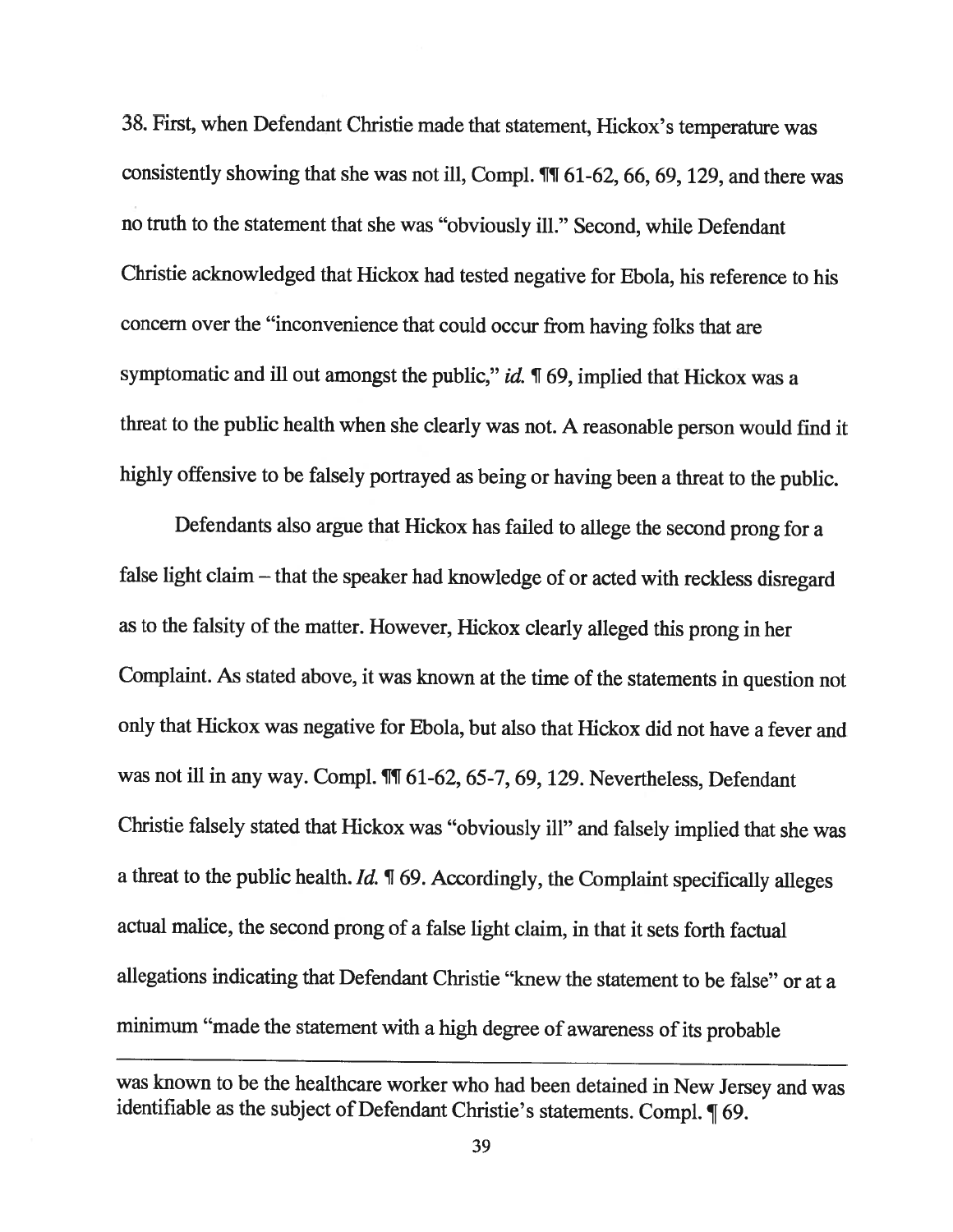38. First, when Defendant Christie made that statement, Hickox's temperature was consistently showing that she was not ill, Compi. ¶T 61-62, 66, 69, 129, and there was no truth to the statement that she was "obviously ill." Second, while Defendant Christie acknowledged that Hickox had tested negative for Ebola, his reference to his concern over the "inconvenience that could occur from having folks that are symptomatic and ill out amongst the public," id. ¶ 69, implied that Hickox was a threat to the public health when she clearly was not. <sup>A</sup> reasonable person would find it highly offensive to be falsely portrayed as being or having been <sup>a</sup> threat to the public.

Defendants also argue that Hickox has failed to allege the second prong for <sup>a</sup> false light claim — that the speaker had knowledge of or acted with reckless disregard as to the falsity of the matter. However, Hickox clearly alleged this prong in her Complaint. As stated above, it was known at the time of the statements in question not only that Hickox was negative for Ebola, but also that Hickox did not have <sup>a</sup> fever and was not ill in any way. Compl. III 61-62, 65-7, 69, 129. Nevertheless, Defendant Christie falsely stated that Hickox was "obviously ill" and falsely implied that she was a threat to the public health.  $Id. \P$  69. Accordingly, the Complaint specifically alleges actual malice, the second prong of <sup>a</sup> false light claim, in that it sets forth factual allegations indicating that Defendant Christie "knew the statement to be false" or at <sup>a</sup> minimum "made the statement with a high degree of awareness of its probable

was known to be the healthcare worker who had been detained in New Jersey and was identifiable as the subject of Defendant Christie's statements. Compl. ¶ 69.